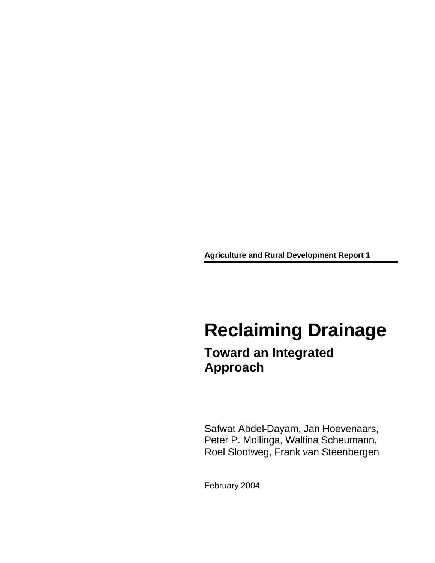**Agriculture and Rural Development Report 1**

# **Reclaiming Drainage**

### **Toward an Integrated Approach**

Safwat Abdel-Dayam, Jan Hoevenaars, Peter P. Mollinga, Waltina Scheumann, Roel Slootweg, Frank van Steenbergen

February 2004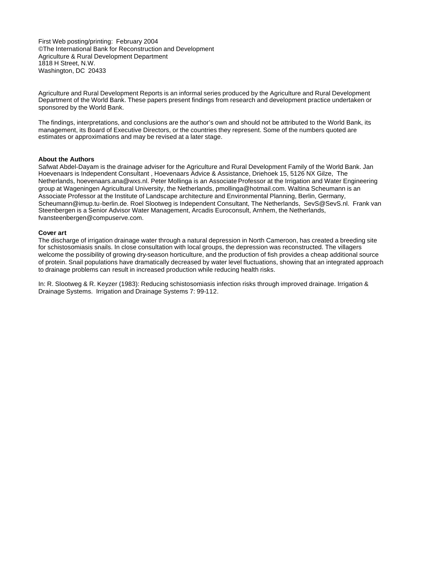First Web posting/printing: February 2004 ©The International Bank for Reconstruction and Development Agriculture & Rural Development Department 1818 H Street, N.W. Washington, DC 20433

Agriculture and Rural Development Reports is an informal series produced by the Agriculture and Rural Development Department of the World Bank. These papers present findings from research and development practice undertaken or sponsored by the World Bank.

The findings, interpretations, and conclusions are the author's own and should not be attributed to the World Bank, its management, its Board of Executive Directors, or the countries they represent. Some of the numbers quoted are estimates or approximations and may be revised at a later stage.

#### **About the Authors**

Safwat Abdel-Dayam is the drainage adviser for the Agriculture and Rural Development Family of the World Bank. Jan Hoevenaars is Independent Consultant , Hoevenaars Advice & Assistance, Driehoek 15, 5126 NX Gilze, The Netherlands, hoevenaars.ana@wxs.nl. Peter Mollinga is an Associate Professor at the Irrigation and Water Engineering group at Wageningen Agricultural University, the Netherlands, pmollinga@hotmail.com. Waltina Scheumann is an Associate Professor at the Institute of Landscape architecture and Environmental Planning, Berlin, Germany, Scheumann@imup.tu-berlin.de. Roel Slootweg is Independent Consultant, The Netherlands, SevS@SevS.nl. Frank van Steenbergen is a Senior Advisor Water Management, Arcadis Euroconsult, Arnhem, the Netherlands, fvansteenbergen@compuserve.com.

#### **Cover art**

The discharge of irrigation drainage water through a natural depression in North Cameroon, has created a breeding site for schistosomiasis snails. In close consultation with local groups, the depression was reconstructed. The villagers welcome the possibility of growing dry-season horticulture, and the production of fish provides a cheap additional source of protein. Snail populations have dramatically decreased by water level fluctuations, showing that an integrated approach to drainage problems can result in increased production while reducing health risks.

In: R. Slootweg & R. Keyzer (1983): Reducing schistosomiasis infection risks through improved drainage. Irrigation & Drainage Systems. Irrigation and Drainage Systems 7: 99-112.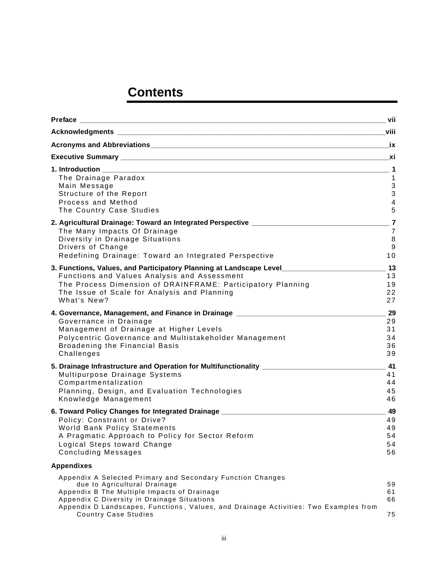### **Contents**

|                                                                                                                                                                                                                                                                                                                 | _ vii                                                           |
|-----------------------------------------------------------------------------------------------------------------------------------------------------------------------------------------------------------------------------------------------------------------------------------------------------------------|-----------------------------------------------------------------|
|                                                                                                                                                                                                                                                                                                                 |                                                                 |
|                                                                                                                                                                                                                                                                                                                 |                                                                 |
|                                                                                                                                                                                                                                                                                                                 |                                                                 |
| The Drainage Paradox<br>Main Message<br>Structure of the Report<br>Process and Method<br>The Country Case Studies                                                                                                                                                                                               | 1<br>$\sqrt{3}$<br>$\mathbf{3}$<br>$\overline{\mathbf{4}}$<br>5 |
| 2. Agricultural Drainage: Toward an Integrated Perspective ______________________<br>The Many Impacts Of Drainage<br>Diversity in Drainage Situations<br>Drivers of Change<br>Redefining Drainage: Toward an Integrated Perspective                                                                             | $\overline{7}$<br>$\overline{7}$<br>8<br>$9\,$<br>10            |
| 3. Functions, Values, and Participatory Planning at Landscape Level<br>Functions and Values Analysis and Assessment<br>The Process Dimension of DRAINFRAME: Participatory Planning<br>The Issue of Scale for Analysis and Planning<br>What's New?                                                               | 13<br>13<br>19<br>22<br>27                                      |
| 4. Governance, Management, and Finance in Drainage _____________________________<br>Governance in Drainage<br>Management of Drainage at Higher Levels<br>Polycentric Governance and Multistakeholder Management<br>Broadening the Financial Basis<br>Challenges                                                 | 29<br>29<br>31<br>34<br>36<br>39                                |
| 5. Drainage Infrastructure and Operation for Multifunctionality _________________<br>Multipurpose Drainage Systems<br>Compartmentalization<br>Planning, Design, and Evaluation Technologies<br>Knowledge Management                                                                                             | 41<br>41<br>44<br>45<br>46                                      |
| 6. Toward Policy Changes for Integrated Drainage _______________________________<br>Policy: Constraint or Drive?<br>World Bank Policy Statements<br>A Pragmatic Approach to Policy for Sector Reform<br>Logical Steps toward Change<br><b>Concluding Messages</b>                                               | 49<br>49<br>49<br>54<br>54<br>56                                |
| <b>Appendixes</b>                                                                                                                                                                                                                                                                                               |                                                                 |
| Appendix A Selected Primary and Secondary Function Changes<br>due to Agricultural Drainage<br>Appendix B The Multiple Impacts of Drainage<br>Appendix C Diversity in Drainage Situations<br>Appendix D Landscapes, Functions, Values, and Drainage Activities: Two Examples from<br><b>Country Case Studies</b> | 59<br>61<br>66<br>75                                            |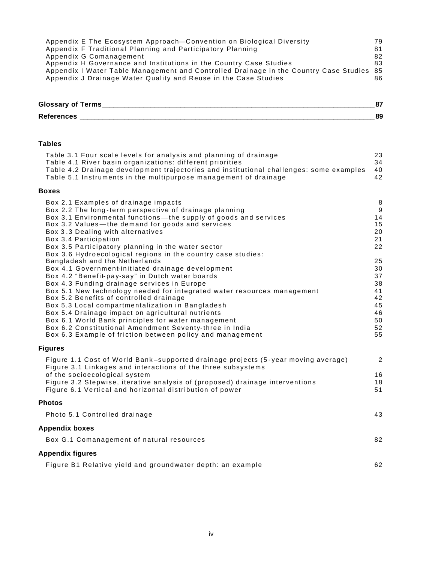| Appendix E The Ecosystem Approach-Convention on Biological Diversity                     | 79 |
|------------------------------------------------------------------------------------------|----|
| Appendix F Traditional Planning and Participatory Planning                               | 81 |
| Appendix G Comanagement                                                                  | 82 |
| Appendix H Governance and Institutions in the Country Case Studies                       | 83 |
| Appendix I Water Table Management and Controlled Drainage in the Country Case Studies 85 |    |
| Appendix J Drainage Water Quality and Reuse in the Case Studies                          | 86 |

| <b>Glossary of Terms</b> | o, |
|--------------------------|----|
| <b>References</b>        | 89 |

#### **Tables**

| Table 3.1 Four scale levels for analysis and planning of drainage<br>Table 4.1 River basin organizations: different priorities<br>Table 4.2 Drainage development trajectories and institutional challenges: some examples<br>Table 5.1 Instruments in the multipurpose management of drainage                                                                                                                                                                                                                                                                                                                                                                                  | 23<br>34<br>40<br>42                                               |
|--------------------------------------------------------------------------------------------------------------------------------------------------------------------------------------------------------------------------------------------------------------------------------------------------------------------------------------------------------------------------------------------------------------------------------------------------------------------------------------------------------------------------------------------------------------------------------------------------------------------------------------------------------------------------------|--------------------------------------------------------------------|
| <b>Boxes</b>                                                                                                                                                                                                                                                                                                                                                                                                                                                                                                                                                                                                                                                                   |                                                                    |
| Box 2.1 Examples of drainage impacts<br>Box 2.2 The long-term perspective of drainage planning<br>Box 3.1 Environmental functions—the supply of goods and services<br>Box 3.2 Values-the demand for goods and services<br>Box 3.3 Dealing with alternatives<br>Box 3.4 Participation<br>Box 3.5 Participatory planning in the water sector<br>Box 3.6 Hydroecological regions in the country case studies:<br>Bangladesh and the Netherlands<br>Box 4.1 Government-initiated drainage development<br>Box 4.2 "Benefit-pay-say" in Dutch water boards<br>Box 4.3 Funding drainage services in Europe<br>Box 5.1 New technology needed for integrated water resources management | 8<br>9<br>14<br>15<br>20<br>21<br>22<br>25<br>30<br>37<br>38<br>41 |
| Box 5.2 Benefits of controlled drainage<br>Box 5.3 Local compartmentalization in Bangladesh<br>Box 5.4 Drainage impact on agricultural nutrients<br>Box 6.1 World Bank principles for water management<br>Box 6.2 Constitutional Amendment Seventy-three in India<br>Box 6.3 Example of friction between policy and management                                                                                                                                                                                                                                                                                                                                                 | 42<br>45<br>46<br>50<br>52<br>55                                   |
| <b>Figures</b>                                                                                                                                                                                                                                                                                                                                                                                                                                                                                                                                                                                                                                                                 |                                                                    |
| Figure 1.1 Cost of World Bank-supported drainage projects (5-year moving average)<br>Figure 3.1 Linkages and interactions of the three subsystems<br>of the socioecological system<br>Figure 3.2 Stepwise, iterative analysis of (proposed) drainage interventions<br>Figure 6.1 Vertical and horizontal distribution of power                                                                                                                                                                                                                                                                                                                                                 | $\overline{2}$<br>16<br>18<br>51                                   |
| <b>Photos</b>                                                                                                                                                                                                                                                                                                                                                                                                                                                                                                                                                                                                                                                                  |                                                                    |
| Photo 5.1 Controlled drainage                                                                                                                                                                                                                                                                                                                                                                                                                                                                                                                                                                                                                                                  | 43                                                                 |
| <b>Appendix boxes</b>                                                                                                                                                                                                                                                                                                                                                                                                                                                                                                                                                                                                                                                          |                                                                    |
| Box G.1 Comanagement of natural resources                                                                                                                                                                                                                                                                                                                                                                                                                                                                                                                                                                                                                                      | 82                                                                 |
| <b>Appendix figures</b>                                                                                                                                                                                                                                                                                                                                                                                                                                                                                                                                                                                                                                                        |                                                                    |
| Figure B1 Relative yield and groundwater depth: an example                                                                                                                                                                                                                                                                                                                                                                                                                                                                                                                                                                                                                     | 62                                                                 |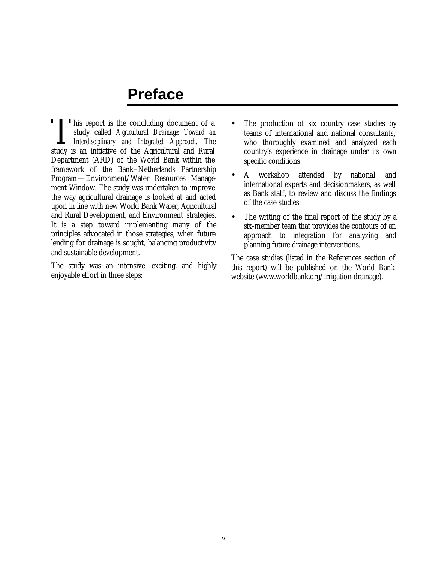### **Preface**

This report is the concluding document of a study called Agricultural Drainage: Toward and Integrated Approach. The study is an initiative of the Agricultural and Rural study called *Agricultural Drainage: Toward an Interdisciplinary and Integrated Approach.* The study is an initiative of the Agricultural and Rural Department (ARD) of the World Bank within the framework of the Bank–Netherlands Partnership Program—Environment/Water Resources Management Window. The study was undertaken to improve the way agricultural drainage is looked at and acted upon in line with new World Bank Water, Agricultural and Rural Development, and Environment strategies. It is a step toward implementing many of the principles advocated in those strategies, when future lending for drainage is sought, balancing productivity and sustainable development.

The study was an intensive, exciting, and highly enjoyable effort in three steps:

- The production of six country case studies by teams of international and national consultants, who thoroughly examined and analyzed each country's experience in drainage under its own specific conditions
- A workshop attended by national and international experts and decisionmakers, as well as Bank staff, to review and discuss the findings of the case studies
- The writing of the final report of the study by a six-member team that provides the contours of an approach to integration for analyzing and planning future drainage interventions.

The case studies (listed in the References section of this report) will be published on the World Bank website (www.worldbank.org/irrigation-drainage).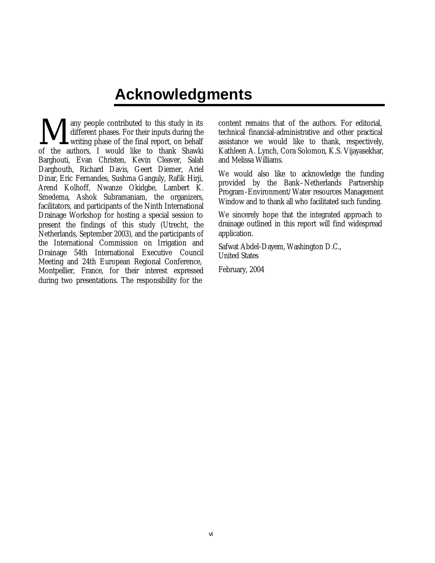## **Acknowledgments**

any people contributed to this study in its different phases. For their inputs during the writing phase of the final report, on behalf **M** any people contributed to this study in its different phases. For their inputs during the writing phase of the final report, on behalf of the authors, I would like to thank Shawki Barghouti, Evan Christen, Kevin Cleaver, Salah Darghouth, Richard Davis, Geert Diemer, Ariel Dinar, Eric Fernandes, Sushma Ganguly, Rafik Hirji, Arend Kolhoff, Nwanze Okidgbe, Lambert K. Smedema, Ashok Subramaniam, the organizers, facilitators, and participants of the Ninth International Drainage Workshop for hosting a special session to present the findings of this study (Utrecht, the Netherlands, September 2003), and the participants of the International Commission on Irrigation and Drainage 54th International Executive Council Meeting and 24th European Regional Conference, Montpellier, France, for their interest expressed during two presentations. The responsibility for the

content remains that of the authors. For editorial, technical financial-administrative and other practical assistance we would like to thank, respectively, Kathleen A. Lynch, Cora Solomon, K.S. Vijayasekhar, and Melissa Williams.

We would also like to acknowledge the funding provided by the Bank–Netherlands Partnership Program-Environment/Water resources Management Window and to thank all who facilitated such funding.

We sincerely hope that the integrated approach to drainage outlined in this report will find widespread application.

Safwat Abdel-Dayem, Washington D.C., United States

February, 2004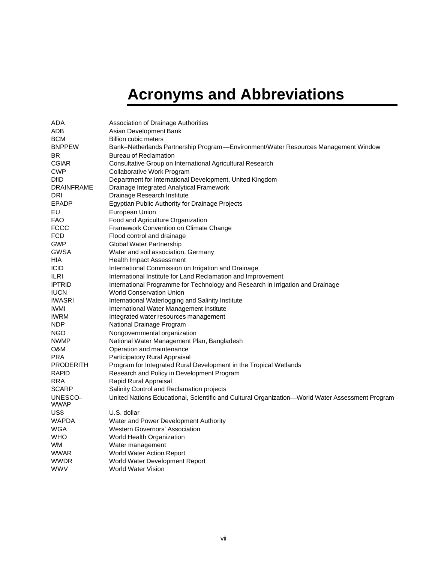# **Acronyms and Abbreviations**

| ADA             | Association of Drainage Authorities                                                             |  |  |  |  |
|-----------------|-------------------------------------------------------------------------------------------------|--|--|--|--|
| ADB             | Asian Development Bank                                                                          |  |  |  |  |
| BCM             | <b>Billion cubic meters</b>                                                                     |  |  |  |  |
| <b>BNPPEW</b>   | Bank-Netherlands Partnership Program -Environment/Water Resources Management Window             |  |  |  |  |
| BR              | <b>Bureau of Reclamation</b>                                                                    |  |  |  |  |
| <b>CGIAR</b>    | Consultative Group on International Agricultural Research                                       |  |  |  |  |
| CWP             | Collaborative Work Program                                                                      |  |  |  |  |
| <b>DfID</b>     | Department for International Development, United Kingdom                                        |  |  |  |  |
| DRAINFRAME      | Drainage Integrated Analytical Framework                                                        |  |  |  |  |
| DRI             | Drainage Research Institute                                                                     |  |  |  |  |
| <b>EPADP</b>    | Egyptian Public Authority for Drainage Projects                                                 |  |  |  |  |
| EU              | European Union                                                                                  |  |  |  |  |
| FAO             | Food and Agriculture Organization                                                               |  |  |  |  |
| FCCC            | Framework Convention on Climate Change                                                          |  |  |  |  |
| FCD             | Flood control and drainage                                                                      |  |  |  |  |
| GWP             | Global Water Partnership                                                                        |  |  |  |  |
| GWSA            | Water and soil association, Germany                                                             |  |  |  |  |
| HIA             | Health Impact Assessment                                                                        |  |  |  |  |
| <b>ICID</b>     | International Commission on Irrigation and Drainage                                             |  |  |  |  |
| ILRI            | International Institute for Land Reclamation and Improvement                                    |  |  |  |  |
| <b>IPTRID</b>   | International Programme for Technology and Research in Irrigation and Drainage                  |  |  |  |  |
| <b>IUCN</b>     | <b>World Conservation Union</b>                                                                 |  |  |  |  |
| <b>IWASRI</b>   | International Waterlogging and Salinity Institute                                               |  |  |  |  |
| IWMI            | International Water Management Institute                                                        |  |  |  |  |
| IWRM            | Integrated water resources management                                                           |  |  |  |  |
| NDP             | National Drainage Program                                                                       |  |  |  |  |
| NGO             | Nongovernmental organization                                                                    |  |  |  |  |
| <b>NWMP</b>     | National Water Management Plan, Bangladesh                                                      |  |  |  |  |
| O&M             | Operation and maintenance                                                                       |  |  |  |  |
| PRA             | Participatory Rural Appraisal                                                                   |  |  |  |  |
| PRODERITH       | Program for Integrated Rural Development in the Tropical Wetlands                               |  |  |  |  |
| <b>RAPID</b>    | Research and Policy in Development Program                                                      |  |  |  |  |
| RRA             | Rapid Rural Appraisal                                                                           |  |  |  |  |
| SCARP           | Salinity Control and Reclamation projects                                                       |  |  |  |  |
| UNESCO-<br>WWAP | United Nations Educational, Scientific and Cultural Organization-World Water Assessment Program |  |  |  |  |
| US\$            | U.S. dollar                                                                                     |  |  |  |  |
| <b>WAPDA</b>    | Water and Power Development Authority                                                           |  |  |  |  |
| WGA             | <b>Western Governors' Association</b>                                                           |  |  |  |  |
| WHO             | World Health Organization                                                                       |  |  |  |  |
| WM.             | Water management                                                                                |  |  |  |  |
| WWAR            | World Water Action Report                                                                       |  |  |  |  |
| WWDR            | World Water Development Report                                                                  |  |  |  |  |
| WWV             | <b>World Water Vision</b>                                                                       |  |  |  |  |
|                 |                                                                                                 |  |  |  |  |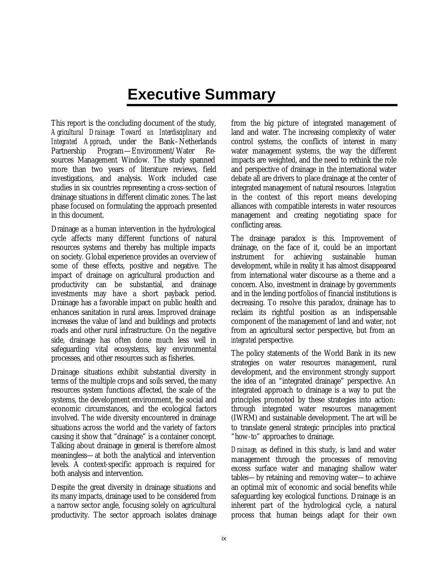## **Executive Summary**

This report is the concluding document of the study, *Agricultural Drainage: Toward an Interdisciplinary and Integrated Approach,* under the Bank–Netherlands Partnership Program—Environment/Water Resources Management Window. The study spanned more than two years of literature reviews, field investigations, and analysis. Work included case studies in six countries representing a cross-section of drainage situations in different climatic zones. The last phase focused on formulating the approach presented in this document.

Drainage as a human intervention in the hydrological cycle affects many different functions of natural resources systems and thereby has multiple impacts on society. Global experience provides an overview of some of these effects, positive and negative. The impact of drainage on agricultural production and productivity can be substantial, and drainage investments may have a short payback period. Drainage has a favorable impact on public health and enhances sanitation in rural areas. Improved drainage increases the value of land and buildings and protects roads and other rural infrastructure. On the negative side, drainage has often done much less well in safeguarding vital ecosystems, key environmental processes, and other resources such as fisheries.

Drainage situations exhibit substantial diversity in terms of the multiple crops and soils served, the many resources system functions affected, the scale of the systems, the development environment, the social and economic circumstances, and the ecological factors involved. The wide diversity encountered in drainage situations across the world and the variety of factors causing it show that "drainage" is a container concept. Talking about drainage in general is therefore almost meaningless—at both the analytical and intervention levels. A context-specific approach is required for both analysis and intervention.

Despite the great diversity in drainage situations and its many impacts, drainage used to be considered from a narrow sector angle, focusing solely on agricultural productivity. The sector approach isolates drainage

from the big picture of integrated management of land and water. The increasing complexity of water control systems, the conflicts of interest in many water management systems, the way the different impacts are weighted, and the need to rethink the role and perspective of drainage in the international water debate all are drivers to place drainage at the center of integrated management of natural resources. *Integration* in the context of this report means developing alliances with compatible interests in water resources management and creating negotiating space for conflicting areas.

The drainage paradox is this. Improvement of drainage, on the face of it, could be an important instrument for achieving sustainable human development, while in reality it has almost disappeared from international water discourse as a theme and a concern. Also, investment in drainage by governments and in the lending portfolios of financial institutions is decreasing. To resolve this paradox, drainage has to reclaim its rightful position as an indispensable component of the management of land and water, not from an agricultural sector perspective, but from an *integrated* perspective.

The policy statements of the World Bank in its new strategies on water resources management, rural development, and the environment strongly support the idea of an "integrated drainage" perspective. An integrated approach to drainage is a way to put the principles promoted by these strategies into action: through integrated water resources management (IWRM) and sustainable development. The art will be to translate general strategic principles into practical "how-to" approaches to drainage.

*Drainage,* as defined in this study, is land and water management through the processes of removing excess surface water and managing shallow water tables—by retaining and removing water—to achieve an optimal mix of economic and social benefits while safeguarding key ecological functions. Drainage is an inherent part of the hydrological cycle, a natural process that human beings adapt for their own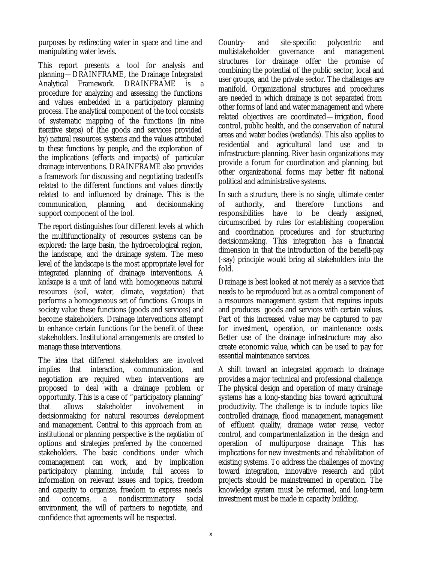purposes by redirecting water in space and time and manipulating water levels.

This report presents a tool for analysis and planning—DRAINFRAME, the Drainage Integrated Analytical Framework. DRAINFRAME is a procedure for analyzing and assessing the functions and values embedded in a participatory planning process. The analytical component of the tool consists of systematic mapping of the functions (in nine iterative steps) of (the goods and services provided by) natural resources systems and the values attributed to these functions by people, and the exploration of the implications (effects and impacts) of particular drainage interventions. DRAINFRAME also provides a framework for discussing and negotiating tradeoffs related to the different functions and values directly related to and influenced by drainage. This is the communication, planning, and decisionmaking support component of the tool.

The report distinguishes four different levels at which the multifunctionality of resources systems can be explored: the large basin, the hydroecological region, the landscape, and the drainage system. The meso level of the landscape is the most appropriate level for integrated planning of drainage interventions. A *landscape* is a unit of land with homogeneous natural resources (soil, water, climate, vegetation) that performs a homogeneous set of functions. Groups in society value these functions (goods and services) and become stakeholders. Drainage interventions attempt to enhance certain functions for the benefit of these stakeholders. Institutional arrangements are created to manage these interventions.

The idea that different stakeholders are involved implies that interaction, communication, and negotiation are required when interventions are proposed to deal with a drainage problem or opportunity. This is a case of "participatory planning" that allows stakeholder involvement in decisionmaking for natural resources development and management. Central to this approach from an institutional or planning perspective is the *negotiation* of options and strategies preferred by the concerned stakeholders. The basic conditions under which comanagement can work, and by implication participatory planning, include, full access to information on relevant issues and topics, freedom and capacity to organize, freedom to express needs and concerns, a nondiscriminatory social environment, the will of partners to negotiate, and confidence that agreements will be respected.

Country- and site-specific polycentric and multistakeholder governance and management structures for drainage offer the promise of combining the potential of the public sector, local and user groups, and the private sector. The challenges are manifold. Organizational structures and procedures are needed in which drainage is not separated from other forms of land and water management and where related objectives are coordinated—irrigation, flood control, public health, and the conservation of natural areas and water bodies (wetlands). This also applies to residential and agricultural land use and to infrastructure planning. River basin organizations may provide a forum for coordination and planning, but other organizational forms may better fit national political and administrative systems.

In such a structure, there is no single, ultimate center of authority, and therefore functions and responsibilities have to be clearly assigned, circumscribed by rules for establishing cooperation and coordination procedures and for structuring decisionmaking. This integration has a financial dimension in that the introduction of the benefit-pay (-say) principle would bring all stakeholders into the fold.

Drainage is best looked at not merely as a service that needs to be reproduced but as a central component of a resources management system that requires inputs and produces goods and services with certain values. Part of this increased value may be captured to pay for investment, operation, or maintenance costs. Better use of the drainage infrastructure may also create economic value, which can be used to pay for essential maintenance services.

A shift toward an integrated approach to drainage provides a major technical and professional challenge. The physical design and operation of many drainage systems has a long-standing bias toward agricultural productivity. The challenge is to include topics like controlled drainage, flood management, management of effluent quality, drainage water reuse, vector control, and compartmentalization in the design and operation of multipurpose drainage. This has implications for new investments and rehabilitation of existing systems. To address the challenges of moving toward integration, innovative research and pilot projects should be mainstreamed in operation. The knowledge system must be reformed, and long-term investment must be made in capacity building.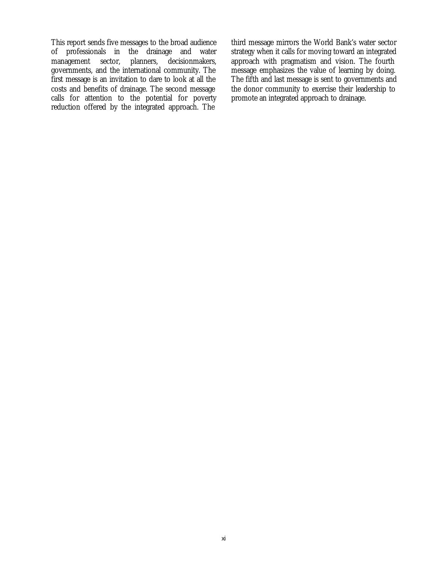This report sends five messages to the broad audience of professionals in the drainage and water management sector, planners, decisionmakers, governments, and the international community. The first message is an invitation to dare to look at all the costs and benefits of drainage. The second message calls for attention to the potential for poverty reduction offered by the integrated approach. The

third message mirrors the World Bank's water sector strategy when it calls for moving toward an integrated approach with pragmatism and vision. The fourth message emphasizes the value of learning by doing. The fifth and last message is sent to governments and the donor community to exercise their leadership to promote an integrated approach to drainage.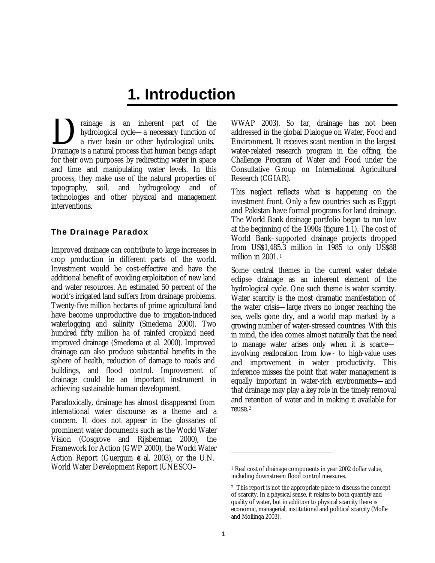### **1. Introduction**

rainage is an inherent part of the hydrological cycle—a necessary function of a river basin or other hydrological units. Drainage is an inherent part of the hydrological cycle—a necessary function of a river basin or other hydrological units.<br>Drainage is a natural process that human beings adapt for their own purposes by redirecting water in space and time and manipulating water levels. In this process, they make use of the natural properties of topography, soil, and hydrogeology and of technologies and other physical and management interventions.

#### **The Drainage Paradox**

Improved drainage can contribute to large increases in crop production in different parts of the world. Investment would be cost-effective and have the additional benefit of avoiding exploitation of new land and water resources. An estimated 50 percent of the world's irrigated land suffers from drainage problems. Twenty-five million hectares of prime agricultural land have become unproductive due to irrigation-induced waterlogging and salinity (Smedema 2000). Two hundred fifty million ha of rainfed cropland need improved drainage (Smedema et al. 2000). Improved drainage can also produce substantial benefits in the sphere of health, reduction of damage to roads and buildings, and flood control. Improvement of drainage could be an important instrument in achieving sustainable human development.

Paradoxically, drainage has almost disappeared from international water discourse as a theme and a concern. It does not appear in the glossaries of prominent water documents such as the World Water Vision (Cosgrove and Rijsberman 2000), the Framework for Action (GWP 2000), the World Water Action Report (Guerguin  $d$  al. 2003), or the U.N. World Water Development Report (UNESCO–

WWAP 2003). So far, drainage has not been addressed in the global Dialogue on Water, Food and Environment. It receives scant mention in the largest water-related research program in the offing, the Challenge Program of Water and Food under the Consultative Group on International Agricultural Research (CGIAR).

This neglect reflects what is happening on the investment front. Only a few countries such as Egypt and Pakistan have formal programs for land drainage. The World Bank drainage portfolio began to run low at the beginning of the 1990s (figure 1.1). The cost of World Bank–supported drainage projects dropped from US\$1,485.3 million in 1985 to only US\$88 million in 2001.<sup>1</sup>

Some central themes in the current water debate eclipse drainage as an inherent element of the hydrological cycle. One such theme is water scarcity. Water scarcity is the most dramatic manifestation of the water crisis—large rivers no longer reaching the sea, wells gone dry, and a world map marked by a growing number of water-stressed countries. With this in mind, the idea comes almost naturally that the need to manage water arises only when it is scarce involving reallocation from low- to high-value uses and improvement in water productivity. This inference misses the point that water management is equally important in water-rich environments—and that drainage may play a key role in the timely removal and retention of water and in making it available for reuse.<sup>2</sup>

<sup>1</sup> Real cost of drainage components in year 2002 dollar value, including downstream flood control measures.

<sup>2</sup> This report is not the appropriate place to discuss the concept of scarcity. In a physical sense, it relates to both quantity and quality of water, but in addition to physical scarcity there is economic, managerial, institutional and political scarcity (Molle and Mollinga 2003).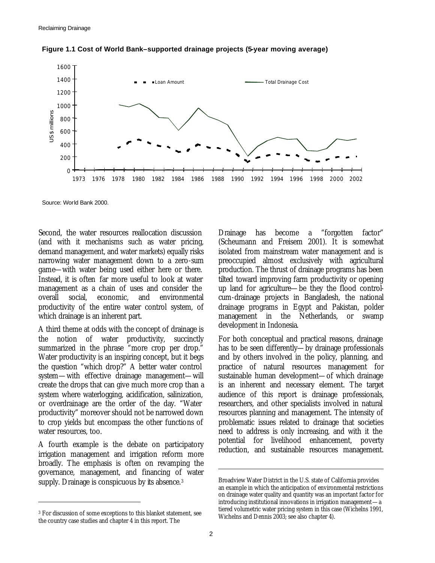

**Figure 1.1 Cost of World Bank–supported drainage projects (5-year moving average)**

Source: World Bank 2000.

Second, the water resources reallocation discussion (and with it mechanisms such as water pricing, demand management, and water markets) equally risks narrowing water management down to a zero-sum game—with water being used either here or there. Instead, it is often far more useful to look at water management as a chain of uses and consider the overall social, economic, and environmental productivity of the entire water control system, of which drainage is an inherent part.

A third theme at odds with the concept of drainage is the notion of water productivity, succinctly summarized in the phrase "more crop per drop." Water productivity is an inspiring concept, but it begs the question "which drop?" A better water control system—with effective drainage management—will create the drops that can give much more crop than a system where waterlogging, acidification, salinization, or overdrainage are the order of the day. "Water productivity" moreover should not be narrowed down to crop yields but encompass the other functions of water resources, too.

A fourth example is the debate on participatory irrigation management and irrigation reform more broadly. The emphasis is often on revamping the governance, management, and financing of water supply. Drainage is conspicuous by its absence.<sup>3</sup>

 $\ddot{\phantom{a}}$ 

Drainage has become a "forgotten factor" (Scheumann and Freisem 2001). It is somewhat isolated from mainstream water management and is preoccupied almost exclusively with agricultural production. The thrust of drainage programs has been tilted toward improving farm productivity or opening up land for agriculture—be they the flood controlcum-drainage projects in Bangladesh, the national drainage programs in Egypt and Pakistan, polder management in the Netherlands, or swamp development in Indonesia.

For both conceptual and practical reasons, drainage has to be seen differently—by drainage professionals and by others involved in the policy, planning, and practice of natural resources management for sustainable human development—of which drainage is an inherent and necessary element. The target audience of this report is drainage professionals, researchers, and other specialists involved in natural resources planning and management. The intensity of problematic issues related to drainage that societies need to address is only increasing, and with it the potential for livelihood enhancement, poverty reduction, and sustainable resources management.

<sup>3</sup> For discussion of some exceptions to this blanket statement, see the country case studies and chapter 4 in this report. The

Broadview Water District in the U.S. state of California provides an example in which the anticipation of environmental restrictions on drainage water quality and quantity was an important factor for introducing institutional innovations in irrigation management—a tiered volumetric water pricing system in this case (Wichelns 1991, Wichelns and Dennis 2003; see also chapter 4).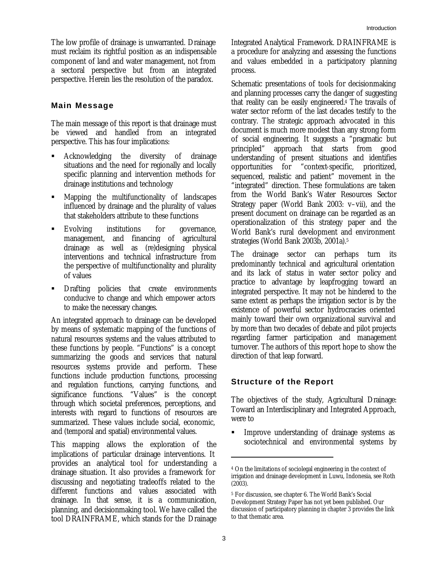The low profile of drainage is unwarranted. Drainage must reclaim its rightful position as an indispensable component of land and water management, not from a sectoral perspective but from an integrated perspective. Herein lies the resolution of the paradox.

#### **Main Message**

The main message of this report is that drainage must be viewed and handled from an integrated perspective. This has four implications:

- ß Acknowledging the diversity of drainage situations and the need for regionally and locally specific planning and intervention methods for drainage institutions and technology
- ß Mapping the multifunctionality of landscapes influenced by drainage and the plurality of values that stakeholders attribute to these functions
- ß Evolving institutions for governance, management, and financing of agricultural drainage as well as (re)designing physical interventions and technical infrastructure from the perspective of multifunctionality and plurality of values
- ß Drafting policies that create environments conducive to change and which empower actors to make the necessary changes.

An integrated approach to drainage can be developed by means of systematic mapping of the functions of natural resources systems and the values attributed to these functions by people. "Functions" is a concept summarizing the goods and services that natural resources systems provide and perform. These functions include production functions, processing and regulation functions, carrying functions, and significance functions. "Values" is the concept through which societal preferences, perceptions, and interests with regard to functions of resources are summarized. These values include social, economic, and (temporal and spatial) environmental values.

This mapping allows the exploration of the implications of particular drainage interventions. It provides an analytical tool for understanding a drainage situation. It also provides a framework for discussing and negotiating tradeoffs related to the different functions and values associated with drainage. In that sense, it is a communication, planning, and decisionmaking tool. We have called the tool DRAINFRAME, which stands for the Drainage Integrated Analytical Framework. DRAINFRAME is a procedure for analyzing and assessing the functions and values embedded in a participatory planning process.

Schematic presentations of tools for decisionmaking and planning processes carry the danger of suggesting that reality can be easily engineered.4 The travails of water sector reform of the last decades testify to the contrary. The strategic approach advocated in this document is much more modest than any strong form of social engineering. It suggests a "pragmatic but principled" approach that starts from good understanding of present situations and identifies opportunities for "context-specific, prioritized, sequenced, realistic and patient" movement in the "integrated" direction. These formulations are taken from the World Bank's Water Resources Sector Strategy paper (World Bank 2003: v–vii), and the present document on drainage can be regarded as an operationalization of this strategy paper and the World Bank's rural development and environment strategies (World Bank 2003b, 2001a).<sup>5</sup>

The drainage sector can perhaps turn its predominantly technical and agricultural orientation and its lack of status in water sector policy and practice to advantage by leapfrogging toward an integrated perspective. It may not be hindered to the same extent as perhaps the irrigation sector is by the existence of powerful sector hydrocracies oriented mainly toward their own organizational survival and by more than two decades of debate and pilot projects regarding farmer participation and management turnover. The authors of this report hope to show the direction of that leap forward.

#### **Structure of the Report**

The objectives of the study, Agricultural Drainage: Toward an Interdisciplinary and Integrated Approach, were to

**Improve understanding of drainage systems as** sociotechnical and environmental systems by

<sup>4</sup> On the limitations of sociolegal engineering in the context of irrigation and drainage development in Luwu, Indonesia, see Roth (2003).

<sup>5</sup> For discussion, see chapter 6. The World Bank's Social Development Strategy Paper has not yet been published. Our discussion of participatory planning in chapter 3 provides the link to that thematic area.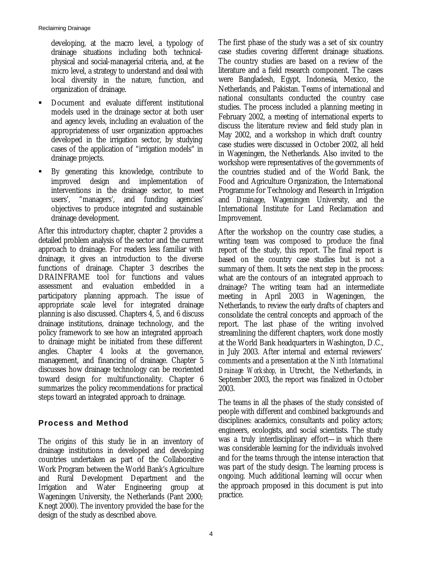developing, at the macro level, a typology of drainage situations including both technicalphysical and social-managerial criteria, and, at the micro level, a strategy to understand and deal with local diversity in the nature, function, and organization of drainage.

- **•** Document and evaluate different institutional models used in the drainage sector at both user and agency levels, including an evaluation of the appropriateness of user organization approaches developed in the irrigation sector, by studying cases of the application of "irrigation models" in drainage projects.
- ß By generating this knowledge, contribute to improved design and implementation of interventions in the drainage sector, to meet users', "managers', and funding agencies' objectives to produce integrated and sustainable drainage development.

After this introductory chapter, chapter 2 provides a detailed problem analysis of the sector and the current approach to drainage. For readers less familiar with drainage, it gives an introduction to the diverse functions of drainage. Chapter 3 describes the DRAINFRAME tool for functions and values<br>assessment and evaluation embedded in a assessment and evaluation embedded in a participatory planning approach. The issue of appropriate scale level for integrated drainage planning is also discussed. Chapters 4, 5, and 6 discuss drainage institutions, drainage technology, and the policy framework to see how an integrated approach to drainage might be initiated from these different angles. Chapter 4 looks at the governance, management, and financing of drainage. Chapter 5 discusses how drainage technology can be reoriented toward design for multifunctionality. Chapter 6 summarizes the policy recommendations for practical steps toward an integrated approach to drainage.

#### **Process and Method**

The origins of this study lie in an inventory of drainage institutions in developed and developing countries undertaken as part of the Collaborative Work Program between the World Bank's Agriculture and Rural Development Department and the Irrigation and Water Engineering group at Wageningen University, the Netherlands (Pant 2000; Knegt 2000). The inventory provided the base for the design of the study as described above.

The first phase of the study was a set of six country case studies covering different drainage situations. The country studies are based on a review of the literature and a field research component. The cases were Bangladesh, Egypt, Indonesia, Mexico, the Netherlands, and Pakistan. Teams of international and national consultants conducted the country case studies. The process included a planning meeting in February 2002, a meeting of international experts to discuss the literature review and field study plan in May 2002, and a workshop in which draft country case studies were discussed in October 2002, all held in Wageningen, the Netherlands. Also invited to the workshop were representatives of the governments of the countries studied and of the World Bank, the Food and Agriculture Organization, the International Programme for Technology and Research in Irrigation and Drainage, Wageningen University, and the International Institute for Land Reclamation and Improvement.

After the workshop on the country case studies, a writing team was composed to produce the final report of the study, this report. The final report is based on the country case studies but is not a summary of them. It sets the next step in the process: what are the contours of an integrated approach to drainage? The writing team had an intermediate meeting in April 2003 in Wageningen, the Netherlands, to review the early drafts of chapters and consolidate the central concepts and approach of the report. The last phase of the writing involved streamlining the different chapters, work done mostly at the World Bank headquarters in Washington, D.C., in July 2003. After internal and external reviewers' comments and a presentation at the *Ninth International Drainage Workshop,* in Utrecht, the Netherlands, in September 2003, the report was finalized in October 2003.

The teams in all the phases of the study consisted of people with different and combined backgrounds and disciplines: academics, consultants and policy actors; engineers, ecologists, and social scientists. The study was a truly interdisciplinary effort—in which there was considerable learning for the individuals involved and for the teams through the intense interaction that was part of the study design. The learning process is ongoing. Much additional learning will occur when the approach proposed in this document is put into practice.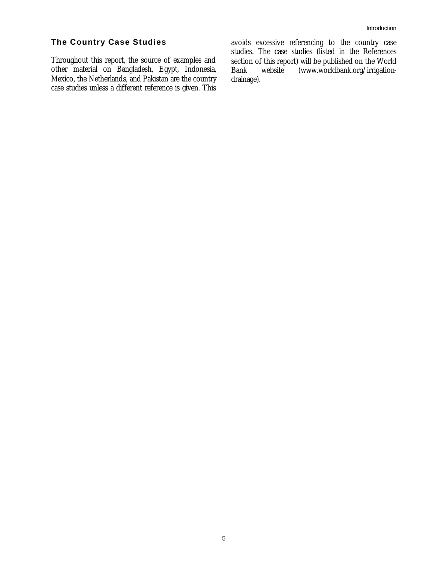#### **The Country Case Studies**

Throughout this report, the source of examples and other material on Bangladesh, Egypt, Indonesia, Mexico, the Netherlands, and Pakistan are the country case studies unless a different reference is given. This avoids excessive referencing to the country case studies. The case studies (listed in the References section of this report) will be published on the World<br>Bank website (www.worldbank.org/irrigation-(www.worldbank.org/irrigationdrainage).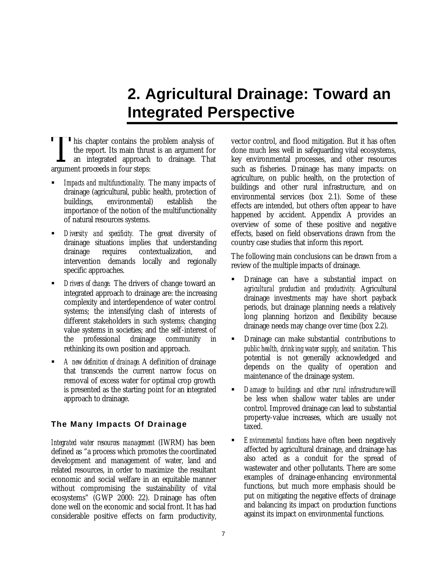# **2. Agricultural Drainage: Toward an Integrated Perspective**

his chapter contains the problem analysis of the report. Its main thrust is an argument for an integrated approach to drainage. That This chapter contains the<br>the report. Its main thrus<br>an integrated approach<br>argument proceeds in four steps:

- ß *Impacts and multifunctionality.* The many impacts of drainage (agricultural, public health, protection of buildings, environmental) establish the importance of the notion of the multifunctionality of natural resources systems.
- ß *Diversity and specificity.* The great diversity of drainage situations implies that understanding drainage requires contextualization, and intervention demands locally and regionally specific approaches.
- ß *Drivers of change.* The drivers of change toward an integrated approach to drainage are: the increasing complexity and interdependence of water control systems; the intensifying clash of interests of different stakeholders in such systems; changing value systems in societies; and the self-interest of the professional drainage community in rethinking its own position and approach.
- ß *A new definition of drainage.* A definition of drainage that transcends the current narrow focus on removal of excess water for optimal crop growth is presented as the starting point for an integrated approach to drainage.

#### **The Many Impacts Of Drainage**

*Integrated water resources management* (IWRM) has been defined as "a process which promotes the coordinated development and management of water, land and related resources, in order to maximize the resultant economic and social welfare in an equitable manner without compromising the sustainability of vital ecosystems" (GWP 2000: 22). Drainage has often done well on the economic and social front. It has had considerable positive effects on farm productivity,

vector control, and flood mitigation. But it has often done much less well in safeguarding vital ecosystems, key environmental processes, and other resources such as fisheries. Drainage has many impacts: on agriculture, on public health, on the protection of buildings and other rural infrastructure, and on environmental services (box 2.1). Some of these effects are intended, but others often appear to have happened by accident. Appendix A provides an overview of some of these positive and negative effects, based on field observations drawn from the country case studies that inform this report.

The following main conclusions can be drawn from a review of the multiple impacts of drainage.

- ß Drainage can have a substantial impact on *agricultural production and productivity.* Agricultural drainage investments may have short payback periods, but drainage planning needs a relatively long planning horizon and flexibility because drainage needs may change over time (box 2.2).
- ß Drainage can make substantial contributions to *public health, drinking water supply, and sanitation.* This potential is not generally acknowledged and depends on the quality of operation and maintenance of the drainage system.
- ß *Damage to buildings and other rural infrastructure* will be less when shallow water tables are under control. Improved drainage can lead to substantial property-value increases, which are usually not taxed.
- **Environmental functions have often been negatively** affected by agricultural drainage, and drainage has also acted as a conduit for the spread of wastewater and other pollutants. There are some examples of drainage-enhancing environmental functions, but much more emphasis should be put on mitigating the negative effects of drainage and balancing its impact on production functions against its impact on environmental functions.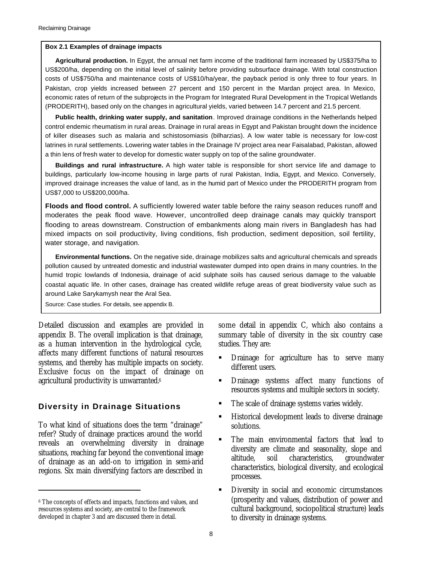#### **Box 2.1 Examples of drainage impacts**

**Agricultural production.** In Egypt, the annual net farm income of the traditional farm increased by US\$375/ha to US\$200/ha, depending on the initial level of salinity before providing subsurface drainage. With total construction costs of US\$750/ha and maintenance costs of US\$10/ha/year, the payback period is only three to four years. In Pakistan, crop yields increased between 27 percent and 150 percent in the Mardan project area. In Mexico, economic rates of return of the subprojects in the Program for Integrated Rural Development in the Tropical Wetlands (PRODERITH), based only on the changes in agricultural yields, varied between 14.7 percent and 21.5 percent.

**Public health, drinking water supply, and sanitation**. Improved drainage conditions in the Netherlands helped control endemic rheumatism in rural areas. Drainage in rural areas in Egypt and Pakistan brought down the incidence of killer diseases such as malaria and schistosomiasis (bilharzias). A low water table is necessary for low-cost latrines in rural settlements. Lowering water tables in the Drainage IV project area near Faisalabad, Pakistan, allowed a thin lens of fresh water to develop for domestic water supply on top of the saline groundwater.

**Buildings and rural infrastructure.** A high water table is responsible for short service life and damage to buildings, particularly low-income housing in large parts of rural Pakistan, India, Egypt, and Mexico. Conversely, improved drainage increases the value of land, as in the humid part of Mexico under the PRODERITH program from US\$7,000 to US\$200,000/ha.

**Floods and flood control.** A sufficiently lowered water table before the rainy season reduces runoff and moderates the peak flood wave. However, uncontrolled deep drainage canals may quickly transport flooding to areas downstream. Construction of embankments along main rivers in Bangladesh has had mixed impacts on soil productivity, living conditions, fish production, sediment deposition, soil fertility, water storage, and navigation.

**Environmental functions.** On the negative side, drainage mobilizes salts and agricultural chemicals and spreads pollution caused by untreated domestic and industrial wastewater dumped into open drains in many countries. In the humid tropic lowlands of Indonesia, drainage of acid sulphate soils has caused serious damage to the valuable coastal aquatic life. In other cases, drainage has created wildlife refuge areas of great biodiversity value such as around Lake Sarykamysh near the Aral Sea.

Source: Case studies. For details, see appendix B.

Detailed discussion and examples are provided in appendix B. The overall implication is that drainage, as a human intervention in the hydrological cycle, affects many different functions of natural resources systems, and thereby has multiple impacts on society. Exclusive focus on the impact of drainage on agricultural productivity is unwarranted.<sup>6</sup>

#### **Diversity in Drainage Situations**

To what kind of situations does the term "drainage" refer? Study of drainage practices around the world reveals an overwhelming diversity in drainage situations, reaching far beyond the conventional image of drainage as an add-on to irrigation in semi-arid regions. Six main diversifying factors are described in

 $\ddot{\phantom{a}}$ 

some detail in appendix C, which also contains a summary table of diversity in the six country case studies. They are:

- ß Drainage for agriculture has to serve many different users.
- **•** Drainage systems affect many functions of resources systems and multiple sectors in society.
- The scale of drainage systems varies widely.
- ß Historical development leads to diverse drainage solutions.
- ß The main environmental factors that lead to diversity are climate and seasonality, slope and altitude, soil characteristics, groundwater characteristics, biological diversity, and ecological processes.
- **•** Diversity in social and economic circumstances (prosperity and values, distribution of power and cultural background, sociopolitical structure) leads to diversity in drainage systems.

<sup>6</sup> The concepts of effects and impacts, functions and values, and resources systems and society, are central to the framework developed in chapter 3 and are discussed there in detail.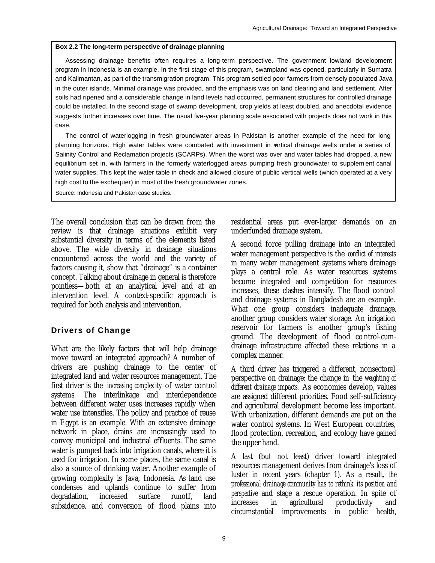#### **Box 2.2 The long-term perspective of drainage planning**

Assessing drainage benefits often requires a long-term perspective. The government lowland development program in Indonesia is an example. In the first stage of this program, swampland was opened, particularly in Sumatra and Kalimantan, as part of the transmigration program. This program settled poor farmers from densely populated Java in the outer islands. Minimal drainage was provided, and the emphasis was on land clearing and land settlement. After soils had ripened and a considerable change in land levels had occurred, permanent structures for controlled drainage could be installed. In the second stage of swamp development, crop yields at least doubled, and anecdotal evidence suggests further increases over time. The usual five-year planning scale associated with projects does not work in this case.

The control of waterlogging in fresh groundwater areas in Pakistan is another example of the need for long planning horizons. High water tables were combated with investment in vertical drainage wells under a series of Salinity Control and Reclamation projects (SCARPs). When the worst was over and water tables had dropped, a new equilibrium set in, with farmers in the formerly waterlogged areas pumping fresh groundwater to supplem ent canal water supplies. This kept the water table in check and allowed closure of public vertical wells (which operated at a very high cost to the exchequer) in most of the fresh groundwater zones.

Source: Indonesia and Pakistan case studies.

The overall conclusion that can be drawn from the review is that drainage situations exhibit very substantial diversity in terms of the elements listed above. The wide diversity in drainage situations encountered across the world and the variety of factors causing it, show that "drainage" is a container concept. Talking about drainage in general is therefore pointless—both at an analytical level and at an intervention level. A context-specific approach is required for both analysis and intervention.

#### **Drivers of Change**

What are the likely factors that will help drainage move toward an integrated approach? A number of drivers are pushing drainage to the center of integrated land and water resources management. The first driver is the *increasing complexity* of water control systems. The interlinkage and interdependence between different water uses increases rapidly when water use intensifies. The policy and practice of reuse in Egypt is an example. With an extensive drainage network in place, drains are increasingly used to convey municipal and industrial effluents. The same water is pumped back into irrigation canals, where it is used for irrigation. In some places, the same canal is also a source of drinking water. Another example of growing complexity is Java, Indonesia. As land use condenses and uplands continue to suffer from degradation, increased surface runoff, land subsidence, and conversion of flood plains into

residential areas put ever-larger demands on an underfunded drainage system.

A second force pulling drainage into an integrated water management perspective is the *conflict of interests*  in many water management systems where drainage plays a central role. As water resources systems become integrated and competition for resources increases, these clashes intensify. The flood control and drainage systems in Bangladesh are an example. What one group considers inadequate drainage, another group considers water storage. An irrigation reservoir for farmers is another group's fishing ground. The development of flood control-cumdrainage infrastructure affected these relations in a complex manner.

A third driver has triggered a different, nonsectoral perspective on drainage: the change in the *weighting of different drainage impacts.* As economies develop, values are assigned different priorities. Food self-sufficiency and agricultural development become less important. With urbanization, different demands are put on the water control systems. In West European countries, flood protection, recreation, and ecology have gained the upper hand.

A last (but not least) driver toward integrated resources management derives from drainage's loss of luster in recent years (chapter 1). As a result, *the professional drainage community has to rethink its position and perspective* and stage a rescue operation. In spite of increases in agricultural productivity and circumstantial improvements in public health,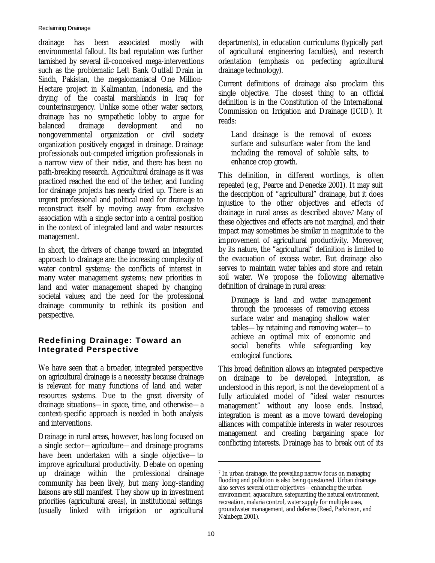drainage has been associated mostly with environmental fallout. Its bad reputation was further tarnished by several ill-conceived mega-interventions such as the problematic Left Bank Outfall Drain in Sindh, Pakistan, the megalomaniacal One Million-Hectare project in Kalimantan, Indonesia, and the drying of the coastal marshlands in Iraq for counterinsurgency. Unlike some other water sectors, drainage has no sympathetic lobby to argue for balanced drainage development and no nongovernmental organization or civil society organization positively engaged in drainage. Drainage professionals out-competed irrigation professionals in a narrow view of their *métier,* and there has been no path-breaking research. Agricultural drainage as it was practiced reached the end of the tether, and funding for drainage projects has nearly dried up. There is an urgent professional and political need for drainage to reconstruct itself by moving away from exclusive association with a single sector into a central position in the context of integrated land and water resources management.

In short, the drivers of change toward an integrated approach to drainage are: the increasing complexity of water control systems; the conflicts of interest in many water management systems; new priorities in land and water management shaped by changing societal values; and the need for the professional drainage community to rethink its position and perspective.

#### **Redefining Drainage: Toward an Integrated Perspective**

We have seen that a broader, integrated perspective on agricultural drainage is a necessity because drainage is relevant for many functions of land and water resources systems. Due to the great diversity of drainage situations—in space, time, and otherwise—a context-specific approach is needed in both analysis and interventions.

Drainage in rural areas, however, has long focused on a single sector—agriculture—and drainage programs have been undertaken with a single objective—to improve agricultural productivity. Debate on opening up drainage within the professional drainage community has been lively, but many long-standing liaisons are still manifest. They show up in investment priorities (agricultural areas), in institutional settings (usually linked with irrigation or agricultural

departments), in education curriculums (typically part of agricultural engineering faculties), and research orientation (emphasis on perfecting agricultural drainage technology).

Current definitions of drainage also proclaim this single objective. The closest thing to an official definition is in the Constitution of the International Commission on Irrigation and Drainage (ICID). It reads:

Land drainage is the removal of excess surface and subsurface water from the land including the removal of soluble salts, to enhance crop growth.

This definition, in different wordings, is often repeated (e.g., Pearce and Denecke 2001). It may suit the description of "agricultural" drainage, but it does injustice to the other objectives and effects of drainage in rural areas as described above.7 Many of these objectives and effects are not marginal, and their impact may sometimes be similar in magnitude to the improvement of agricultural productivity. Moreover, by its nature, the "agricultural" definition is limited to the evacuation of excess water. But drainage also serves to maintain water tables and store and retain soil water. We propose the following alternative definition of drainage in rural areas:

Drainage is land and water management through the processes of removing excess surface water and managing shallow water tables—by retaining and removing water—to achieve an optimal mix of economic and social benefits while safeguarding key ecological functions.

This broad definition allows an integrated perspective on drainage to be developed. Integration, as understood in this report, is not the development of a fully articulated model of "ideal water resources management" without any loose ends. Instead, integration is meant as a move toward developing alliances with compatible interests in water resources management and creating bargaining space for conflicting interests. Drainage has to break out of its

<sup>7</sup> In urban drainage, the prevailing narrow focus on managing flooding and pollution is also being questioned. Urban drainage also serves several other objectives—enhancing the urban environment, aquaculture, safeguarding the natural environment, recreation, malaria control, water supply for multiple uses, groundwater management, and defense (Reed, Parkinson, and Nalubega 2001).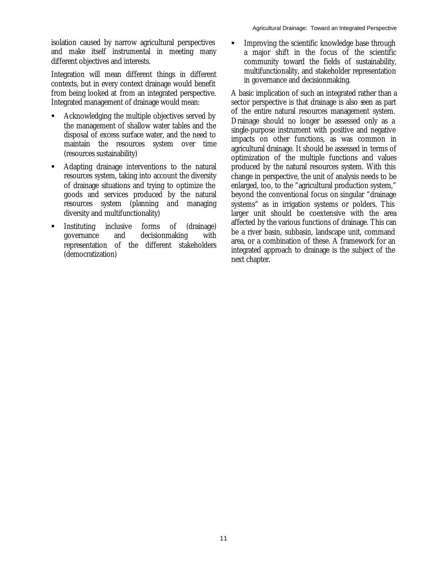isolation caused by narrow agricultural perspectives and make itself instrumental in meeting many different objectives and interests.

Integration will mean different things in different contexts, but in every context drainage would benefit from being looked at from an integrated perspective. Integrated management of drainage would mean:

- ß Acknowledging the multiple objectives served by the management of shallow water tables and the disposal of excess surface water, and the need to maintain the resources system over time (resources sustainability)
- ß Adapting drainage interventions to the natural resources system, taking into account the diversity of drainage situations and trying to optimize the goods and services produced by the natural resources system (planning and managing diversity and multifunctionality)
- ß Instituting inclusive forms of (drainage) governance and decisionmaking with representation of the different stakeholders (democratization)

**IMPROVING THE SCIENTIFIC KNOWLED FOR SET IMPROVING** Interactions Interactions **Interactions** a major shift in the focus of the scientific community toward the fields of sustainability, multifunctionality, and stakeholder representation in governance and decisionmaking.

A basic implication of such an integrated rather than a sector perspective is that drainage is also seen as part of the entire natural resources management system. Drainage should no longer be assessed only as a single-purpose instrument with positive and negative impacts on other functions, as was common in agricultural drainage. It should be assessed in terms of optimization of the multiple functions and values produced by the natural resources system. With this change in perspective, the unit of analysis needs to be enlarged, too, to the "agricultural production system," beyond the conventional focus on singular "drainage systems" as in irrigation systems or polders. This larger unit should be coextensive with the area affected by the various functions of drainage. This can be a river basin, subbasin, landscape unit, command area, or a combination of these. A framework for an integrated approach to drainage is the subject of the next chapter.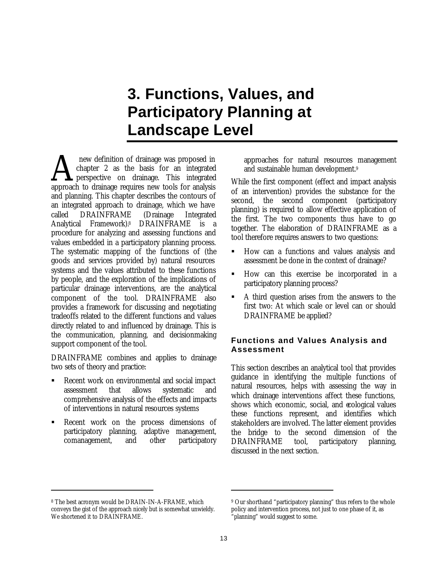# **3. Functions, Values, and Participatory Planning at Landscape Level**

 new definition of drainage was proposed in chapter 2 as the basis for an integrated **A** perspective on drainage. This integrated **A** new definition of drainage was proposed in chapter 2 as the basis for an integrated approach to drainage requires new tools for analysis and planning. This chapter describes the contours of an integrated approach to drainage, which we have called DRAINFRAME (Drainage Integrated Analytical Framework).8 DRAINFRAME is a procedure for analyzing and assessing functions and values embedded in a participatory planning process. The systematic mapping of the functions of (the goods and services provided by) natural resources systems and the values attributed to these functions by people, and the exploration of the implications of particular drainage interventions, are the analytical component of the tool. DRAINFRAME also provides a framework for discussing and negotiating tradeoffs related to the different functions and values directly related to and influenced by drainage. This is the communication, planning, and decisionmaking support component of the tool.

DRAINFRAME combines and applies to drainage two sets of theory and practice:

- ß Recent work on environmental and social impact assessment that allows systematic and comprehensive analysis of the effects and impacts of interventions in natural resources systems
- ß Recent work on the process dimensions of participatory planning, adaptive management, comanagement, and other participatory

approaches for natural resources management and sustainable human development.<sup>9</sup>

While the first component (effect and impact analysis of an intervention) provides the substance for the second, the second component (participatory planning) is required to allow effective application of the first. The two components thus have to go together. The elaboration of DRAINFRAME as a tool therefore requires answers to two questions:

- ß How can a functions and values analysis and assessment be done in the context of drainage?
- ß How can this exercise be incorporated in a participatory planning process?
- ß A third question arises from the answers to the first two: At which scale or level can or should DRAINFRAME be applied?

#### **Functions and Values Analysis and Assessment**

This section describes an analytical tool that provides guidance in identifying the multiple functions of natural resources, helps with assessing the way in which drainage interventions affect these functions, shows which economic, social, and ecological values these functions represent, and identifies which stakeholders are involved. The latter element provides the bridge to the second dimension of the DRAINFRAME tool, participatory planning, discussed in the next section.

 $\ddot{\phantom{a}}$ 

<sup>8</sup> The best acronym would be DRAIN-IN-A-FRAME, which conveys the gist of the approach nicely but is somewhat unwieldy. We shortened it to DRAINFRAME.

<sup>&</sup>lt;sup>9</sup> Our shorthand "participatory planning" thus refers to the whole policy and intervention process, not just to one phase of it, as "planning" would suggest to some.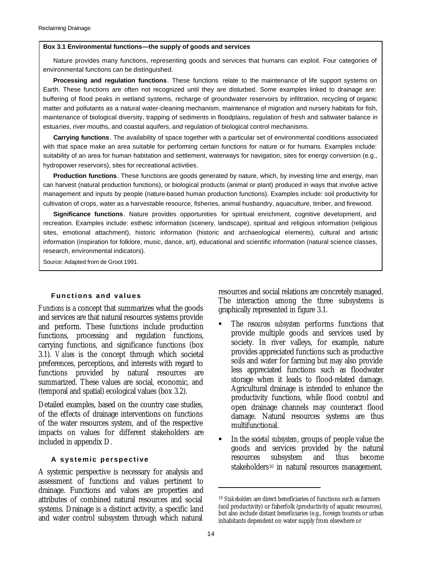#### **Box 3.1 Environmental functions—the supply of goods and services**

Nature provides many functions, representing goods and services that humans can exploit. Four categories of environmental functions can be distinguished.

**Processing and regulation functions**. These functions relate to the maintenance of life support systems on Earth. These functions are often not recognized until they are disturbed. Some examples linked to drainage are: buffering of flood peaks in wetland systems, recharge of groundwater reservoirs by infiltration, recycling of organic matter and pollutants as a natural water-cleaning mechanism, maintenance of migration and nursery habitats for fish, maintenance of biological diversity, trapping of sediments in floodplains, regulation of fresh and saltwater balance in estuaries, river mouths, and coastal aquifers, and regulation of biological control mechanisms.

**Carrying functions**. The availability of space together with a particular set of environmental conditions associated with that space make an area suitable for performing certain functions for nature or for humans. Examples include: suitability of an area for human habitation and settlement, waterways for navigation, sites for energy conversion (e.g., hydropower reservoirs), sites for recreational activities.

**Production functions**. These functions are goods generated by nature, which, by investing time and energy, man can harvest (natural production functions), or biological products (animal or plant) produced in ways that involve active management and inputs by people (nature-based human production functions). Examples include: soil productivity for cultivation of crops, water as a harvestable resource, fisheries, animal husbandry, aquaculture, timber, and firewood.

**Significance functions**. Nature provides opportunities for spiritual enrichment, cognitive development, and recreation. Examples include: esthetic information (scenery, landscape), spiritual and religious information (religious sites, emotional attachment), historic information (historic and archaeological elements), cultural and artistic information (inspiration for folklore, music, dance, art), educational and scientific information (natural science classes, research, environmental indicators).

Source: Adapted from de Groot 1991.

#### **Functions and values**

*Functions* is a concept that summarizes what the goods and services are that natural resources systems provide and perform. These functions include production functions, processing and regulation functions, carrying functions, and significance functions (box 3.1). *Values* is the concept through which societal preferences, perceptions, and interests with regard to functions provided by natural resources are summarized. These values are social, economic, and (temporal and spatial) ecological values (box 3.2).

Detailed examples, based on the country case studies, of the effects of drainage interventions on functions of the water resources system, and of the respective impacts on values for different stakeholders are included in appendix D.

#### **A systemic perspective**

A systemic perspective is necessary for analysis and assessment of functions and values pertinent to drainage. Functions and values are properties and attributes of combined natural resources and social systems. Drainage is a distinct activity, a specific land and water control subsystem through which natural

resources and social relations are concretely managed. The interaction among the three subsystems is graphically represented in figure 3.1.

- ß The *resources subsystem* performs functions that provide multiple goods and services used by society. In river valleys, for example, nature provides appreciated functions such as productive soils and water for farming but may also provide less appreciated functions such as floodwater storage when it leads to flood-related damage. Agricultural drainage is intended to enhance the productivity functions, while flood control and open drainage channels may counteract flood damage. Natural resources systems are thus multifunctional.
- ß In the *societal subsystem*, groups of people value the goods and services provided by the natural resources subsystem and thus become stakeholders<sup>10</sup> in natural resources management.

<sup>10</sup> *Stakeholders* are direct beneficiaries of functions such as farmers (soil productivity) or fisherfolk (productivity of aquatic resources), but also include distant beneficiaries (e.g., foreign tourists or urban inhabitants dependent on water supply from elsewhere or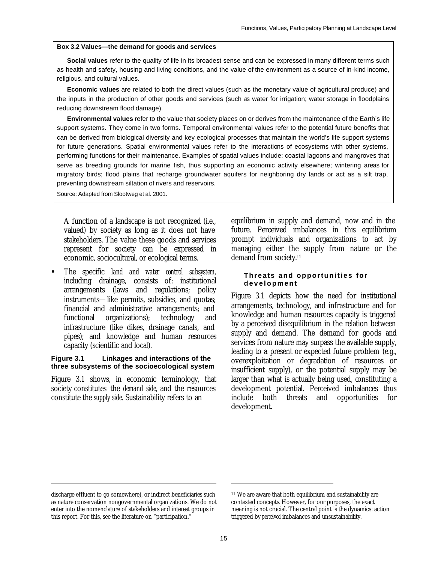#### **Box 3.2 Values—the demand for goods and services**

**Social values** refer to the quality of life in its broadest sense and can be expressed in many different terms such as health and safety, housing and living conditions, and the value of the environment as a source of in-kind income, religious, and cultural values.

**Economic values** are related to both the direct values (such as the monetary value of agricultural produce) and the inputs in the production of other goods and services (such as water for irrigation; water storage in floodplains reducing downstream flood damage).

**Environmental values** refer to the value that society places on or derives from the maintenance of the Earth's life support systems. They come in two forms. Temporal environmental values refer to the potential future benefits that can be derived from biological diversity and key ecological processes that maintain the world's life support systems for future generations. Spatial environmental values refer to the interactions of ecosystems with other systems, performing functions for their maintenance. Examples of spatial values include: coastal lagoons and mangroves that serve as breeding grounds for marine fish, thus supporting an economic activity elsewhere; wintering areas for migratory birds; flood plains that recharge groundwater aquifers for neighboring dry lands or act as a silt trap, preventing downstream siltation of rivers and reservoirs.

Source: Adapted from Slootweg et al. 2001.

A function of a landscape is not recognized (i.e., valued) by society as long as it does not have stakeholders. The value these goods and services represent for society can be expressed in economic, sociocultural, or ecological terms.

ß The specific *land and water control subsystem,* including drainage, consists of: institutional arrangements (laws and regulations; policy instruments—like permits, subsidies, and quotas; financial and administrative arrangements; and functional organizations); technology and infrastructure (like dikes, drainage canals, and pipes); and knowledge and human resources capacity (scientific and local).

#### **Figure 3.1 Linkages and interactions of the three subsystems of the socioecological system**

Figure 3.1 shows, in economic terminology, that society constitutes the *demand side*, and the resources constitute the *supply side*. Sustainability refers to an

equilibrium in supply and demand, now and in the future. Perceived imbalances in this equilibrium prompt individuals and organizations to act by managing either the supply from nature or the demand from society.<sup>11</sup>

#### **Threats and opportunities for development**

Figure 3.1 depicts how the need for institutional arrangements, technology, and infrastructure and for knowledge and human resources capacity is triggered by a perceived disequilibrium in the relation between supply and demand. The demand for goods and services from nature may surpass the available supply, leading to a present or expected future problem (e.g., overexploitation or degradation of resources or insufficient supply), or the potential supply may be larger than what is actually being used, constituting a development potential. Perceived imbalances thus include both threats and opportunities for development.

 $\ddot{\phantom{a}}$ 

discharge effluent to go somewhere), or indirect beneficiaries such as nature conservation nongovernmental organizations. We do not enter into the nomenclature of stakeholders and interest groups in this report. For this, see the literature on "participation."

<sup>11</sup> We are aware that both equilibrium and sustainability are contested concepts. However, for our purposes, the exact meaning is not crucial. The central point is the dynamics: action triggered by *perceived* imbalances and unsustainability.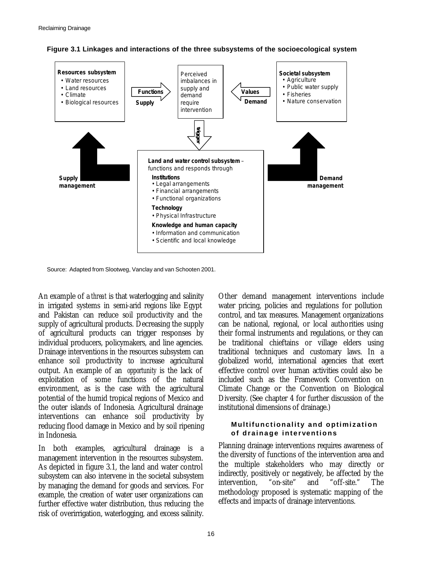



Source: Adapted from Slootweg, Vanclay and van Schooten 2001.

An example of a *threat* is that waterlogging and salinity in irrigated systems in semi-arid regions like Egypt and Pakistan can reduce soil productivity and the supply of agricultural products. Decreasing the supply of agricultural products can trigger responses by individual producers, policymakers, and line agencies. Drainage interventions in the resources subsystem can enhance soil productivity to increase agricultural output. An example of an *opportunity* is the lack of exploitation of some functions of the natural environment, as is the case with the agricultural potential of the humid tropical regions of Mexico and the outer islands of Indonesia. Agricultural drainage interventions can enhance soil productivity by reducing flood damage in Mexico and by soil ripening in Indonesia.

In both examples, agricultural drainage is a management intervention in the resources subsystem. As depicted in figure 3.1, the land and water control subsystem can also intervene in the societal subsystem by managing the demand for goods and services. For example, the creation of water user organizations can further effective water distribution, thus reducing the risk of overirrigation, waterlogging, and excess salinity.

Other demand management interventions include water pricing, policies and regulations for pollution control, and tax measures. Management organizations can be national, regional, or local authorities using their formal instruments and regulations, or they can be traditional chieftains or village elders using traditional techniques and customary laws. In a globalized world, international agencies that exert effective control over human activities could also be included such as the Framework Convention on Climate Change or the Convention on Biological Diversity. (See chapter 4 for further discussion of the institutional dimensions of drainage.)

#### **Multifunctionality and optimization of drainage interventions**

Planning drainage interventions requires awareness of the diversity of functions of the intervention area and the multiple stakeholders who may directly or indirectly, positively or negatively, be affected by the intervention, "on-site" and "off-site." The methodology proposed is systematic mapping of the effects and impacts of drainage interventions.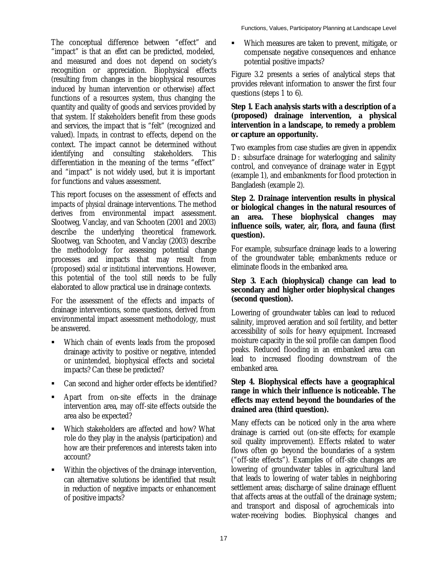The conceptual difference between "effect" and "impact" is that an *effect* can be predicted, modeled, and measured and does not depend on society's recognition or appreciation. Biophysical effects (resulting from changes in the biophysical resources induced by human intervention or otherwise) affect functions of a resources system, thus changing the quantity and quality of goods and services provided by that system. If stakeholders benefit from these goods and services, the impact that is "felt" (recognized and valued). *Impacts,* in contrast to effects, depend on the context. The impact cannot be determined without identifying and consulting stakeholders. This differentiation in the meaning of the terms "effect" and "impact" is not widely used, but it is important for functions and values assessment.

This report focuses on the assessment of effects and impacts of *physical* drainage interventions. The method derives from environmental impact assessment. Slootweg, Vanclay, and van Schooten (2001 and 2003) describe the underlying theoretical framework. Slootweg, van Schooten, and Vanclay (2003) describe the methodology for assessing potential change processes and impacts that may result from (proposed) *social or institutional* interventions. However, this potential of the tool still needs to be fully elaborated to allow practical use in drainage contexts.

For the assessment of the effects and impacts of drainage interventions, some questions, derived from environmental impact assessment methodology, must be answered.

- ß Which chain of events leads from the proposed drainage activity to positive or negative, intended or unintended, biophysical effects and societal impacts? Can these be predicted?
- ß Can second and higher order effects be identified?
- ß Apart from on-site effects in the drainage intervention area, may off-site effects outside the area also be expected?
- ß Which stakeholders are affected and how? What role do they play in the analysis (participation) and how are their preferences and interests taken into account?
- Within the objectives of the drainage intervention, can alternative solutions be identified that result in reduction of negative impacts or enhancement of positive impacts?

ß Which measures are taken to prevent, mitigate, or compensate negative consequences and enhance potential positive impacts?

Figure 3.2 presents a series of analytical steps that provides relevant information to answer the first four questions (steps 1 to 6).

#### **Step 1. Each analysis starts with a description of a (proposed) drainage intervention, a physical intervention in a landscape, to remedy a problem or capture an opportunity.**

Two examples from case studies are given in appendix D: subsurface drainage for waterlogging and salinity control, and conveyance of drainage water in Egypt (example 1), and embankments for flood protection in Bangladesh (example 2).

#### **Step 2. Drainage intervention results in physical or biological changes in the natural resources of an area. These biophysical changes may influence soils, water, air, flora, and fauna (first question).**

For example, subsurface drainage leads to a lowering of the groundwater table; embankments reduce or eliminate floods in the embanked area.

#### **Step 3. Each (biophysical) change can lead to secondary and higher order biophysical changes (second question).**

Lowering of groundwater tables can lead to reduced salinity, improved aeration and soil fertility, and better accessibility of soils for heavy equipment. Increased moisture capacity in the soil profile can dampen flood peaks. Reduced flooding in an embanked area can lead to increased flooding downstream of the embanked area.

#### **Step 4. Biophysical effects have a geographical range in which their influence is noticeable. The effects may extend beyond the boundaries of the drained area (third question).**

Many effects can be noticed only in the area where drainage is carried out (on-site effects; for example soil quality improvement). Effects related to water flows often go beyond the boundaries of a system ("off-site effects"). Examples of off-site changes are lowering of groundwater tables in agricultural land that leads to lowering of water tables in neighboring settlement areas; discharge of saline drainage effluent that affects areas at the outfall of the drainage system; and transport and disposal of agrochemicals into water-receiving bodies. Biophysical changes and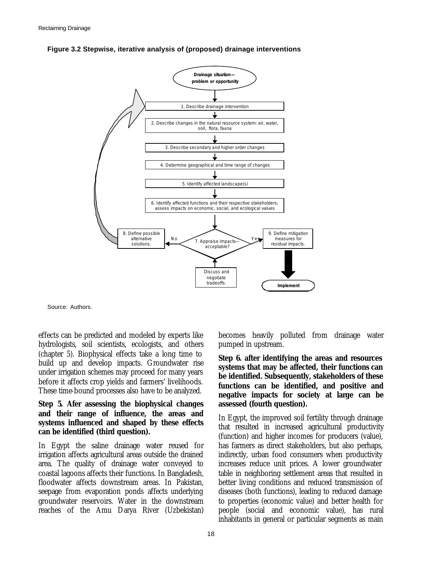



Source: Authors.

effects can be predicted and modeled by experts like hydrologists, soil scientists, ecologists, and others (chapter 5). Biophysical effects take a long time to build up and develop impacts. Groundwater rise under irrigation schemes may proceed for many years before it affects crop yields and farmers' livelihoods. These time-bound processes also have to be analyzed.

#### **Step 5. Afer assessing the biophysical changes and their range of influence, the areas and systems influenced and shaped by these effects can be identified (third question).**

In Egypt the saline drainage water reused for irrigation affects agricultural areas outside the drained area. The quality of drainage water conveyed to coastal lagoons affects their functions. In Bangladesh, floodwater affects downstream areas. In Pakistan, seepage from evaporation ponds affects underlying groundwater reservoirs. Water in the downstream reaches of the Amu Darya River (Uzbekistan)

becomes heavily polluted from drainage water pumped in upstream.

**Step 6. after identifying the areas and resources systems that may be affected, their functions can be identified. Subsequently, stakeholders of these functions can be identified, and positive and negative impacts for society at large can be assessed (fourth question).** 

In Egypt, the improved soil fertility through drainage that resulted in increased agricultural productivity (function) and higher incomes for producers (value), has farmers as direct stakeholders, but also perhaps, indirectly, urban food consumers when productivity increases reduce unit prices. A lower groundwater table in neighboring settlement areas that resulted in better living conditions and reduced transmission of diseases (both functions), leading to reduced damage to properties (economic value) and better health for people (social and economic value), has rural inhabitants in general or particular segments as main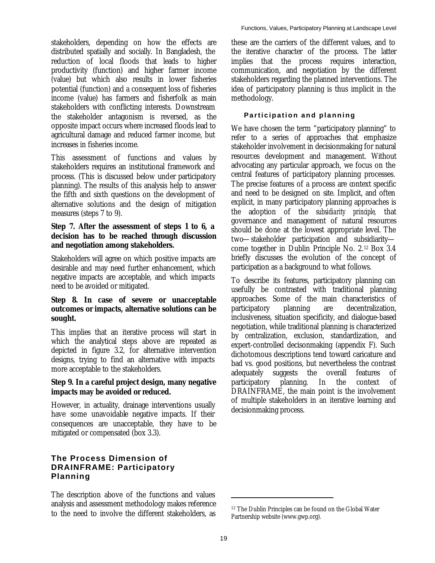stakeholders, depending on how the effects are distributed spatially and socially. In Bangladesh, the reduction of local floods that leads to higher productivity (function) and higher farmer income (value) but which also results in lower fisheries potential (function) and a consequent loss of fisheries income (value) has farmers and fisherfolk as main stakeholders with conflicting interests. Downstream the stakeholder antagonism is reversed, as the opposite impact occurs where increased floods lead to agricultural damage and reduced farmer income, but increases in fisheries income.

This assessment of functions and values by stakeholders requires an institutional framework and process. (This is discussed below under participatory planning). The results of this analysis help to answer the fifth and sixth questions on the development of alternative solutions and the design of mitigation measures (steps 7 to 9).

#### **Step 7. After the assessment of steps 1 to 6, a decision has to be reached through discussion and negotiation among stakeholders.**

Stakeholders will agree on which positive impacts are desirable and may need further enhancement, which negative impacts are acceptable, and which impacts need to be avoided or mitigated.

#### **Step 8. In case of severe or unacceptable outcomes or impacts, alternative solutions can be sought.**

This implies that an iterative process will start in which the analytical steps above are repeated as depicted in figure 3.2, for alternative intervention designs, trying to find an alternative with impacts more acceptable to the stakeholders.

#### **Step 9. In a careful project design, many negative impacts may be avoided or reduced.**

However, in actuality, drainage interventions usually have some unavoidable negative impacts. If their consequences are unacceptable, they have to be mitigated or compensated (box 3.3).

#### **The Process Dimension of DRAINFRAME: Participatory Planning**

The description above of the functions and values analysis and assessment methodology makes reference to the need to involve the different stakeholders, as

these are the carriers of the different values, and to the iterative character of the process. The latter implies that the process requires interaction, communication, and negotiation by the different stakeholders regarding the planned interventions. The idea of participatory planning is thus implicit in the methodology.

#### **Participation and planning**

We have chosen the term "participatory planning" to refer to a series of approaches that emphasize stakeholder involvement in decisionmaking for natural resources development and management. Without advocating any particular approach, we focus on the central features of participatory planning processes. The precise features of a process are context specific and need to be designed on site. Implicit, and often explicit, in many participatory planning approaches is the adoption of the *subsidiarity principle,* that governance and management of natural resources should be done at the lowest appropriate level. The two—stakeholder participation and subsidiarity come together in Dublin Principle No. 2.12 Box 3.4 briefly discusses the evolution of the concept of participation as a background to what follows.

To describe its features, participatory planning can usefully be contrasted with traditional planning approaches. Some of the main characteristics of participatory planning are decentralization, inclusiveness, situation specificity, and dialogue-based negotiation, while traditional planning is characterized by centralization, exclusion, standardization, and expert-controlled decisonmaking (appendix F). Such dichotomous descriptions tend toward caricature and bad vs. good positions, but nevertheless the contrast adequately suggests the overall features of participatory planning. In the context of DRAINFRAME, the main point is the involvement of multiple stakeholders in an iterative learning and decisionmaking process.

<sup>12</sup> The Dublin Principles can be found on the Global Water Partnership website (www.gwp.org).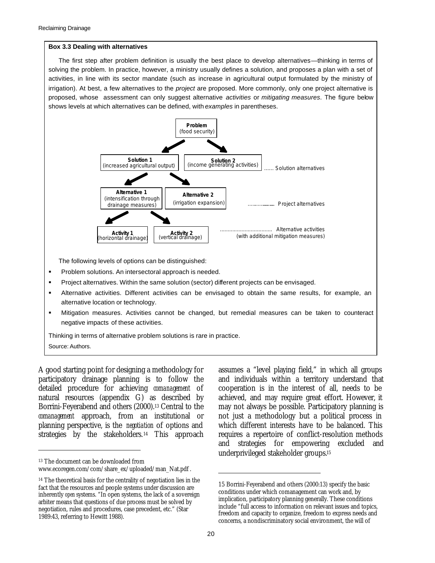#### **Box 3.3 Dealing with alternatives**

The first step after problem definition is usually the best place to develop alternatives—thinking in terms of solving the problem. In practice, however, a ministry usually defines a solution, and proposes a plan with a set of activities, in line with its sector mandate (such as increase in agricultural output formulated by the ministry of irrigation). At best, a few alternatives to the *project* are proposed. More commonly, only one project alternative is proposed, whose assessment can only suggest alternative *activities* or *mitigating measures*. The figure below shows levels at which alternatives can be defined, with *examples* in parentheses.



The following levels of options can be distinguished:

- ß Problem solutions. An intersectoral approach is needed.
- ß Project alternatives. Within the same solution (sector) different projects can be envisaged.
- ß Alternative activities. Different activities can be envisaged to obtain the same results, for example, an alternative location or technology.
- ß Mitigation measures. Activities cannot be changed, but remedial measures can be taken to counteract negative impacts of these activities.

Thinking in terms of alternative problem solutions is rare in practice. Source: Authors.

A good starting point for designing a methodology for participatory drainage planning is to follow the detailed procedure for achieving *comanagement* of natural resources (appendix G) as described by Borrini-Feyerabend and others (2000).13 Central to the *comanagement* approach, from an institutional or planning perspective, is the *negotiation* of options and strategies by the stakeholders.<sup>14</sup> This approach

 $\ddot{\phantom{a}}$ 

assumes a "level playing field," in which all groups and individuals within a territory understand that cooperation is in the interest of all, needs to be achieved, and may require great effort. However, it may not always be possible. Participatory planning is not just a methodology but a political process in which different interests have to be balanced. This requires a repertoire of conflict-resolution methods and strategies for empowering excluded and underprivileged stakeholder groups.<sup>15</sup>

<sup>13</sup> The document can be downloaded from

www.ecoregen.com/com/share\_ex/uploaded/man\_Nat.pdf .

<sup>14</sup> The theoretical basis for the centrality of negotiation lies in the fact that the resources and people systems under discussion are inherently *open* systems. "In open systems, the lack of a sovereign arbiter means that questions of due process must be solved by negotiation, rules and procedures, case precedent, etc." (Star 1989:43, referring to Hewitt 1988).

<sup>15</sup> Borrini-Feyerabend and others (2000:13) specify the basic conditions under which comanagement can work and, by implication, participatory planning generally. These conditions include "full access to information on relevant issues and topics, freedom and capacity to organize, freedom to express needs and concerns, a nondiscriminatory social environment, the will of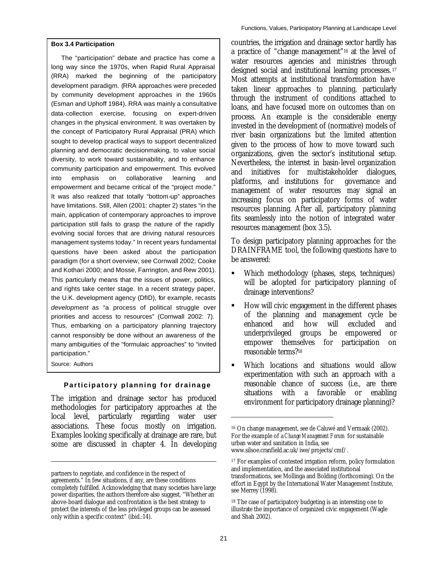#### **Box 3.4 Participation**

The "participation" debate and practice has come a long way since the 1970s, when Rapid Rural Appraisal (RRA) marked the beginning of the participatory development paradigm. (RRA approaches were preceded by community development approaches in the 1960s (Esman and Uphoff 1984). RRA was mainly a consultative data-collection exercise, focusing on expert-driven changes in the physical environment. It was overtaken by the concept of Participatory Rural Appraisal (PRA) which sought to develop practical ways to support decentralized planning and democratic decisionmaking, to value social diversity, to work toward sustainability, and to enhance community participation and empowerment. This evolved into emphasis on collaborative learning and empowerment and became critical of the "project mode." It was also realized that totally "bottom-up" approaches have limitations. Still, Allen (2001: chapter 2) states "in the main, application of contemporary approaches to improve participation still fails to grasp the nature of the rapidly evolving social forces that are driving natural resources management systems today." In recent years fundamental questions have been asked about the participation paradigm (for a short overview, see Cornwall 2002; Cooke and Kothari 2000; and Mosse, Farrington, and Rew 2001). This particularly means that the issues of power, politics, and rights take center stage. In a recent strategy paper, the U.K. development agency (DfID), for example, recasts *development* as "a process of political struggle over priorities and access to resources" (Cornwall 2002: 7). Thus, embarking on a participatory planning trajectory cannot responsibly be done without an awareness of the many ambiguities of the "formulaic approaches" to "invited participation."

Source: Authors

 $\ddot{\phantom{a}}$ 

#### **Participatory planning for drainage**

The irrigation and drainage sector has produced methodologies for participatory approaches at the local level, particularly regarding water user associations. These focus mostly on irrigation. Examples looking specifically at drainage are rare, but some are discussed in chapter 4. In developing

countries, the irrigation and drainage sector hardly has a practice of "change management"16 at the level of water resources agencies and ministries through designed social and institutional learning processes.<sup>17</sup> Most attempts at institutional transformation have taken linear approaches to planning, particularly through the instrument of conditions attached to loans, and have focused more on outcomes than on process. An example is the considerable energy invested in the development of (normative) models of river basin organizations but the limited attention given to the process of how to move toward such organizations, given the sector's institutional setup. Nevertheless, the interest in basin-level organization and initiatives for multistakeholder dialogues, platforms, and institutions for governance and management of water resources may signal an increasing focus on participatory forms of water resources planning. After all, participatory planning fits seamlessly into the notion of integrated water resources management (box 3.5).

To design participatory planning approaches for the DRAINFRAME tool, the following questions have to be answered:

- ß Which methodology (phases, steps, techniques) will be adopted for participatory planning of drainage interventions?
- ß How will civic engagement in the different phases of the planning and management cycle be enhanced and how will excluded and underprivileged groups be empowered or empower themselves for participation on reasonable terms?<sup>18</sup>
- ß Which locations and situations would allow experimentation with such an approach with a reasonable chance of success (i.e., are there situations with a favorable or enabling environment for participatory drainage planning)?

partners to negotiate, and confidence in the respect of agreements." In few situations, if any, are these conditions completely fulfilled. Acknowledging that many societies have large power disparities, the authors therefore also suggest, "Whether an above-board dialogue and confrontation is the best strategy to protect the interests of the less privileged groups can be assessed only within a specific context" (ibid.:14).

<sup>16</sup> On change management, see de Caluwé and Vermaak (2002). For the example of a *Change Management Forum* for sustainable urban water and sanitation in India, see www.silsoe.cranfield.ac.uk/iwe/projects/cmf/.

<sup>&</sup>lt;sup>17</sup> For examples of contested irrigation reform, policy formulation and implementation, and the associated institutional transformations, see Mollinga and Bolding (forthcoming). On the effort in Egypt by the International Water Management Institute, see Merrey (1998).

<sup>18</sup> The case of participatory budgeting is an interesting one to illustrate the importance of organized civic engagement (Wagle and Shah 2002).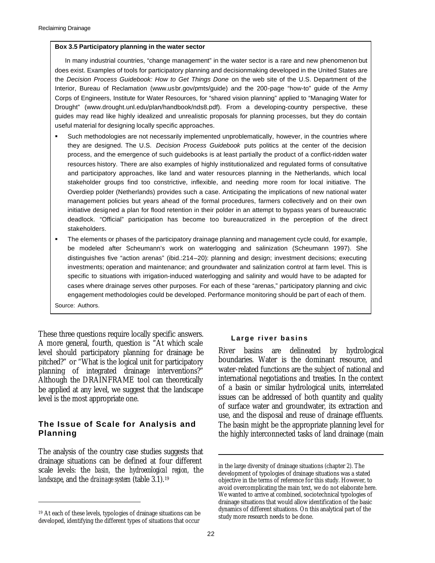#### **Box 3.5 Participatory planning in the water sector**

In many industrial countries, "change management" in the water sector is a rare and new phenomenon but does exist. Examples of tools for participatory planning and decisionmaking developed in the United States are the *Decision Process Guidebook: How to Get Things Done* on the web site of the U.S. Department of the Interior, Bureau of Reclamation (www.usbr.gov/pmts/guide) and the 200-page "how-to" guide of the Army Corps of Engineers, Institute for Water Resources, for "shared vision planning" applied to "Managing Water for Drought" (www.drought.unl.edu/plan/handbook/nds8.pdf). From a developing-country perspective, these guides may read like highly idealized and unrealistic proposals for planning processes, but they do contain useful material for designing locally specific approaches.

- **Such methodologies are not necessarily implemented unproblematically, however, in the countries where** they are designed. The U.S. *Decision Process Guidebook* puts politics at the center of the decision process, and the emergence of such guidebooks is at least partially the product of a conflict-ridden water resources history. There are also examples of highly institutionalized and regulated forms of consultative and participatory approaches, like land and water resources planning in the Netherlands, which local stakeholder groups find too constrictive, inflexible, and needing more room for local initiative. The Overdiep polder (Netherlands) provides such a case. Anticipating the implications of new national water management policies but years ahead of the formal procedures, farmers collectively and on their own initiative designed a plan for flood retention in their polder in an attempt to bypass years of bureaucratic deadlock. "Official" participation has become too bureaucratized in the perception of the direct stakeholders.
- **Fig. 4** The elements or phases of the participatory drainage planning and management cycle could, for example, be modeled after Scheumann's work on waterlogging and salinization (Scheumann 1997). She distinguishes five "action arenas" (ibid.:214–20): planning and design; investment decisions; executing investments; operation and maintenance; and groundwater and salinization control at farm level. This is specific to situations with irrigation-induced waterlogging and salinity and would have to be adapted for cases where drainage serves other purposes. For each of these "arenas," participatory planning and civic engagement methodologies could be developed. Performance monitoring should be part of each of them.

Source: Authors.

 $\ddot{\phantom{a}}$ 

These three questions require locally specific answers. A more general, fourth, question is "At which scale level should participatory planning for drainage be pitched?" or "What is the logical unit for participatory planning of integrated drainage interventions?" Although the DRAINFRAME tool can theoretically be applied at any level, we suggest that the landscape level is the most appropriate one.

#### **The Issue of Scale for Analysis and Planning**

The analysis of the country case studies suggests that drainage situations can be defined at four different scale levels: the *basin,* the *hydroecological region,* the *landscape*, and the *drainage system* (table 3.1).<sup>19</sup>

#### **Large river basins**

River basins are delineated by hydrological boundaries. Water is the dominant resource, and water-related functions are the subject of national and international negotiations and treaties. In the context of a basin or similar hydrological units, interrelated issues can be addressed of both quantity and quality of surface water and groundwater, its extraction and use, and the disposal and reuse of drainage effluents. The basin might be the appropriate planning level for the highly interconnected tasks of land drainage (main

<sup>19</sup> At each of these levels, typologies of drainage situations can be developed, identifying the different types of situations that occur

in the large diversity of drainage situations (chapter 2). The development of typologies of drainage situations was a stated objective in the terms of reference for this study. However, to avoid overcomplicating the main text, we do not elaborate here. We wanted to arrive at combined, sociotechnical typologies of drainage situations that would allow identification of the basic dynamics of different situations. On this analytical part of the study more research needs to be done.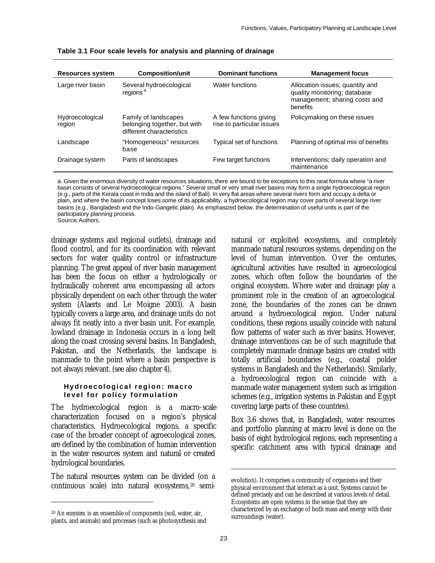| <b>Resources system</b>   | <b>Composition/unit</b>                                                           | <b>Dominant functions</b>                           | <b>Management focus</b>                                                                                      |
|---------------------------|-----------------------------------------------------------------------------------|-----------------------------------------------------|--------------------------------------------------------------------------------------------------------------|
| Large river basin         | Several hydroecological<br>regions <sup>a</sup>                                   | Water functions                                     | Allocation issues; quantity and<br>quality monitoring; database<br>management; sharing costs and<br>benefits |
| Hydroecological<br>region | Family of landscapes<br>belonging together, but with<br>different characteristics | A few functions giving<br>rise to particular issues | Policymaking on these issues                                                                                 |
| Landscape                 | "Homogeneous" resources<br>base                                                   | Typical set of functions                            | Planning of optimal mix of benefits                                                                          |
| Drainage system           | Parts of landscapes                                                               | Few target functions                                | Interventions; daily operation and<br>maintenance                                                            |

**Table 3.1 Four scale levels for analysis and planning of drainage**

a. Given the enormous diversity of water resources situations, there are bound to be exceptions to this neat formula where "a river basin consists of several hydroecological regions." Several small or very small river basins may form a single hydroecological region (e.g., parts of the Kerala coast in India and the island of Bali). In very flat areas where several rivers form and occupy a delta or plain, and where the basin concept loses some of its applicability, a hydroecological region may cover parts of several large river basins (e.g., Bangladesh and the Indo-Gangetic plain). As emphasized below, the determination of useful units is part of the participatory planning process. Source*:* Authors.

drainage systems and regional outlets), drainage and flood control, and for its coordination with relevant sectors for water quality control or infrastructure planning. The great appeal of river basin management has been the focus on either a hydrologically or hydraulically coherent area encompassing all actors physically dependent on each other through the water system (Alaerts and Le Moigne 2003). A basin typically covers a large area, and drainage units do not always fit neatly into a river basin unit. For example, lowland drainage in Indonesia occurs in a long belt along the coast crossing several basins. In Bangladesh, Pakistan, and the Netherlands, the landscape is manmade to the point where a basin perspective is not always relevant. (see also chapter 4).

#### **Hydroecological region: macro level for policy formulation**

The hydroecological region is a macro-scale characterization focused on a region's physical characteristics. Hydroecological regions, a specific case of the broader concept of agroecological zones, are defined by the combination of human intervention in the water resources system and natural or created hydrological boundaries.

The natural resources system can be divided (on a continuous scale) into natural ecosystems,20 semi-

 $\ddot{\phantom{a}}$ 

natural or exploited ecosystems, and completely manmade natural resources systems, depending on the level of human intervention. Over the centuries, agricultural activities have resulted in agroecological zones, which often follow the boundaries of the original ecosystem. Where water and drainage play a prominent role in the creation of an agroecological zone, the boundaries of the zones can be drawn around a hydroecological region. Under natural conditions, these regions usually coincide with natural flow patterns of water such as river basins. However, drainage interventions can be of such magnitude that completely manmade drainage basins are created with totally artificial boundaries (e.g., coastal polder systems in Bangladesh and the Netherlands). Similarly, a hydroecological region can coincide with a manmade water management system such as irrigation schemes (e.g., irrigation systems in Pakistan and Egypt covering large parts of these countries).

Box 3.6 shows that, in Bangladesh, water resources and portfolio planning at macro level is done on the basis of eight hydrological regions, each representing a specific catchment area with typical drainage and

<sup>20</sup> An *ecosystem* is an ensemble of components (soil, water, air, plants, and animals) and processes (such as photosynthesis and

evolution). It comprises a community of organisms and their physical environment that interact as a unit. Systems cannot be defined precisely and can be described at various levels of detail. Ecosystems are open systems in the sense that they are characterized by an exchange of both mass and energy with their surroundings (water).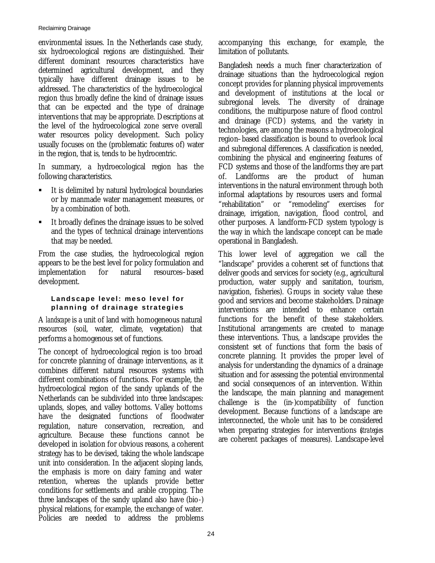#### Reclaiming Drainage

environmental issues. In the Netherlands case study, six hydroecological regions are distinguished. Their different dominant resources characteristics have determined agricultural development, and they typically have different drainage issues to be addressed. The characteristics of the hydroecological region thus broadly define the kind of drainage issues that can be expected and the type of drainage interventions that may be appropriate. Descriptions at the level of the hydroecological zone serve overall water resources policy development. Such policy usually focuses on the (problematic features of) water in the region, that is, tends to be hydrocentric.

In summary, a hydroecological region has the following characteristics.

- ß It is delimited by natural hydrological boundaries or by manmade water management measures, or by a combination of both.
- It broadly defines the drainage issues to be solved and the types of technical drainage interventions that may be needed.

From the case studies, the hydroecological region appears to be the best level for policy formulation and implementation for natural resources–based development.

#### **Landscape level: meso level for planning of drainage strategies**

A *landscape* is a unit of land with homogeneous natural resources (soil, water, climate, vegetation) that performs a homogenous set of functions.

The concept of hydroecological region is too broad for concrete planning of drainage interventions, as it combines different natural resources systems with different combinations of functions. For example, the hydroecological region of the sandy uplands of the Netherlands can be subdivided into three landscapes: uplands, slopes, and valley bottoms. Valley bottoms have the designated functions of floodwater regulation, nature conservation, recreation, and agriculture. Because these functions cannot be developed in isolation for obvious reasons, a coherent strategy has to be devised, taking the whole landscape unit into consideration. In the adjacent sloping lands, the emphasis is more on dairy faming and water retention, whereas the uplands provide better conditions for settlements and arable cropping. The three landscapes of the sandy upland also have (bio-) physical relations, for example, the exchange of water. Policies are needed to address the problems accompanying this exchange, for example, the limitation of pollutants.

Bangladesh needs a much finer characterization of drainage situations than the hydroecological region concept provides for planning physical improvements and development of institutions at the local or subregional levels. The diversity of drainage conditions, the multipurpose nature of flood control and drainage (FCD) systems, and the variety in technologies, are among the reasons a hydroecological region–based classification is bound to overlook local and subregional differences. A classification is needed, combining the physical and engineering features of FCD systems and those of the landforms they are part of. Landforms are the product of human interventions in the natural environment through both informal adaptations by resources users and formal "rehabilitation" or "remodeling" exercises for drainage, irrigation, navigation, flood control, and other purposes. A landform-FCD system typology is the way in which the landscape concept can be made operational in Bangladesh.

This lower level of aggregation we call the "landscape" provides a coherent set of functions that deliver goods and services for society (e.g., agricultural production, water supply and sanitation, tourism, navigation, fisheries). Groups in society value these good and services and become stakeholders. Drainage interventions are intended to enhance certain functions for the benefit of these stakeholders. Institutional arrangements are created to manage these interventions. Thus, a landscape provides the consistent set of functions that form the basis of concrete planning. It provides the proper level of analysis for understanding the dynamics of a drainage situation and for assessing the potential environmental and social consequences of an intervention. Within the landscape, the main planning and management challenge is the (in-)compatibility of function development. Because functions of a landscape are interconnected, the whole unit has to be considered when preparing strategies for interventions (*strategies* are coherent packages of measures). Landscape-level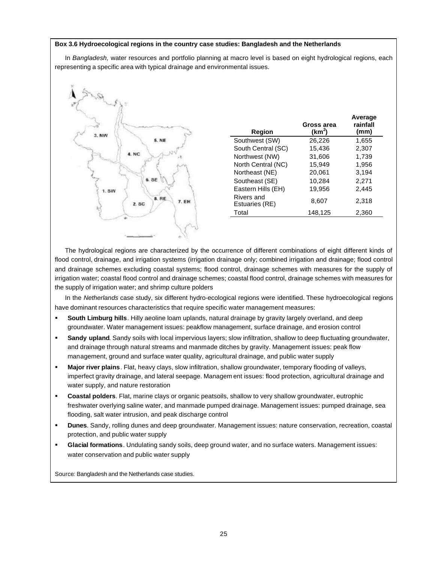#### **Box 3.6 Hydroecological regions in the country case studies: Bangladesh and the Netherlands**

In *Bangladesh,* water resources and portfolio planning at macro level is based on eight hydrological regions, each representing a specific area with typical drainage and environmental issues.



| Region                       | Gross area<br>(km <sup>2</sup> ) | Average<br>rainfall<br>(mm) |
|------------------------------|----------------------------------|-----------------------------|
| Southwest (SW)               | 26,226                           | 1,655                       |
| South Central (SC)           | 15,436                           | 2,307                       |
| Northwest (NW)               | 31,606                           | 1,739                       |
| North Central (NC)           | 15,949                           | 1,956                       |
| Northeast (NE)               | 20,061                           | 3,194                       |
| Southeast (SE)               | 10,284                           | 2,271                       |
| Eastern Hills (EH)           | 19.956                           | 2.445                       |
| Rivers and<br>Estuaries (RE) | 8,607                            | 2,318                       |
| Total                        | 148,125                          | 2,360                       |

The hydrological regions are characterized by the occurrence of different combinations of eight different kinds of flood control, drainage, and irrigation systems (irrigation drainage only; combined irrigation and drainage; flood control and drainage schemes excluding coastal systems; flood control, drainage schemes with measures for the supply of irrigation water; coastal flood control and drainage schemes; coastal flood control, drainage schemes with measures for the supply of irrigation water; and shrimp culture polders

In the *Netherlands* case study, six different hydro-ecological regions were identified. These hydroecological regions have dominant resources characteristics that require specific water management measures:

- **South Limburg hills**. Hilly aeoline loam uplands, natural drainage by gravity largely overland, and deep groundwater. Water management issues: peakflow management, surface drainage, and erosion control
- **Sandy upland**. Sandy soils with local impervious layers; slow infiltration, shallow to deep fluctuating groundwater, and drainage through natural streams and manmade ditches by gravity. Management issues: peak flow management, ground and surface water quality, agricultural drainage, and public water supply
- **Major river plains**. Flat, heavy clays, slow infiltration, shallow groundwater, temporary flooding of valleys, imperfect gravity drainage, and lateral seepage. Managem ent issues: flood protection, agricultural drainage and water supply, and nature restoration
- ß **Coastal polders**. Flat, marine clays or organic peatsoils, shallow to very shallow groundwater, eutrophic freshwater overlying saline water, and manmade pumped drainage. Management issues: pumped drainage, sea flooding, salt water intrusion, and peak discharge control
- ß **Dunes**. Sandy, rolling dunes and deep groundwater. Management issues: nature conservation, recreation, coastal protection, and public water supply
- ß **Glacial formations**. Undulating sandy soils, deep ground water, and no surface waters. Management issues: water conservation and public water supply

Source*:* Bangladesh and the Netherlands case studies.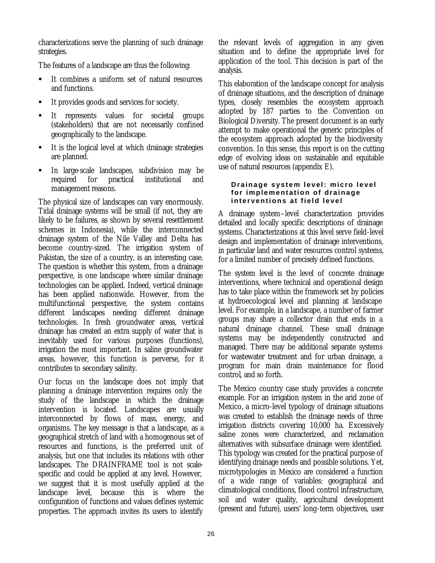characterizations serve the planning of such drainage strategies.

The features of a landscape are thus the following:

- ß It combines a uniform set of natural resources and functions.
- ß It provides goods and services for society.
- ß It represents values for societal groups (stakeholders) that are not necessarily confined geographically to the landscape.
- It is the logical level at which drainage strategies are planned.
- ß In large-scale landscapes, subdivision may be required for practical institutional and management reasons.

The physical size of landscapes can vary enormously. Tidal drainage systems will be small (if not, they are likely to be failures, as shown by several resettlement schemes in Indonesia), while the interconnected drainage system of the Nile Valley and Delta has become country-sized. The irrigation system of Pakistan, the size of a country, is an interesting case. The question is whether this system, from a drainage perspective, is one landscape where similar drainage technologies can be applied. Indeed, vertical drainage has been applied nationwide. However, from the multifunctional perspective, the system contains different landscapes needing different drainage technologies. In fresh groundwater areas, vertical drainage has created an extra supply of water that is inevitably used for various purposes (functions), irrigation the most important. In saline groundwater areas, however, this function is perverse, for it contributes to secondary salinity.

Our focus on the landscape does not imply that planning a drainage intervention requires only the study of the landscape in which the drainage intervention is located. Landscapes are usually interconnected by flows of mass, energy, and organisms. The key message is that a landscape, as a geographical stretch of land with a homogenous set of resources and functions, is the preferred unit of analysis, but one that includes its relations with other landscapes. The DRAINFRAME tool is not scalespecific and could be applied at any level. However, we suggest that it is most usefully applied at the landscape level, because this is where the configuration of functions and values defines systemic properties. The approach invites its users to identify

the relevant levels of aggregation in any given situation and to define the appropriate level for application of the tool. This decision is part of the analysis.

This elaboration of the landscape concept for analysis of drainage situations, and the description of drainage types, closely resembles the ecosystem approach adopted by 187 parties to the Convention on Biological Diversity. The present document is an early attempt to make operational the generic principles of the ecosystem approach adopted by the biodiversity convention. In this sense, this report is on the cutting edge of evolving ideas on sustainable and equitable use of natural resources (appendix E).

## **Drainage system level: micro level for implementation of drainage interventions at field level**

A drainage system–level characterization provides detailed and locally specific descriptions of drainage systems. Characterizations at this level serve field-level design and implementation of drainage interventions, in particular land and water resources control systems, for a limited number of precisely defined functions.

The system level is the level of concrete drainage interventions, where technical and operational design has to take place within the framework set by policies at hydroecological level and planning at landscape level. For example, in a landscape, a number of farmer groups may share a collector drain that ends in a natural drainage channel. These small drainage systems may be independently constructed and managed. There may be additional separate systems for wastewater treatment and for urban drainage, a program for main drain maintenance for flood control, and so forth.

The Mexico country case study provides a concrete example. For an irrigation system in the arid zone of Mexico, a micro-level typology of drainage situations was created to establish the drainage needs of three irrigation districts covering 10,000 ha. Excessively saline zones were characterized, and reclamation alternatives with subsurface drainage were identified. This typology was created for the practical purpose of identifying drainage needs and possible solutions. Yet, microtypologies in Mexico are considered a function of a wide range of variables: geographical and climatological conditions, flood control infrastructure, soil and water quality, agricultural development (present and future), users' long-term objectives, user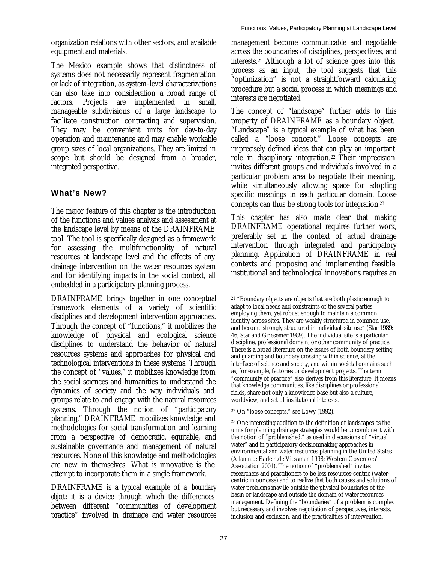organization relations with other sectors, and available equipment and materials.

The Mexico example shows that distinctness of systems does not necessarily represent fragmentation or lack of integration, as system-level characterizations can also take into consideration a broad range of factors. Projects are implemented in small, manageable subdivisions of a large landscape to facilitate construction contracting and supervision. They may be convenient units for day-to-day operation and maintenance and may enable workable group sizes of local organizations. They are limited in scope but should be designed from a broader, integrated perspective.

# **What's New?**

The major feature of this chapter is the introduction of the functions and values analysis and assessment at the landscape level by means of the DRAINFRAME tool. The tool is specifically designed as a framework for assessing the multifunctionality of natural resources at landscape level and the effects of any drainage intervention on the water resources system and for identifying impacts in the social context, all embedded in a participatory planning process.

DRAINFRAME brings together in one conceptual framework elements of a variety of scientific disciplines and development intervention approaches. Through the concept of "functions," it mobilizes the knowledge of physical and ecological science disciplines to understand the behavior of natural resources systems and approaches for physical and technological interventions in these systems. Through the concept of "values," it mobilizes knowledge from the social sciences and humanities to understand the dynamics of society and the way individuals and groups relate to and engage with the natural resources systems. Through the notion of "participatory planning," DRAINFRAME mobilizes knowledge and methodologies for social transformation and learning from a perspective of democratic, equitable, and sustainable governance and management of natural resources. None of this knowledge and methodologies are new in themselves. What is innovative is the attempt to incorporate them in a single framework.

DRAINFRAME is a typical example of a *boundary object:* it is a device through which the differences between different "communities of development practice" involved in drainage and water resources

management become communicable and negotiable across the boundaries of disciplines, perspectives, and interests.21 Although a lot of science goes into this process as an input, the tool suggests that this "optimization" is not a straightforward calculating procedure but a social process in which meanings and interests are negotiated.

The concept of "landscape" further adds to this property of DRAINFRAME as a boundary object. "Landscape" is a typical example of what has been called a "loose concept." Loose concepts are imprecisely defined ideas that can play an important role in disciplinary integration.22 Their imprecision invites different groups and individuals involved in a particular problem area to negotiate their meaning, while simultaneously allowing space for adopting specific meanings in each particular domain. Loose concepts can thus be strong tools for integration.<sup>23</sup>

This chapter has also made clear that making DRAINFRAME operational requires further work, preferably set in the context of actual drainage intervention through integrated and participatory planning. Application of DRAINFRAME in real contexts and proposing and implementing feasible institutional and technological innovations requires an

 $\overline{a}$ 

<sup>21</sup> "Boundary objects are objects that are both plastic enough to adapt to local needs and constraints of the several parties employing them, yet robust enough to maintain a common identity across sites. They are weakly structured in common use, and become strongly structured in individual-site use" (Star 1989: 46; Star and Griesemer 1989). The individual site is a particular discipline, professional domain, or other community of practice. There is a broad literature on the issues of both boundary setting and guarding and boundary crossing within science, at the interface of science and society, and within societal domains such as, for example, factories or development projects. The term "community of practice" also derives from this literature. It means that knowledge communities, like disciplines or professional fields, share not only a knowledge base but also a culture, worldview, and set of institutional interests.

<sup>22</sup> On "loose concepts," see Löwy (1992).

<sup>23</sup> One interesting addition to the definition of landscapes as the units for planning drainage strategies would be to combine it with the notion of "problemshed," as used in discussions of "virtual water" and in participatory decisionmaking approaches in environmental and water resources planning in the United States (Allan n.d; Earle n.d.; Viessman 1998; Western Governors' Association 2001). The notion of "problemshed" invites researchers and practitioners to be less resources-centric (watercentric in our case) and to realize that both causes and solutions of water problems may lie outside the physical boundaries of the basin or landscape and outside the domain of water resources management. Defining the "boundaries" of a problem is complex but necessary and involves negotiation of perspectives, interests, inclusion and exclusion, and the practicalities of intervention.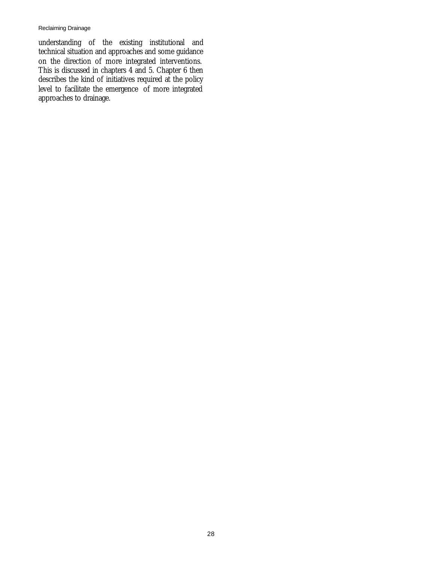understanding of the existing institutional and technical situation and approaches and some guidance on the direction of more integrated interventions. This is discussed in chapters 4 and 5. Chapter 6 then describes the kind of initiatives required at the policy level to facilitate the emergence of more integrated approaches to drainage.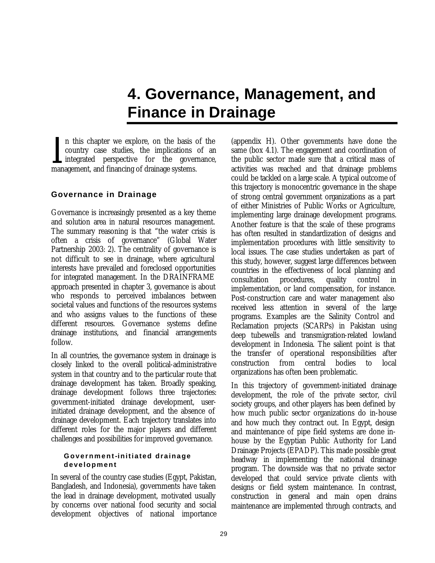# **4. Governance, Management, and Finance in Drainage**

n this chapter we explore, on the basis of the country case studies, the implications of an integrated perspective for the governance, In this chapter we explore, on the basis of country case studies, the implications of integrated perspective for the govern management, and financing of drainage systems.

# **Governance in Drainage**

Governance is increasingly presented as a key theme and solution area in natural resources management. The summary reasoning is that "the water crisis is often a crisis of governance" (Global Water Partnership 2003: 2). The centrality of governance is not difficult to see in drainage, where agricultural interests have prevailed and foreclosed opportunities for integrated management. In the DRAINFRAME approach presented in chapter 3, governance is about who responds to perceived imbalances between societal values and functions of the resources systems and who assigns values to the functions of these different resources. Governance systems define drainage institutions, and financial arrangements follow.

In all countries, the governance system in drainage is closely linked to the overall political-administrative system in that country and to the particular route that drainage development has taken. Broadly speaking, drainage development follows three trajectories: government-initiated drainage development, userinitiated drainage development, and the absence of drainage development. Each trajectory translates into different roles for the major players and different challenges and possibilities for improved governance.

## **Government-initiated drainage development**

In several of the country case studies (Egypt, Pakistan, Bangladesh, and Indonesia), governments have taken the lead in drainage development, motivated usually by concerns over national food security and social development objectives of national importance

(appendix H). Other governments have done the same (box 4.1). The engagement and coordination of the public sector made sure that a critical mass of activities was reached and that drainage problems could be tackled on a large scale. A typical outcome of this trajectory is monocentric governance in the shape of strong central government organizations as a part of either Ministries of Public Works or Agriculture, implementing large drainage development programs. Another feature is that the scale of these programs has often resulted in standardization of designs and implementation procedures with little sensitivity to local issues. The case studies undertaken as part of this study, however, suggest large differences between countries in the effectiveness of local planning and consultation procedures, quality control implementation, or land compensation, for instance. Post-construction care and water management also received less attention in several of the large programs. Examples are the Salinity Control and Reclamation projects (SCARPs) in Pakistan using deep tubewells and transmigration-related lowland development in Indonesia. The salient point is that the transfer of operational responsibilities after construction from central bodies to local organizations has often been problematic.

In this trajectory of government-initiated drainage development, the role of the private sector, civil society groups, and other players has been defined by how much public sector organizations do in-house and how much they contract out. In Egypt, design and maintenance of pipe field systems are done inhouse by the Egyptian Public Authority for Land Drainage Projects (EPADP). This made possible great headway in implementing the national drainage program. The downside was that no private sector developed that could service private clients with designs or field system maintenance. In contrast, construction in general and main open drains maintenance are implemented through contracts, and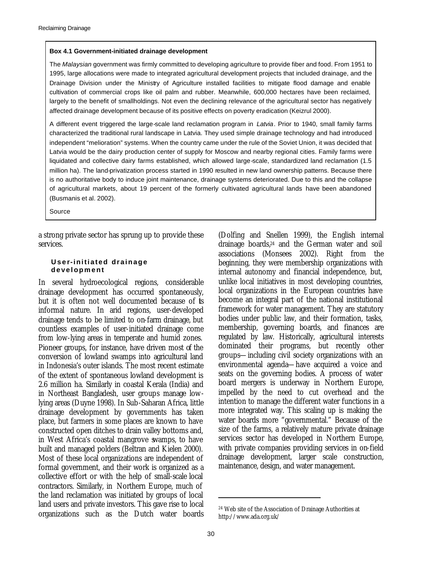#### **Box 4.1 Government-initiated drainage development**

The *Malaysian* government was firmly committed to developing agriculture to provide fiber and food. From 1951 to 1995, large allocations were made to integrated agricultural development projects that included drainage, and the Drainage Division under the Ministry of Agriculture installed facilities to mitigate flood damage and enable cultivation of commercial crops like oil palm and rubber. Meanwhile, 600,000 hectares have been reclaimed, largely to the benefit of smallholdings. Not even the declining relevance of the agricultural sector has negatively affected drainage development because of its positive effects on poverty eradication (Keizrul 2000).

A different event triggered the large-scale land reclamation program in *Latvia*. Prior to 1940, small family farms characterized the traditional rural landscape in Latvia. They used simple drainage technology and had introduced independent "melioration" systems. When the country came under the rule of the Soviet Union, it was decided that Latvia would be the dairy production center of supply for Moscow and nearby regional cities. Family farms were liquidated and collective dairy farms established, which allowed large-scale, standardized land reclamation (1.5 million ha). The land-privatization process started in 1990 resulted in new land ownership patterns. Because there is no authoritative body to induce joint maintenance, drainage systems deteriorated. Due to this and the collapse of agricultural markets, about 19 percent of the formerly cultivated agricultural lands have been abandoned (Busmanis et al. 2002).

Source

a strong private sector has sprung up to provide these services.

#### **User-initiated drainage development**

In several hydroecological regions, considerable drainage development has occurred spontaneously, but it is often not well documented because of is informal nature. In arid regions, user-developed drainage tends to be limited to on-farm drainage, but countless examples of user-initiated drainage come from low-lying areas in temperate and humid zones. Pioneer groups, for instance, have driven most of the conversion of lowland swamps into agricultural land in Indonesia's outer islands. The most recent estimate of the extent of spontaneous lowland development is 2.6 million ha. Similarly in coastal Kerala (India) and in Northeast Bangladesh, user groups manage lowlying areas (Duyne 1998). In Sub-Saharan Africa, little drainage development by governments has taken place, but farmers in some places are known to have constructed open ditches to drain valley bottoms and, in West Africa's coastal mangrove swamps, to have built and managed polders (Beltran and Kielen 2000). Most of these local organizations are independent of formal government, and their work is organized as a collective effort or with the help of small-scale local contractors. Similarly, in Northern Europe, much of the land reclamation was initiated by groups of local land users and private investors. This gave rise to local organizations such as the Dutch water boards

(Dolfing and Snellen 1999), the English internal drainage boards,24 and the German water and soil associations (Monsees 2002). Right from the beginning, they were membership organizations with internal autonomy and financial independence, but, unlike local initiatives in most developing countries, local organizations in the European countries have become an integral part of the national institutional framework for water management. They are statutory bodies under public law, and their formation, tasks, membership, governing boards, and finances are regulated by law. Historically, agricultural interests dominated their programs, but recently other groups—including civil society organizations with an environmental agenda—have acquired a voice and seats on the governing bodies. A process of water board mergers is underway in Northern Europe, impelled by the need to cut overhead and the intention to manage the different water functions in a more integrated way. This scaling up is making the water boards more "governmental." Because of the size of the farms, a relatively mature private drainage services sector has developed in Northern Europe, with private companies providing services in on-field drainage development, larger scale construction, maintenance, design, and water management.

 $\overline{a}$ 

<sup>24</sup> Web site of the Association of Drainage Authorities at http://www.ada.org.uk/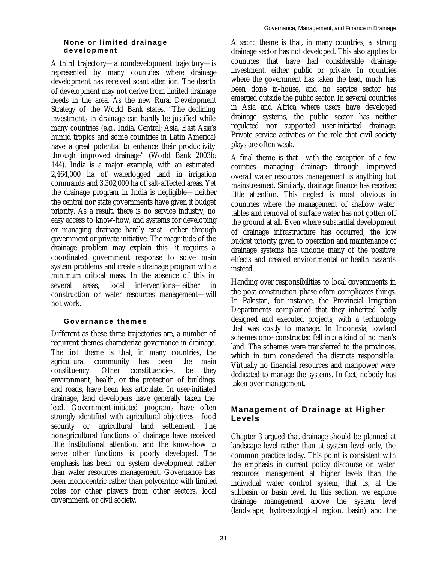# **None or limited drainage development**

A third trajectory—a nondevelopment trajectory—is represented by many countries where drainage development has received scant attention. The dearth of development may not derive from limited drainage needs in the area. As the new Rural Development Strategy of the World Bank states, "The declining investments in drainage can hardly be justified while many countries (e.g., India, Central; Asia, East Asia's humid tropics and some countries in Latin America) have a great potential to enhance their productivity through improved drainage" (World Bank 2003b: 144). India is a major example, with an estimated 2,464,000 ha of waterlogged land in irrigation commands and 3,302,000 ha of salt-affected areas. Yet the drainage program in India is negligible—neither the central nor state governments have given it budget priority. As a result, there is no service industry, no easy access to know-how, and systems for developing or managing drainage hardly exist—either through government or private initiative. The magnitude of the drainage problem may explain this—it requires a coordinated government response to solve main system problems and create a drainage program with a minimum critical mass. In the absence of this in several areas, local interventions—either in construction or water resources management—will not work.

# **Governance themes**

Different as these three trajectories are, a number of recurrent themes characterize governance in drainage. The *first* theme is that, in many countries, the agricultural community has been the main constituency. Other constituencies, be they environment, health, or the protection of buildings and roads, have been less articulate. In user-initiated drainage, land developers have generally taken the lead. Government-initiated programs have often strongly identified with agricultural objectives—food security or agricultural land settlement. The nonagricultural functions of drainage have received little institutional attention, and the know-how to serve other functions is poorly developed. The emphasis has been on system development rather than water resources management. Governance has been monocentric rather than polycentric with limited roles for other players from other sectors, local government, or civil society.

A *second* theme is that, in many countries, a strong drainage sector has not developed. This also applies to countries that have had considerable drainage investment, either public or private. In countries where the government has taken the lead, much has been done in-house, and no service sector has emerged outside the public sector. In several countries in Asia and Africa where users have developed drainage systems, the public sector has neither regulated nor supported user-initiated drainage. Private service activities or the role that civil society plays are often weak.

A final theme is that—with the exception of a few counties—managing drainage through improved overall water resources management is anything but mainstreamed. Similarly, drainage finance has received little attention. This neglect is most obvious in countries where the management of shallow water tables and removal of surface water has not gotten off the ground at all. Even where substantial development of drainage infrastructure has occurred, the low budget priority given to operation and maintenance of drainage systems has undone many of the positive effects and created environmental or health hazards instead.

Handing over responsibilities to local governments in the post-construction phase often complicates things. In Pakistan, for instance, the Provincial Irrigation Departments complained that they inherited badly designed and executed projects, with a technology that was costly to manage. In Indonesia, lowland schemes once constructed fell into a kind of no man's land. The schemes were transferred to the provinces, which in turn considered the districts responsible. Virtually no financial resources and manpower were dedicated to manage the systems. In fact, nobody has taken over management.

# **Management of Drainage at Higher Levels**

Chapter 3 argued that drainage should be planned at landscape level rather than at system level only, the common practice today. This point is consistent with the emphasis in current policy discourse on water resources management at higher levels than the individual water control system, that is, at the subbasin or basin level. In this section, we explore drainage management above the system level (landscape, hydroecological region, basin) and the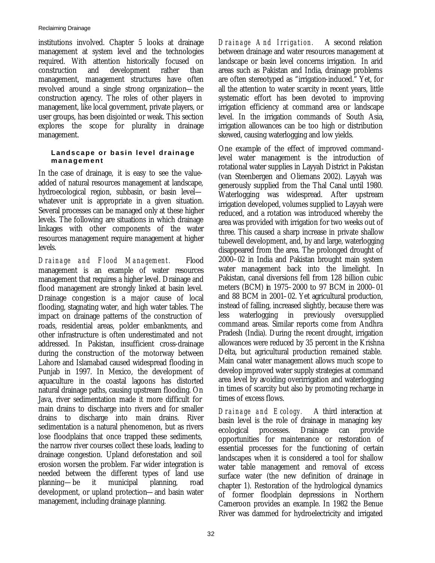institutions involved. Chapter 5 looks at drainage management at system level and the technologies required. With attention historically focused on construction and development rather than management, management structures have often revolved around a single strong organization—the construction agency. The roles of other players in management, like local government, private players, or user groups, has been disjointed or weak. This section explores the scope for plurality in drainage management.

## **Landscape or basin level drainage management**

In the case of drainage, it is easy to see the valueadded of natural resources management at landscape, hydroecological region, subbasin, or basin level whatever unit is appropriate in a given situation. Several processes can be managed only at these higher levels. The following are situations in which drainage linkages with other components of the water resources management require management at higher levels.

*Drainage and Flood Management.* Flood management is an example of water resources management that requires a higher level. Drainage and flood management are strongly linked at basin level. Drainage congestion is a major cause of local flooding, stagnating water, and high water tables. The impact on drainage patterns of the construction of roads, residential areas, polder embankments, and other infrastructure is often underestimated and not addressed. In Pakistan, insufficient cross-drainage during the construction of the motorway between Lahore and Islamabad caused widespread flooding in Punjab in 1997. In Mexico, the development of aquaculture in the coastal lagoons has distorted natural drainage paths, causing upstream flooding. On Java, river sedimentation made it more difficult for main drains to discharge into rivers and for smaller drains to discharge into main drains. River sedimentation is a natural phenomenon, but as rivers lose floodplains that once trapped these sediments, the narrow river courses collect these loads, leading to drainage congestion. Upland deforestation and soil erosion worsen the problem. Far wider integration is needed between the different types of land use planning—be it municipal planning, road development, or upland protection—and basin water management, including drainage planning.

*Drainage And Irrigation.* A second relation between drainage and water resources management at landscape or basin level concerns irrigation. In arid areas such as Pakistan and India, drainage problems are often stereotyped as "irrigation-induced." Yet, for all the attention to water scarcity in recent years, little systematic effort has been devoted to improving irrigation efficiency at command area or landscape level. In the irrigation commands of South Asia, irrigation allowances can be too high or distribution skewed, causing waterlogging and low yields.

One example of the effect of improved commandlevel water management is the introduction of rotational water supplies in Layyah District in Pakistan (van Steenbergen and Oliemans 2002). Layyah was generously supplied from the Thal Canal until 1980. Waterlogging was widespread. After upstream irrigation developed, volumes supplied to Layyah were reduced, and a rotation was introduced whereby the area was provided with irrigation for two weeks out of three. This caused a sharp increase in private shallow tubewell development, and, by and large, waterlogging disappeared from the area. The prolonged drought of 2000–02 in India and Pakistan brought main system water management back into the limelight. In Pakistan, canal diversions fell from 128 billion cubic meters (BCM) in 1975–2000 to 97 BCM in 2000–01 and 88 BCM in 2001–02. Yet agricultural production, instead of falling, increased slightly, because there was less waterlogging in previously oversupplied command areas. Similar reports come from Andhra Pradesh (India). During the recent drought, irrigation allowances were reduced by 35 percent in the Krishna Delta, but agricultural production remained stable. Main canal water management allows much scope to develop improved water supply strategies at command area level by avoiding overirrigation and waterlogging in times of scarcity but also by promoting recharge in times of excess flows.

*Drainage and Ecology.* A third interaction at basin level is the role of drainage in managing key ecological processes. Drainage can provide opportunities for maintenance or restoration of essential processes for the functioning of certain landscapes when it is considered a tool for shallow water table management and removal of excess surface water (the new definition of drainage in chapter 1). Restoration of the hydrological dynamics of former floodplain depressions in Northern Cameroon provides an example. In 1982 the Benue River was dammed for hydroelectricity and irrigated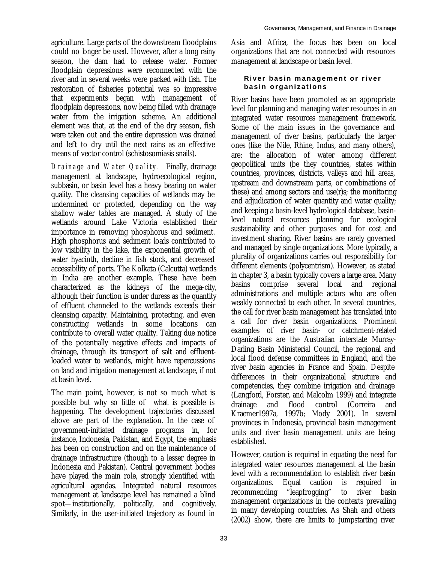agriculture. Large parts of the downstream floodplains could no longer be used. However, after a long rainy season, the dam had to release water. Former floodplain depressions were reconnected with the river and in several weeks were packed with fish. The restoration of fisheries potential was so impressive that experiments began with management of floodplain depressions, now being filled with drainage water from the irrigation scheme. An additional element was that, at the end of the dry season, fish were taken out and the entire depression was drained and left to dry until the next rains as an effective means of vector control (schistosomiasis snails).

*Drainage and Water Quality.* Finally, drainage management at landscape, hydroecological region, subbasin, or basin level has a heavy bearing on water quality. The cleansing capacities of wetlands may be undermined or protected, depending on the way shallow water tables are managed. A study of the wetlands around Lake Victoria established their importance in removing phosphorus and sediment. High phosphorus and sediment loads contributed to low visibility in the lake, the exponential growth of water hyacinth, decline in fish stock, and decreased accessibility of ports. The Kolkata (Calcutta) wetlands in India are another example. These have been characterized as the kidneys of the mega-city, although their function is under duress as the quantity of effluent channeled to the wetlands exceeds their cleansing capacity. Maintaining, protecting, and even constructing wetlands in some locations can contribute to overall water quality. Taking due notice of the potentially negative effects and impacts of drainage, through its transport of salt and effluentloaded water to wetlands, might have repercussions on land and irrigation management at landscape, if not at basin level.

The main point, however, is not so much what is possible but why so little of what is possible is happening. The development trajectories discussed above are part of the explanation. In the case of government-initiated drainage programs in, for instance, Indonesia, Pakistan, and Egypt, the emphasis has been on construction and on the maintenance of drainage infrastructure (though to a lesser degree in Indonesia and Pakistan). Central government bodies have played the main role, strongly identified with agricultural agendas. Integrated natural resources management at landscape level has remained a blind spot—institutionally, politically, and cognitively. Similarly, in the user-initiated trajectory as found in

Asia and Africa, the focus has been on local organizations that are not connected with resources management at landscape or basin level.

## **River basin management or river basin organizations**

River basins have been promoted as an appropriate level for planning and managing water resources in an integrated water resources management framework. Some of the main issues in the governance and management of river basins, particularly the larger ones (like the Nile, Rhine, Indus, and many others), are: the allocation of water among different geopolitical units (be they countries, states within countries, provinces, districts, valleys and hill areas, upstream and downstream parts, or combinations of these) and among sectors and use(r)s; the monitoring and adjudication of water quantity and water quality; and keeping a basin-level hydrological database, basinlevel natural resources planning for ecological sustainability and other purposes and for cost and investment sharing. River basins are rarely governed and managed by single organizations. More typically, a plurality of organizations carries out responsibility for different elements (polycentrism). However, as stated in chapter 3, a basin typically covers a large area. Many basins comprise several local and regional administrations and multiple actors who are often weakly connected to each other. In several countries, the call for river basin management has translated into a call for river basin organizations. Prominent examples of river basin- or catchment-related organizations are the Australian interstate Murray-Darling Basin Ministerial Council, the regional and local flood defense committees in England, and the river basin agencies in France and Spain. Despite differences in their organizational structure and competencies, they combine irrigation and drainage (Langford, Forster, and Malcolm 1999) and integrate drainage and flood control (Correira and Kraemer1997a, 1997b; Mody 2001). In several provinces in Indonesia, provincial basin management units and river basin management units are being established.

However, caution is required in equating the need for integrated water resources management at the basin level with a recommendation to establish river basin organizations. Equal caution is required in recommending "leapfrogging" to river basin management organizations in the contexts prevailing in many developing countries. As Shah and others (2002) show, there are limits to jumpstarting river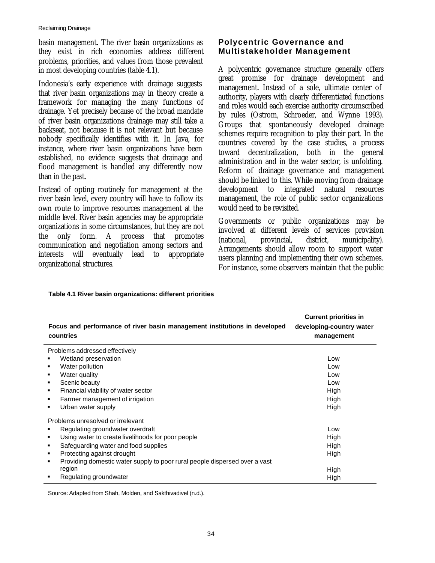basin management. The river basin organizations as they exist in rich economies address different problems, priorities, and values from those prevalent in most developing countries (table 4.1).

Indonesia's early experience with drainage suggests that river basin organizations may in theory create a framework for managing the many functions of drainage. Yet precisely because of the broad mandate of river basin organizations drainage may still take a backseat, not because it is not relevant but because nobody specifically identifies with it. In Java, for instance, where river basin organizations have been established, no evidence suggests that drainage and flood management is handled any differently now than in the past.

Instead of opting routinely for management at the river basin level, every country will have to follow its own route to improve resources management at the middle level. River basin agencies may be appropriate organizations in some circumstances, but they are not the only form. A process that promotes communication and negotiation among sectors and interests will eventually lead to appropriate organizational structures.

# **Polycentric Governance and Multistakeholder Management**

A polycentric governance structure generally offers great promise for drainage development and management. Instead of a sole, ultimate center of authority, players with clearly differentiated functions and roles would each exercise authority circumscribed by rules (Ostrom, Schroeder, and Wynne 1993). Groups that spontaneously developed drainage schemes require recognition to play their part. In the countries covered by the case studies, a process toward decentralization, both in the general administration and in the water sector, is unfolding. Reform of drainage governance and management should be linked to this. While moving from drainage development to integrated natural resources management, the role of public sector organizations would need to be revisited.

Governments or public organizations may be involved at different levels of services provision (national, provincial, district, municipality). Arrangements should allow room to support water users planning and implementing their own schemes. For instance, some observers maintain that the public

| Focus and performance of river basin management institutions in developed<br>countries | <b>Current priorities in</b><br>developing-country water<br>management |
|----------------------------------------------------------------------------------------|------------------------------------------------------------------------|
| Problems addressed effectively                                                         |                                                                        |
| Wetland preservation                                                                   | Low                                                                    |
| Water pollution                                                                        | Low                                                                    |
| Water quality<br>٠                                                                     | Low                                                                    |
| Scenic beauty                                                                          | Low                                                                    |
| Financial viability of water sector<br>٠                                               | High                                                                   |
| Farmer management of irrigation<br>٠                                                   | High                                                                   |
| Urban water supply                                                                     | High                                                                   |
| Problems unresolved or irrelevant                                                      |                                                                        |
| Regulating groundwater overdraft                                                       | Low                                                                    |
| Using water to create livelihoods for poor people<br>٠                                 | High                                                                   |
| Safeguarding water and food supplies                                                   | High                                                                   |
| Protecting against drought                                                             | High                                                                   |
| Providing domestic water supply to poor rural people dispersed over a vast<br>٠        |                                                                        |
| region                                                                                 | High                                                                   |
| Regulating groundwater                                                                 | High                                                                   |

## **Table 4.1 River basin organizations: different priorities**

Source: Adapted from Shah, Molden, and Sakthivadivel (n.d.).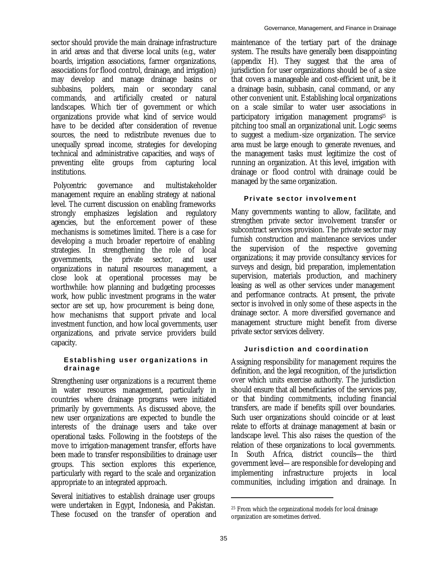sector should provide the main drainage infrastructure in arid areas and that diverse local units (e.g., water boards, irrigation associations, farmer organizations, associations for flood control, drainage, and irrigation) may develop and manage drainage basins or subbasins, polders, main or secondary canal commands, and artificially created or natural landscapes. Which tier of government or which organizations provide what kind of service would have to be decided after consideration of revenue sources, the need to redistribute revenues due to unequally spread income, strategies for developing technical and administrative capacities, and ways of preventing elite groups from capturing local institutions.

 Polycentric governance and multistakeholder management require an enabling strategy at national level. The current discussion on enabling frameworks strongly emphasizes legislation and regulatory agencies, but the enforcement power of these mechanisms is sometimes limited. There is a case for developing a much broader repertoire of enabling strategies. In strengthening the role of local governments, the private sector, and user organizations in natural resources management, a close look at operational processes may be worthwhile: how planning and budgeting processes work, how public investment programs in the water sector are set up, how procurement is being done, how mechanisms that support private and local investment function, and how local governments, user organizations, and private service providers build capacity.

## **Establishing user organizations in drainage**

Strengthening user organizations is a recurrent theme in water resources management, particularly in countries where drainage programs were initiated primarily by governments. As discussed above, the new user organizations are expected to bundle the interests of the drainage users and take over operational tasks. Following in the footsteps of the move to irrigation-management transfer, efforts have been made to transfer responsibilities to drainage user groups. This section explores this experience, particularly with regard to the scale and organization appropriate to an integrated approach.

Several initiatives to establish drainage user groups were undertaken in Egypt, Indonesia, and Pakistan. These focused on the transfer of operation and

maintenance of the tertiary part of the drainage system. The results have generally been disappointing (appendix H). They suggest that the area of jurisdiction for user organizations should be of a size that covers a manageable and cost-efficient unit, be it a drainage basin, subbasin, canal command, or any other convenient unit. Establishing local organizations on a scale similar to water user associations in participatory irrigation management programs25 is pitching too small an organizational unit. Logic seems to suggest a medium-size organization. The service area must be large enough to generate revenues, and the management tasks must legitimize the cost of running an organization. At this level, irrigation with drainage or flood control with drainage could be managed by the same organization.

## **Private sector involvement**

Many governments wanting to allow, facilitate, and strengthen private sector involvement transfer or subcontract services provision. The private sector may furnish construction and maintenance services under the supervision of the respective governing organizations; it may provide consultancy services for surveys and design, bid preparation, implementation supervision, materials production, and machinery leasing as well as other services under management and performance contracts. At present, the private sector is involved in only some of these aspects in the drainage sector. A more diversified governance and management structure might benefit from diverse private sector services delivery.

## **Jurisdiction and coordination**

Assigning responsibility for management requires the definition, and the legal recognition, of the jurisdiction over which units exercise authority. The jurisdiction should ensure that all beneficiaries of the services pay, or that binding commitments, including financial transfers, are made if benefits spill over boundaries. Such user organizations should coincide or at least relate to efforts at drainage management at basin or landscape level. This also raises the question of the relation of these organizations to local governments. In South Africa, district councils—the third government level—are responsible for developing and implementing infrastructure projects in local communities, including irrigation and drainage. In

 $\overline{a}$ 

<sup>25</sup> From which the organizational models for local drainage organization are sometimes derived.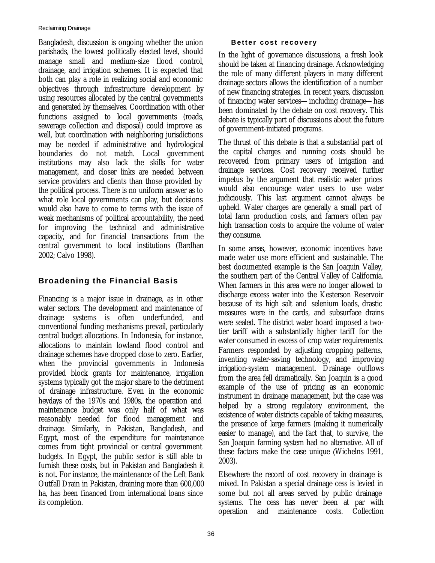Bangladesh, discussion is ongoing whether the union parishads, the lowest politically elected level, should manage small and medium-size flood control, drainage, and irrigation schemes. It is expected that both can play a role in realizing social and economic objectives through infrastructure development by using resources allocated by the central governments and generated by themselves. Coordination with other functions assigned to local governments (roads, sewerage collection and disposal) could improve as well, but coordination with neighboring jurisdictions may be needed if administrative and hydrological boundaries do not match. Local government institutions may also lack the skills for water management, and closer links are needed between service providers and clients than those provided by the political process. There is no uniform answer as to what role local governments can play, but decisions would also have to come to terms with the issue of weak mechanisms of political accountability, the need for improving the technical and administrative capacity, and for financial transactions from the central government to local institutions (Bardhan 2002; Calvo 1998).

# **Broadening the Financial Basis**

Financing is a major issue in drainage, as in other water sectors. The development and maintenance of drainage systems is often underfunded, and conventional funding mechanisms prevail, particularly central budget allocations. In Indonesia, for instance, allocations to maintain lowland flood control and drainage schemes have dropped close to zero. Earlier, when the provincial governments in Indonesia provided block grants for maintenance, irrigation systems typically got the major share to the detriment of drainage infrastructure. Even in the economic heydays of the 1970s and 1980s, the operation and maintenance budget was only half of what was reasonably needed for flood management and drainage. Similarly, in Pakistan, Bangladesh, and Egypt, most of the expenditure for maintenance comes from tight provincial or central government budgets. In Egypt, the public sector is still able to furnish these costs, but in Pakistan and Bangladesh it is not. For instance, the maintenance of the Left Bank Outfall Drain in Pakistan, draining more than 600,000 ha, has been financed from international loans since its completion.

## **Better cost recovery**

In the light of governance discussions, a fresh look should be taken at financing drainage. Acknowledging the role of many different players in many different drainage sectors allows the identification of a number of new financing strategies. In recent years, discussion of financing water services—including drainage—has been dominated by the debate on cost recovery. This debate is typically part of discussions about the future of government-initiated programs.

The thrust of this debate is that a substantial part of the capital charges and running costs should be recovered from primary users of irrigation and drainage services. Cost recovery received further impetus by the argument that realistic water prices would also encourage water users to use water judiciously. This last argument cannot always be upheld. Water charges are generally a small part of total farm production costs, and farmers often pay high transaction costs to acquire the volume of water they consume.

In some areas, however, economic incentives have made water use more efficient and sustainable. The best documented example is the San Joaquin Valley, the southern part of the Central Valley of California. When farmers in this area were no longer allowed to discharge excess water into the Kesterson Reservoir because of its high salt and selenium loads, drastic measures were in the cards, and subsurface drains were sealed. The district water board imposed a twotier tariff with a substantially higher tariff for the water consumed in excess of crop water requirements. Farmers responded by adjusting cropping patterns, inventing water-saving technology, and improving irrigation-system management. Drainage outflows from the area fell dramatically. San Joaquin is a good example of the use of pricing as an economic instrument in drainage management, but the case was helped by a strong regulatory environment, the existence of water districts capable of taking measures, the presence of large farmers (making it numerically easier to manage), and the fact that, to survive, the San Joaquin farming system had no alternative. All of these factors make the case unique (Wichelns 1991, 2003).

Elsewhere the record of cost recovery in drainage is mixed. In Pakistan a special drainage cess is levied in some but not all areas served by public drainage systems. The cess has never been at par with operation and maintenance costs. Collection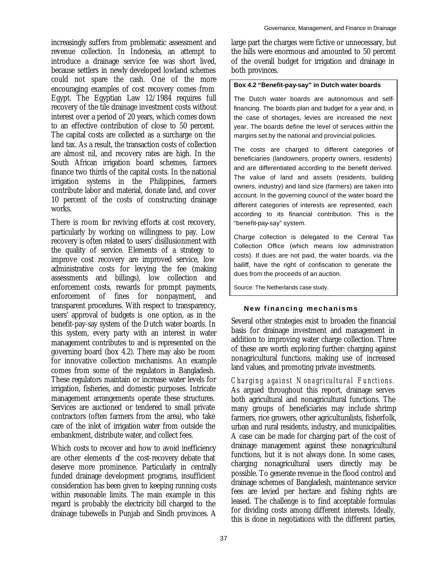increasingly suffers from problematic assessment and revenue collection. In Indonesia, an attempt to introduce a drainage service fee was short lived, because settlers in newly developed lowland schemes could not spare the cash. One of the more encouraging examples of cost recovery comes from Egypt. The Egyptian Law 12/1984 requires full recovery of the tile drainage investment costs without interest over a period of 20 years, which comes down to an effective contribution of close to 50 percent. The capital costs are collected as a surcharge on the land tax. As a result, the transaction costs of collection are almost nil, and recovery rates are high. In the South African irrigation board schemes, farmers finance two thirds of the capital costs. In the national irrigation systems in the Philippines, farmers contribute labor and material, donate land, and cover 10 percent of the costs of constructing drainage works.

There is room for reviving efforts at cost recovery, particularly by working on willingness to pay. Low recovery is often related to users' disillusionment with the quality of service. Elements of a strategy to improve cost recovery are improved service, low administrative costs for levying the fee (making assessments and billings), low collection and enforcement costs, rewards for prompt payments, enforcement of fines for nonpayment, and transparent procedures. With respect to transparency, users' approval of budgets is one option, as in the benefit-pay-say system of the Dutch water boards. In this system, every party with an interest in water management contributes to and is represented on the governing board (box 4.2). There may also be room for innovative collection mechanisms. An example comes from some of the regulators in Bangladesh. These regulators maintain or increase water levels for irrigation, fisheries, and domestic purposes. Intricate management arrangements operate these structures. Services are auctioned or tendered to small private contractors (often farmers from the area), who take care of the inlet of irrigation water from outside the embankment, distribute water, and collect fees.

Which costs to recover and how to avoid inefficiency are other elements of the cost-recovery debate that deserve more prominence. Particularly in centrally funded drainage development programs, insufficient consideration has been given to keeping running costs within reasonable limits. The main example in this regard is probably the electricity bill charged to the drainage tubewells in Punjab and Sindh provinces. A large part the charges were fictive or unnecessary, but the bills were enormous and amounted to 50 percent of the overall budget for irrigation and drainage in both provinces.

## **Box 4.2 "Benefit-pay-say" in Dutch water boards**

The Dutch water boards are autonomous and selffinancing. The boards plan and budget for a year and, in the case of shortages, levies are increased the next year. The boards define the level of services within the margins set by the national and provincial policies.

The costs are charged to different categories of beneficiaries (landowners, property owners, residents) and are differentiated according to the benefit derived. The value of land and assets (residents, building owners, industry) and land size (farmers) are taken into account. In the governing council of the water board the different categories of interests are represented, each according to its financial contribution. This is the "benefit-pay-say" system.

Charge collection is delegated to the Central Tax Collection Office (which means low administration costs). If dues are not paid, the water boards, via the bailiff, have the right of confiscation to generate the dues from the proceeds of an auction.

Source: The Netherlands case study.

# **New financing mechanisms**

Several other strategies exist to broaden the financial basis for drainage investment and management in addition to improving water charge collection. Three of these are worth exploring further: charging against nonagricultural functions, making use of increased land values, and promoting private investments.

*Charging against Nonagricultural Functions.*  As argued throughout this report, drainage serves both agricultural and nonagricultural functions. The many groups of beneficiaries may include shrimp farmers, rice growers, other agriculturalists, fisherfolk, urban and rural residents, industry, and municipalities. A case can be made for charging part of the cost of drainage management against these nonagricultural functions, but it is not always done. In some cases, charging nonagricultural users directly may be possible. To generate revenue in the flood control and drainage schemes of Bangladesh, maintenance service fees are levied per hectare and fishing rights are leased. The challenge is to find acceptable formulas for dividing costs among different interests. Ideally, this is done in negotiations with the different parties,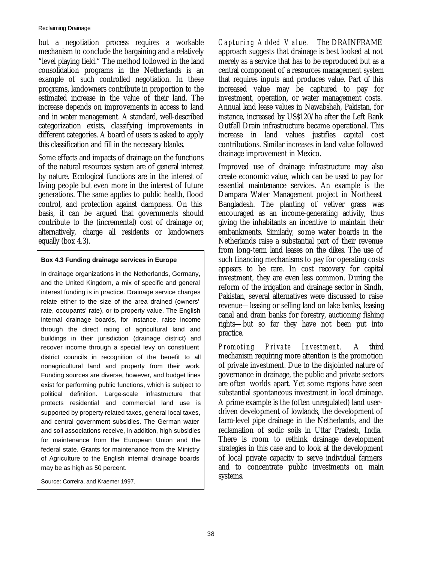but a negotiation process requires a workable mechanism to conclude the bargaining and a relatively "level playing field." The method followed in the land consolidation programs in the Netherlands is an example of such controlled negotiation. In these programs, landowners contribute in proportion to the estimated increase in the value of their land. The increase depends on improvements in access to land and in water management. A standard, well-described categorization exists, classifying improvements in different categories. A board of users is asked to apply this classification and fill in the necessary blanks.

Some effects and impacts of drainage on the functions of the natural resources system are of general interest by nature. Ecological functions are in the interest of living people but even more in the interest of future generations. The same applies to public health, flood control, and protection against dampness. On this basis, it can be argued that governments should contribute to the (incremental) cost of drainage or, alternatively, charge all residents or landowners equally (box 4.3).

## **Box 4.3 Funding drainage services in Europe**

In drainage organizations in the Netherlands, Germany, and the United Kingdom, a mix of specific and general interest funding is in practice. Drainage service charges relate either to the size of the area drained (owners' rate, occupants' rate), or to property value. The English internal drainage boards, for instance, raise income through the direct rating of agricultural land and buildings in their jurisdiction (drainage district) and recover income through a special levy on constituent district councils in recognition of the benefit to all nonagricultural land and property from their work. Funding sources are diverse, however, and budget lines exist for performing public functions, which is subject to political definition. Large-scale infrastructure that protects residential and commercial land use is supported by property-related taxes, general local taxes, and central government subsidies. The German water and soil associations receive, in addition, high subsidies for maintenance from the European Union and the federal state. Grants for maintenance from the Ministry of Agriculture to the English internal drainage boards may be as high as 50 percent.

Source: Correira, and Kraemer 1997.

*Capturing Added Value.* The DRAINFRAME approach suggests that drainage is best looked at not merely as a service that has to be reproduced but as a central component of a resources management system that requires inputs and produces value. Part of this increased value may be captured to pay for investment, operation, or water management costs. Annual land lease values in Nawabshah, Pakistan, for instance, increased by US\$120/ha after the Left Bank Outfall Drain infrastructure became operational. This increase in land values justifies capital cost contributions. Similar increases in land value followed drainage improvement in Mexico.

Improved use of drainage infrastructure may also create economic value, which can be used to pay for essential maintenance services. An example is the Dampara Water Management project in Northeast Bangladesh. The planting of vetiver grass was encouraged as an income-generating activity, thus giving the inhabitants an incentive to maintain their embankments. Similarly, some water boards in the Netherlands raise a substantial part of their revenue from long-term land leases on the dikes. The use of such financing mechanisms to pay for operating costs appears to be rare. In cost recovery for capital investment, they are even less common. During the reform of the irrigation and drainage sector in Sindh, Pakistan, several alternatives were discussed to raise revenue—leasing or selling land on lake banks, leasing canal and drain banks for forestry, auctioning fishing rights—but so far they have not been put into practice.

*Promoting Private Investment.* A third mechanism requiring more attention is the promotion of private investment. Due to the disjointed nature of governance in drainage, the public and private sectors are often worlds apart. Yet some regions have seen substantial spontaneous investment in local drainage. A prime example is the (often unregulated) land user– driven development of lowlands, the development of farm-level pipe drainage in the Netherlands, and the reclamation of sodic soils in Uttar Pradesh, India. There is room to rethink drainage development strategies in this case and to look at the development of local private capacity to serve individual farmers and to concentrate public investments on main systems.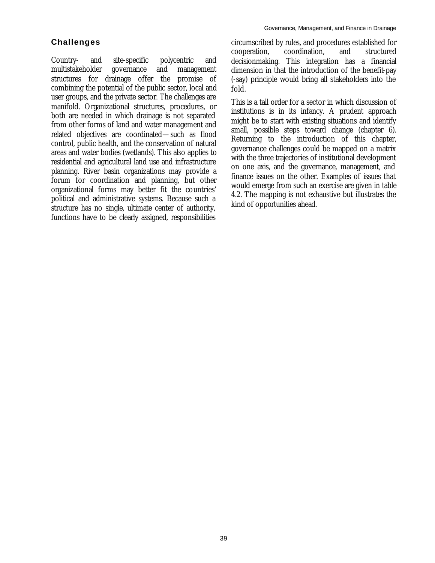# **Challenges**

Country- and site-specific polycentric and multistakeholder governance and management structures for drainage offer the promise of combining the potential of the public sector, local and user groups, and the private sector. The challenges are manifold. Organizational structures, procedures, or both are needed in which drainage is not separated from other forms of land and water management and related objectives are coordinated—such as flood control, public health, and the conservation of natural areas and water bodies (wetlands). This also applies to residential and agricultural land use and infrastructure planning. River basin organizations may provide a forum for coordination and planning, but other organizational forms may better fit the countries' political and administrative systems. Because such a structure has no single, ultimate center of authority, functions have to be clearly assigned, responsibilities

circumscribed by rules, and procedures established for cooperation, coordination, and structured decisionmaking. This integration has a financial dimension in that the introduction of the benefit-pay (-say) principle would bring all stakeholders into the fold.

This is a tall order for a sector in which discussion of institutions is in its infancy. A prudent approach might be to start with existing situations and identify small, possible steps toward change (chapter 6). Returning to the introduction of this chapter, governance challenges could be mapped on a matrix with the three trajectories of institutional development on one axis, and the governance, management, and finance issues on the other. Examples of issues that would emerge from such an exercise are given in table 4.2. The mapping is not exhaustive but illustrates the kind of opportunities ahead.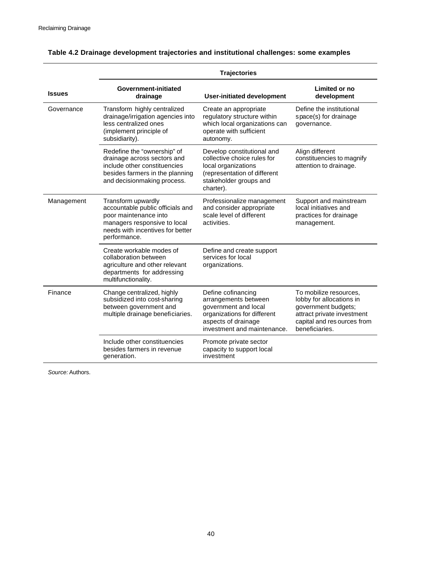|               | <b>Trajectories</b>                                                                                                                                                 |                                                                                                                                                         |                                                                                                                                                          |  |  |  |  |  |
|---------------|---------------------------------------------------------------------------------------------------------------------------------------------------------------------|---------------------------------------------------------------------------------------------------------------------------------------------------------|----------------------------------------------------------------------------------------------------------------------------------------------------------|--|--|--|--|--|
| <b>Issues</b> | Government-initiated<br>drainage                                                                                                                                    | <b>User-initiated development</b>                                                                                                                       | Limited or no<br>development                                                                                                                             |  |  |  |  |  |
| Governance    | Transform highly centralized<br>drainage/irrigation agencies into<br>less centralized ones<br>(implement principle of<br>subsidiarity).                             | Create an appropriate<br>regulatory structure within<br>which local organizations can<br>operate with sufficient<br>autonomy.                           | Define the institutional<br>space(s) for drainage<br>governance.                                                                                         |  |  |  |  |  |
|               | Redefine the "ownership" of<br>drainage across sectors and<br>include other constituencies<br>besides farmers in the planning<br>and decisionmaking process.        | Develop constitutional and<br>collective choice rules for<br>local organizations<br>(representation of different<br>stakeholder groups and<br>charter). | Align different<br>constituencies to magnify<br>attention to drainage.                                                                                   |  |  |  |  |  |
| Management    | Transform upwardly<br>accountable public officials and<br>poor maintenance into<br>managers responsive to local<br>needs with incentives for better<br>performance. | Professionalize management<br>and consider appropriate<br>scale level of different<br>activities.                                                       | Support and mainstream<br>local initiatives and<br>practices for drainage<br>management.                                                                 |  |  |  |  |  |
|               | Create workable modes of<br>collaboration between<br>agriculture and other relevant<br>departments for addressing<br>multifunctionality.                            | Define and create support<br>services for local<br>organizations.                                                                                       |                                                                                                                                                          |  |  |  |  |  |
| Finance       | Change centralized, highly<br>subsidized into cost-sharing<br>between government and<br>multiple drainage beneficiaries.                                            | Define cofinancing<br>arrangements between<br>government and local<br>organizations for different<br>aspects of drainage<br>investment and maintenance. | To mobilize resources,<br>lobby for allocations in<br>government budgets;<br>attract private investment<br>capital and res ources from<br>beneficiaries. |  |  |  |  |  |
|               | Include other constituencies<br>besides farmers in revenue<br>generation.                                                                                           | Promote private sector<br>capacity to support local<br>investment                                                                                       |                                                                                                                                                          |  |  |  |  |  |

# **Table 4.2 Drainage development trajectories and institutional challenges: some examples**

*Source:* Authors.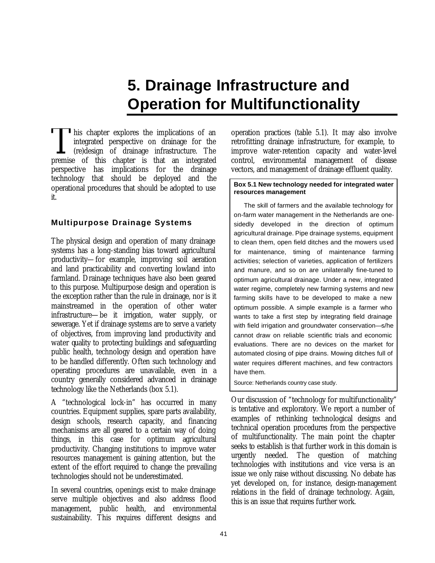# **5. Drainage Infrastructure and Operation for Multifunctionality**

This chapter explores the implications of an integrated perspective on drainage for the (re)design of drainage infrastructure. The This chapter explores the implications of an integrated perspective on drainage for the (re)design of drainage infrastructure. The premise of this chapter is that an integrated perspective has implications for the drainage technology that should be deployed and the operational procedures that should be adopted to use it.

# **Multipurpose Drainage Systems**

The physical design and operation of many drainage systems has a long-standing bias toward agricultural productivity—for example, improving soil aeration and land practicability and converting lowland into farmland. Drainage techniques have also been geared to this purpose. Multipurpose design and operation is the exception rather than the rule in drainage, nor is it mainstreamed in the operation of other water infrastructure—be it irrigation, water supply, or sewerage. Yet if drainage systems are to serve a variety of objectives, from improving land productivity and water quality to protecting buildings and safeguarding public health, technology design and operation have to be handled differently. Often such technology and operating procedures are unavailable, even in a country generally considered advanced in drainage technology like the Netherlands (box 5.1).

A "technological lock-in" has occurred in many countries. Equipment supplies, spare parts availability, design schools, research capacity, and financing mechanisms are all geared to a certain way of doing things, in this case for optimum agricultural productivity. Changing institutions to improve water resources management is gaining attention, but the extent of the effort required to change the prevailing technologies should not be underestimated.

In several countries, openings exist to make drainage serve multiple objectives and also address flood management, public health, and environmental sustainability. This requires different designs and

operation practices (table 5.1). It may also involve retrofitting drainage infrastructure, for example, to improve water-retention capacity and water-level control, environmental management of disease vectors, and management of drainage effluent quality.

#### **Box 5.1 New technology needed for integrated water resources management**

The skill of farmers and the available technology for on-farm water management in the Netherlands are onesidedly developed in the direction of optimum agricultural drainage. Pipe drainage systems, equipment to clean them, open field ditches and the mowers used for maintenance, timing of maintenance farming activities; selection of varieties, application of fertilizers and manure, and so on are unilaterally fine-tuned to optimum agricultural drainage. Under a new, integrated water regime, completely new farming systems and new farming skills have to be developed to make a new optimum possible. A simple example is a farmer who wants to take a first step by integrating field drainage with field irrigation and groundwater conservation—s/he cannot draw on reliable scientific trials and economic evaluations. There are no devices on the market for automated closing of pipe drains. Mowing ditches full of water requires different machines, and few contractors have them.

Source: Netherlands country case study.

Our discussion of "technology for multifunctionality" is tentative and exploratory. We report a number of examples of rethinking technological designs and technical operation procedures from the perspective of multifunctionality. The main point the chapter seeks to establish is that further work in this domain is urgently needed. The question of matching technologies with institutions and vice versa is an issue we only raise without discussing. No debate has yet developed on, for instance, design-management relations in the field of drainage technology. Again, this is an issue that requires further work.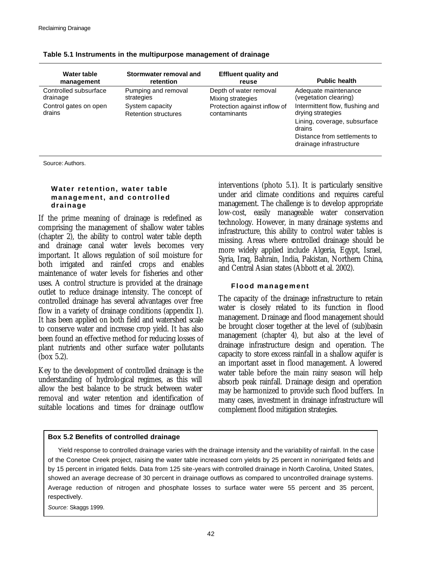| Water table                     | Stormwater removal and                         | <b>Effluent quality and</b>                  | <b>Public health</b>                                                                                                                                      |
|---------------------------------|------------------------------------------------|----------------------------------------------|-----------------------------------------------------------------------------------------------------------------------------------------------------------|
| management                      | retention                                      | reuse                                        |                                                                                                                                                           |
| Controlled subsurface           | Pumping and removal                            | Depth of water removal                       | Adequate maintenance                                                                                                                                      |
| drainage                        | strategies                                     | Mixing strategies                            | (vegetation clearing)                                                                                                                                     |
| Control gates on open<br>drains | System capacity<br><b>Retention structures</b> | Protection against inflow of<br>contaminants | Intermittent flow, flushing and<br>drying strategies<br>Lining, coverage, subsurface<br>drains<br>Distance from settlements to<br>drainage infrastructure |

| Table 5.1 Instruments in the multipurpose management of drainage |  |  |  |  |  |  |  |  |
|------------------------------------------------------------------|--|--|--|--|--|--|--|--|
|------------------------------------------------------------------|--|--|--|--|--|--|--|--|

Source: Authors.

## **Water retention, water table management, and controlled drainage**

If the prime meaning of drainage is redefined as comprising the management of shallow water tables (chapter 2), the ability to control water table depth and drainage canal water levels becomes very important. It allows regulation of soil moisture for both irrigated and rainfed crops and enables maintenance of water levels for fisheries and other uses. A control structure is provided at the drainage outlet to reduce drainage intensity. The concept of controlled drainage has several advantages over free flow in a variety of drainage conditions (appendix I). It has been applied on both field and watershed scale to conserve water and increase crop yield. It has also been found an effective method for reducing losses of plant nutrients and other surface water pollutants (box 5.2).

Key to the development of controlled drainage is the understanding of hydrological regimes, as this will allow the best balance to be struck between water removal and water retention and identification of suitable locations and times for drainage outflow

interventions (photo 5.1). It is particularly sensitive under arid climate conditions and requires careful management. The challenge is to develop appropriate low-cost, easily manageable water conservation technology. However, in many drainage systems and infrastructure, this ability to control water tables is missing. Areas where controlled drainage should be more widely applied include Algeria, Egypt, Israel, Syria, Iraq, Bahrain, India, Pakistan, Northern China, and Central Asian states (Abbott et al. 2002).

## **Flood management**

The capacity of the drainage infrastructure to retain water is closely related to its function in flood management. Drainage and flood management should be brought closer together at the level of (sub)basin management (chapter 4), but also at the level of drainage infrastructure design and operation. The capacity to store excess rainfall in a shallow aquifer is an important asset in flood management. A lowered water table before the main rainy season will help absorb peak rainfall. Drainage design and operation may be harmonized to provide such flood buffers. In many cases, investment in drainage infrastructure will complement flood mitigation strategies.

## **Box 5.2 Benefits of controlled drainage**

Yield response to controlled drainage varies with the drainage intensity and the variability of rainfall. In the case of the Conetoe Creek project, raising the water table increased corn yields by 25 percent in nonirrigated fields and by 15 percent in irrigated fields. Data from 125 site-years with controlled drainage in North Carolina, United States, showed an average decrease of 30 percent in drainage outflows as compared to uncontrolled drainage systems. Average reduction of nitrogen and phosphate losses to surface water were 55 percent and 35 percent, respectively.

*Source:* Skaggs 1999.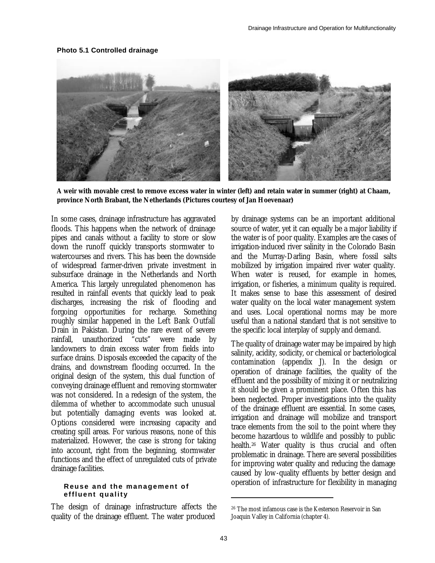#### **Photo 5.1 Controlled drainage**



**A weir with movable crest to remove excess water in winter (left) and retain water in summer (right) at Chaam, province North Brabant, the Netherlands (Pictures courtesy of Jan Hoevenaar)**

In some cases, drainage infrastructure has aggravated floods. This happens when the network of drainage pipes and canals without a facility to store or slow down the runoff quickly transports stormwater to watercourses and rivers. This has been the downside of widespread farmer-driven private investment in subsurface drainage in the Netherlands and North America. This largely unregulated phenomenon has resulted in rainfall events that quickly lead to peak discharges, increasing the risk of flooding and forgoing opportunities for recharge. Something roughly similar happened in the Left Bank Outfall Drain in Pakistan. During the rare event of severe rainfall, unauthorized "cuts" were made by landowners to drain excess water from fields into surface drains. Disposals exceeded the capacity of the drains, and downstream flooding occurred. In the original design of the system, this dual function of conveying drainage effluent and removing stormwater was not considered. In a redesign of the system, the dilemma of whether to accommodate such unusual but potentially damaging events was looked at. Options considered were increasing capacity and creating spill areas. For various reasons, none of this materialized. However, the case is strong for taking into account, right from the beginning, stormwater functions and the effect of unregulated cuts of private drainage facilities.

#### **Reuse and the management of effluent quality**

The design of drainage infrastructure affects the quality of the drainage effluent. The water produced

by drainage systems can be an important additional source of water, yet it can equally be a major liability if the water is of poor quality. Examples are the cases of irrigation-induced river salinity in the Colorado Basin and the Murray-Darling Basin, where fossil salts mobilized by irrigation impaired river water quality. When water is reused, for example in homes, irrigation, or fisheries, a minimum quality is required. It makes sense to base this assessment of desired water quality on the local water management system and uses. Local operational norms may be more useful than a national standard that is not sensitive to the specific local interplay of supply and demand.

The quality of drainage water may be impaired by high salinity, acidity, sodicity, or chemical or bacteriological contamination (appendix J). In the design or operation of drainage facilities, the quality of the effluent and the possibility of mixing it or neutralizing it should be given a prominent place. Often this has been neglected. Proper investigations into the quality of the drainage effluent are essential. In some cases, irrigation and drainage will mobilize and transport trace elements from the soil to the point where they become hazardous to wildlife and possibly to public health.26 Water quality is thus crucial and often problematic in drainage. There are several possibilities for improving water quality and reducing the damage caused by low-quality effluents by better design and operation of infrastructure for flexibility in managing

 $\overline{a}$ 

<sup>26</sup> The most infamous case is the Kesterson Reservoir in San Joaquin Valley in California (chapter 4).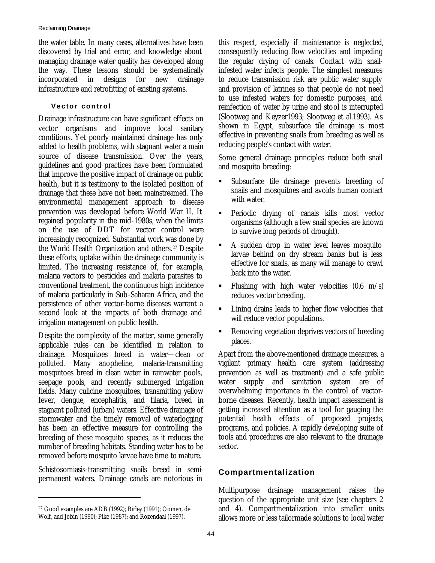the water table. In many cases, alternatives have been discovered by trial and error, and knowledge about managing drainage water quality has developed along the way. These lessons should be systematically incorporated in designs for new drainage infrastructure and retrofitting of existing systems.

## **Vector control**

Drainage infrastructure can have significant effects on vector organisms and improve local sanitary conditions. Yet poorly maintained drainage has only added to health problems, with stagnant water a main source of disease transmission. Over the years, guidelines and good practices have been formulated that improve the positive impact of drainage on public health, but it is testimony to the isolated position of drainage that these have not been mainstreamed. The environmental management approach to disease prevention was developed before World War II. It regained popularity in the mid-1980s, when the limits on the use of DDT for vector control were increasingly recognized. Substantial work was done by the World Health Organization and others.27 Despite these efforts, uptake within the drainage community is limited. The increasing resistance of, for example, malaria vectors to pesticides and malaria parasites to conventional treatment, the continuous high incidence of malaria particularly in Sub-Saharan Africa, and the persistence of other vector-borne diseases warrant a second look at the impacts of both drainage and irrigation management on public health.

Despite the complexity of the matter, some generally applicable rules can be identified in relation to drainage. Mosquitoes breed in water—clean or polluted. Many anopheline, malaria-transmitting mosquitoes breed in clean water in rainwater pools, seepage pools, and recently submerged irrigation fields. Many culicine mosquitoes, transmitting yellow fever, dengue, encephalitis, and filaria, breed in stagnant polluted (urban) waters. Effective drainage of stormwater and the timely removal of waterlogging has been an effective measure for controlling the breeding of these mosquito species, as it reduces the number of breeding habitats. Standing water has to be removed before mosquito larvae have time to mature.

Schistosomiasis-transmitting snails breed in semipermanent waters. Drainage canals are notorious in

 $\overline{a}$ 

this respect, especially if maintenance is neglected, consequently reducing flow velocities and impeding the regular drying of canals. Contact with snailinfested water infects people. The simplest measures to reduce transmission risk are public water supply and provision of latrines so that people do not need to use infested waters for domestic purposes, and reinfection of water by urine and stool is interrupted (Slootweg and Keyzer1993; Slootweg et al.1993). As shown in Egypt, subsurface tile drainage is most effective in preventing snails from breeding as well as reducing people's contact with water.

Some general drainage principles reduce both snail and mosquito breeding:

- ß Subsurface tile drainage prevents breeding of snails and mosquitoes and avoids human contact with water.
- ß Periodic drying of canals kills most vector organisms (although a few snail species are known to survive long periods of drought).
- A sudden drop in water level leaves mosquito larvae behind on dry stream banks but is less effective for snails, as many will manage to crawl back into the water.
- Flushing with high water velocities  $(0.6 \, \text{m/s})$ reduces vector breeding.
- ß Lining drains leads to higher flow velocities that will reduce vector populations.
- ß Removing vegetation deprives vectors of breeding places.

Apart from the above-mentioned drainage measures, a vigilant primary health care system (addressing prevention as well as treatment) and a safe public water supply and sanitation system are of overwhelming importance in the control of vectorborne diseases. Recently, health impact assessment is getting increased attention as a tool for gauging the potential health effects of proposed projects, programs, and policies. A rapidly developing suite of tools and procedures are also relevant to the drainage sector.

# **Compartmentalization**

Multipurpose drainage management raises the question of the appropriate unit size (see chapters 2 and 4). Compartmentalization into smaller units allows more or less tailormade solutions to local water

<sup>27</sup> Good examples are ADB (1992); Birley (1991); Oomen, de Wolf, and Jobin (1990); Pike (1987); and Rozendaal (1997).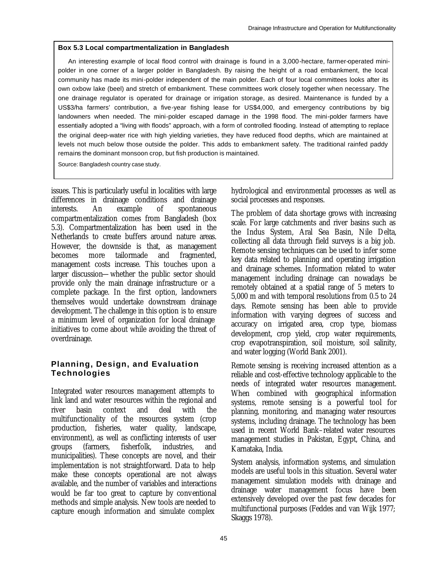## **Box 5.3 Local compartmentalization in Bangladesh**

An interesting example of local flood control with drainage is found in a 3,000-hectare, farmer-operated minipolder in one corner of a larger polder in Bangladesh. By raising the height of a road embankment, the local community has made its mini-polder independent of the main polder. Each of four local committees looks after its own oxbow lake (beel) and stretch of embankment. These committees work closely together when necessary. The one drainage regulator is operated for drainage or irrigation storage, as desired. Maintenance is funded by a US\$3/ha farmers' contribution, a five-year fishing lease for US\$4,000, and emergency contributions by big landowners when needed. The mini-polder escaped damage in the 1998 flood. The mini-polder farmers have essentially adopted a "living with floods" approach, with a form of controlled flooding. Instead of attempting to replace the original deep-water rice with high yielding varieties, they have reduced flood depths, which are maintained at levels not much below those outside the polder. This adds to embankment safety. The traditional rainfed paddy remains the dominant monsoon crop, but fish production is maintained.

Source: Bangladesh country case study.

issues. This is particularly useful in localities with large differences in drainage conditions and drainage interests. An example of spontaneous compartmentalization comes from Bangladesh (box 5.3). Compartmentalization has been used in the Netherlands to create buffers around nature areas. However, the downside is that, as management becomes more tailormade and fragmented, management costs increase. This touches upon a larger discussion—whether the public sector should provide only the main drainage infrastructure or a complete package. In the first option, landowners themselves would undertake downstream drainage development. The challenge in this option is to ensure a minimum level of organization for local drainage initiatives to come about while avoiding the threat of overdrainage.

# **Planning, Design, and Evaluation Technologies**

Integrated water resources management attempts to link land and water resources within the regional and river basin context and deal with the multifunctionality of the resources system (crop production, fisheries, water quality, landscape, environment), as well as conflicting interests of user groups (farmers, fisherfolk, industries, and municipalities). These concepts are novel, and their implementation is not straightforward. Data to help make these concepts operational are not always available, and the number of variables and interactions would be far too great to capture by conventional methods and simple analysis. New tools are needed to capture enough information and simulate complex

hydrological and environmental processes as well as social processes and responses.

The problem of data shortage grows with increasing scale. For large catchments and river basins such as the Indus System, Aral Sea Basin, Nile Delta, collecting all data through field surveys is a big job. Remote sensing techniques can be used to infer some key data related to planning and operating irrigation and drainage schemes. Information related to water management including drainage can nowadays be remotely obtained at a spatial range of 5 meters to 5,000 m and with temporal resolutions from 0.5 to 24 days. Remote sensing has been able to provide information with varying degrees of success and accuracy on irrigated area, crop type, biomass development, crop yield, crop water requirements, crop evapotranspiration, soil moisture, soil salinity, and water logging (World Bank 2001).

Remote sensing is receiving increased attention as a reliable and cost-effective technology applicable to the needs of integrated water resources management. When combined with geographical information systems, remote sensing is a powerful tool for planning, monitoring, and managing water resources systems, including drainage. The technology has been used in recent World Bank–related water resources management studies in Pakistan, Egypt, China, and Karnataka, India.

System analysis, information systems, and simulation models are useful tools in this situation. Several water management simulation models with drainage and drainage water management focus have been extensively developed over the past few decades for multifunctional purposes (Feddes and van Wijk 1977; Skaggs 1978).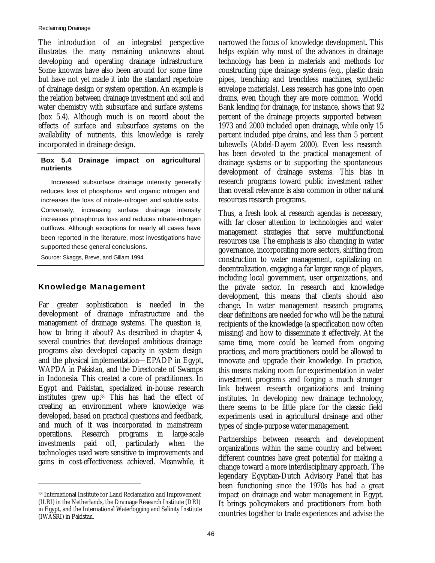The introduction of an integrated perspective illustrates the many remaining unknowns about developing and operating drainage infrastructure. Some knowns have also been around for some time but have not yet made it into the standard repertoire of drainage design or system operation. An example is the relation between drainage investment and soil and water chemistry with subsurface and surface systems (box 5.4). Although much is on record about the effects of surface and subsurface systems on the availability of nutrients, this knowledge is rarely incorporated in drainage design.

## **Box 5.4 Drainage impact on agricultural nutrients**

Increased subsurface drainage intensity generally reduces loss of phosphorus and organic nitrogen and increases the loss of nitrate-nitrogen and soluble salts. Conversely, increasing surface drainage intensity increases phosphorus loss and reduces nitrate-nitrogen outflows. Although exceptions for nearly all cases have been reported in the literature, most investigations have supported these general conclusions.

Source: Skaggs, Breve, and Gillam 1994.

# **Knowledge Management**

Far greater sophistication is needed in the development of drainage infrastructure and the management of drainage systems. The question is, how to bring it about? As described in chapter 4, several countries that developed ambitious drainage programs also developed capacity in system design and the physical implementation—EPADP in Egypt, WAPDA in Pakistan, and the Directorate of Swamps in Indonesia. This created a core of practitioners. In Egypt and Pakistan, specialized in-house research institutes grew up.28 This has had the effect of creating an environment where knowledge was developed, based on practical questions and feedback, and much of it was incorporated in mainstream operations. Research programs in large-scale investments paid off, particularly when the technologies used were sensitive to improvements and gains in cost-effectiveness achieved. Meanwhile, it

 $\overline{a}$ 

narrowed the focus of knowledge development. This helps explain why most of the advances in drainage technology has been in materials and methods for constructing pipe drainage systems (e.g., plastic drain pipes, trenching and trenchless machines, synthetic envelope materials). Less research has gone into open drains, even though they are more common. World Bank lending for drainage, for instance, shows that 92 percent of the drainage projects supported between 1973 and 2000 included open drainage, while only 15 percent included pipe drains, and less than 5 percent tubewells (Abdel-Dayem 2000). Even less research has been devoted to the practical management of drainage systems or to supporting the spontaneous development of drainage systems. This bias in research programs toward public investment rather than overall relevance is also common in other natural resources research programs.

Thus, a fresh look at research agendas is necessary, with far closer attention to technologies and water management strategies that serve multifunctional resources use. The emphasis is also changing in water governance, incorporating more sectors, shifting from construction to water management, capitalizing on decentralization, engaging a far larger range of players, including local government, user organizations, and the private sector. In research and knowledge development, this means that clients should also change. In water management research programs, clear definitions are needed for who will be the natural recipients of the knowledge (a specification now often missing) and how to disseminate it effectively. At the same time, more could be learned from ongoing practices, and more practitioners could be allowed to innovate and upgrade their knowledge. In practice, this means making room for experimentation in water investment programs and forging a much stronger link between research organizations and training institutes. In developing new drainage technology, there seems to be little place for the classic field experiments used in agricultural drainage and other types of single-purpose water management.

Partnerships between research and development organizations within the same country and between different countries have great potential for making a change toward a more interdisciplinary approach. The legendary Egyptian-Dutch Advisory Panel that has been functioning since the 1970s has had a great impact on drainage and water management in Egypt. It brings policymakers and practitioners from both countries together to trade experiences and advise the

<sup>28</sup> International Institute for Land Reclamation and Improvement (ILRI) in the Netherlands, the Drainage Research Institute (DRI) in Egypt, and the International Waterlogging and Salinity Institute (IWASRI) in Pakistan.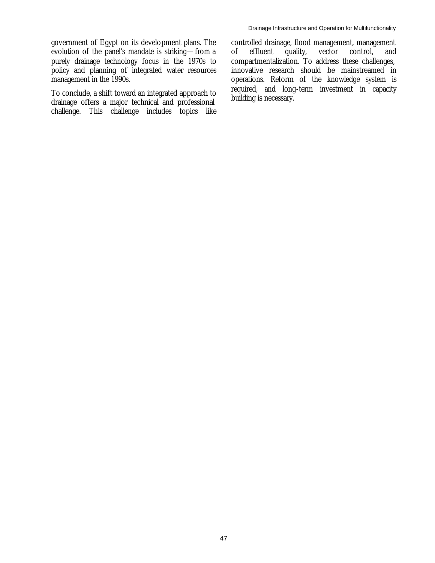To conclude, a shift toward an integrated approach to drainage offers a major technical and professional challenge. This challenge includes topics like controlled drainage, flood management, management of effluent quality, vector control, and compartmentalization. To address these challenges, innovative research should be mainstreamed in operations. Reform of the knowledge system is required, and long-term investment in capacity building is necessary.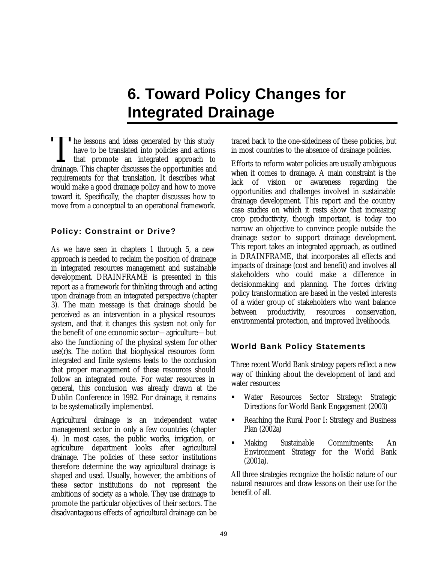# **6. Toward Policy Changes for Integrated Drainage**

The lessons and ideas generated by this study have to be translated into policies and actions  $\mathsf{L}$  that promote an integrated approach to The lessons and ideas generated by this study<br>have to be translated into policies and actions<br>that promote an integrated approach to<br>drainage. This chapter discusses the opportunities and requirements for that translation. It describes what would make a good drainage policy and how to move toward it. Specifically, the chapter discusses how to move from a conceptual to an operational framework.

# **Policy: Constraint or Drive?**

As we have seen in chapters 1 through 5, a new approach is needed to reclaim the position of drainage in integrated resources management and sustainable development. DRAINFRAME is presented in this report as a framework for thinking through and acting upon drainage from an integrated perspective (chapter 3). The main message is that drainage should be perceived as an intervention in a physical resources system, and that it changes this system not only for the benefit of one economic sector—agriculture—but also the functioning of the physical system for other use(r)s. The notion that biophysical resources form integrated and finite systems leads to the conclusion that proper management of these resources should follow an integrated route. For water resources in general, this conclusion was already drawn at the Dublin Conference in 1992. For drainage, it remains to be systematically implemented.

Agricultural drainage is an independent water management sector in only a few countries (chapter 4). In most cases, the public works, irrigation, or agriculture department looks after agricultural drainage. The policies of these sector institutions therefore determine the way agricultural drainage is shaped and used. Usually, however, the ambitions of these sector institutions do not represent the ambitions of society as a whole. They use drainage to promote the particular objectives of their sectors. The disadvantageous effects of agricultural drainage can be

traced back to the one-sidedness of these policies, but in most countries to the absence of drainage policies.

Efforts to reform water policies are usually ambiguous when it comes to drainage. A main constraint is the lack of vision or awareness regarding the opportunities and challenges involved in sustainable drainage development. This report and the country case studies on which it rests show that increasing crop productivity, though important, is today too narrow an objective to convince people outside the drainage sector to support drainage development. This report takes an integrated approach, as outlined in DRAINFRAME, that incorporates all effects and impacts of drainage (cost and benefit) and involves all stakeholders who could make a difference in decisionmaking and planning. The forces driving policy transformation are based in the vested interests of a wider group of stakeholders who want balance between productivity, resources conservation, environmental protection, and improved livelihoods.

# **World Bank Policy Statements**

Three recent World Bank strategy papers reflect a new way of thinking about the development of land and water resources:

- ß Water Resources Sector Strategy: Strategic Directions for World Bank Engagement (2003)
- Reaching the Rural Poor I: Strategy and Business Plan (2002a)
- ß Making Sustainable Commitments: An Environment Strategy for the World Bank (2001a).

All three strategies recognize the holistic nature of our natural resources and draw lessons on their use for the benefit of all.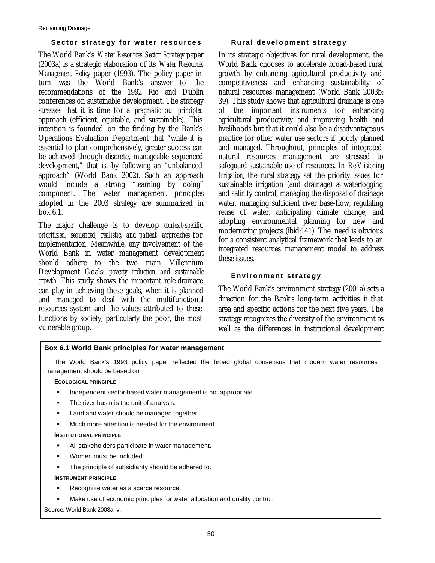## **Sector strategy for water resources**

The World Bank's *Water Resources Sector Strategy* paper (2003a) is a strategic elaboration of its *Water Resources Management Policy* paper (1993). The policy paper in turn was the World Bank's answer to the recommendations of the 1992 Rio and Dublin conferences on sustainable development. The strategy stresses that it is time for a *pragmatic* but *principled* approach (efficient, equitable, and sustainable). This intention is founded on the finding by the Bank's Operations Evaluation Department that "while it is essential to plan comprehensively, greater success can be achieved through discrete, manageable sequenced development," that is, by following an "unbalanced approach" (World Bank 2002). Such an approach would include a strong "learning by doing" component. The water management principles adopted in the 2003 strategy are summarized in box 6.1.

The major challenge is to develop *context-specific, prioritized, sequenced, realistic, and patient approaches* for implementation. Meanwhile, any involvement of the World Bank in water management development should adhere to the two main Millennium Development Goals: *poverty reduction and sustainable growth*. This study shows the important role drainage can play in achieving these goals, when it is planned and managed to deal with the multifunctional resources system and the values attributed to these functions by society, particularly the poor, the most vulnerable group.

## **Rural development strategy**

In its strategic objectives for rural development, the World Bank chooses to accelerate broad-based rural growth by enhancing agricultural productivity and competitiveness and enhancing sustainability of natural resources management (World Bank 2003b: 39). This study shows that agricultural drainage is one of the important instruments for enhancing agricultural productivity and improving health and livelihoods but that it could also be a disadvantageous practice for other water use sectors if poorly planned and managed. Throughout, principles of integrated natural resources management are stressed to safeguard sustainable use of resources. In *Re-Visioning Irrigation*, the rural strategy set the priority issues for sustainable irrigation (and drainage) as waterlogging and salinity control, managing the disposal of drainage water, managing sufficient river base-flow, regulating reuse of water, anticipating climate change, and adopting environmental planning for new and modernizing projects (ibid:141). The need is obvious for a consistent analytical framework that leads to an integrated resources management model to address these issues.

## **Environment strategy**

The World Bank's environment strategy (2001a) sets a direction for the Bank's long-term activities in that area and specific actions for the next five years. The strategy recognizes the diversity of the environment as well as the differences in institutional development

## **Box 6.1 World Bank principles for water management**

The World Bank's 1993 policy paper reflected the broad global consensus that modern water resources management should be based on

## **ECOLOGICAL PRINCIPLE**

- ß Independent sector-based water management is not appropriate.
- The river basin is the unit of analysis.
- Land and water should be managed together.
- ß Much more attention is needed for the environment.

#### **INSTITUTIONAL PRINCIPLE**

- All stakeholders participate in water management.
- ß Women must be included.
- The principle of subsidiarity should be adhered to.

#### **INSTRUMENT PRINCIPLE**

- ß Recognize water as a scarce resource.
- Make use of economic principles for water allocation and quality control.

Source*:* World Bank 2003a: v.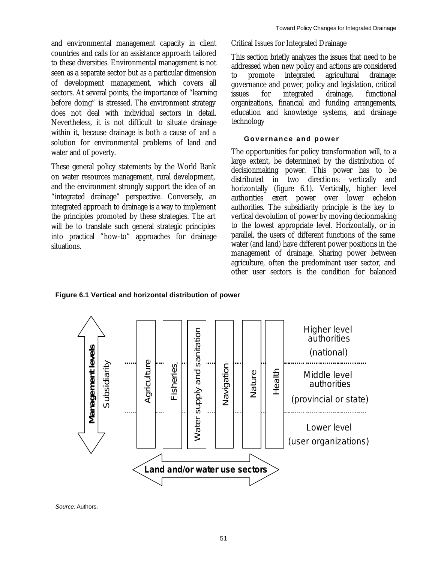and environmental management capacity in client countries and calls for an assistance approach tailored to these diversities. Environmental management is not seen as a separate sector but as a particular dimension of development management, which covers all sectors. At several points, the importance of "learning before doing" is stressed. The environment strategy does not deal with individual sectors in detail. Nevertheless, it is not difficult to situate drainage within it, because drainage is both a cause of *and* a solution for environmental problems of land and water and of poverty.

These general policy statements by the World Bank on water resources management, rural development, and the environment strongly support the idea of an "integrated drainage" perspective. Conversely, an integrated approach to drainage is a way to implement the principles promoted by these strategies. The art will be to translate such general strategic principles into practical "how-to" approaches for drainage situations.

Critical Issues for Integrated Drainage

This section briefly analyzes the issues that need to be addressed when new policy and actions are considered to promote integrated agricultural drainage: governance and power, policy and legislation, critical issues for integrated drainage, functional organizations, financial and funding arrangements, education and knowledge systems, and drainage technology

## **Governance and power**

The opportunities for policy transformation will, to a large extent, be determined by the distribution of decisionmaking power. This power has to be distributed in two directions: vertically and horizontally (figure 6.1). Vertically, higher level authorities exert power over lower echelon authorities. The subsidiarity principle is the key to vertical devolution of power by moving decionmaking to the lowest appropriate level. Horizontally, or in parallel, the users of different functions of the same water (and land) have different power positions in the management of drainage. Sharing power between agriculture, often the predominant user sector, and other user sectors is the condition for balanced

**Figure 6.1 Vertical and horizontal distribution of power**



*Source:* Authors.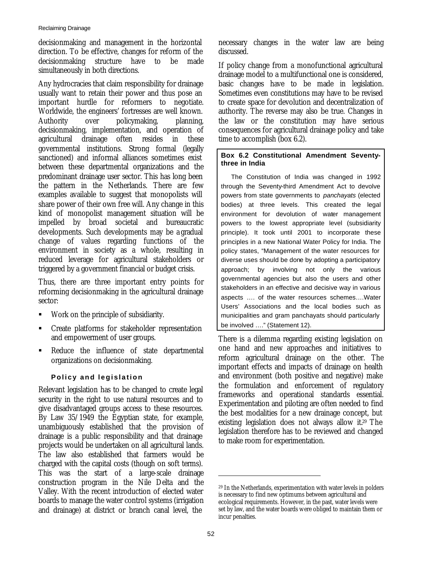decisionmaking and management in the horizontal direction. To be effective, changes for reform of the decisionmaking structure have to be made simultaneously in both directions.

Any hydrocracies that claim responsibility for drainage usually want to retain their power and thus pose an important hurdle for reformers to negotiate. Worldwide, the engineers' fortresses are well known. Authority over policymaking, planning, decisionmaking, implementation, and operation of agricultural drainage often resides in these governmental institutions. Strong formal (legally sanctioned) and informal alliances sometimes exist between these departmental organizations and the predominant drainage user sector. This has long been the pattern in the Netherlands. There are few examples available to suggest that monopolists will share power of their own free will. Any change in this kind of monopolist management situation will be impelled by broad societal and bureaucratic developments. Such developments may be a gradual change of values regarding functions of the environment in society as a whole, resulting in reduced leverage for agricultural stakeholders or triggered by a government financial or budget crisis.

Thus, there are three important entry points for reforming decisionmaking in the agricultural drainage sector:

- Work on the principle of subsidiarity.
- ß Create platforms for stakeholder representation and empowerment of user groups.
- **Reduce the influence of state departmental** organizations on decisionmaking.

# **Policy and legislation**

Relevant legislation has to be changed to create legal security in the right to use natural resources and to give disadvantaged groups access to these resources. By Law 35/1949 the Egyptian state, for example, unambiguously established that the provision of drainage is a public responsibility and that drainage projects would be undertaken on all agricultural lands. The law also established that farmers would be charged with the capital costs (though on soft terms). This was the start of a large-scale drainage construction program in the Nile Delta and the Valley. With the recent introduction of elected water boards to manage the water control systems (irrigation and drainage) at district or branch canal level, the

necessary changes in the water law are being discussed.

If policy change from a monofunctional agricultural drainage model to a multifunctional one is considered, basic changes have to be made in legislation. Sometimes even constitutions may have to be revised to create space for devolution and decentralization of authority. The reverse may also be true. Changes in the law or the constitution may have serious consequences for agricultural drainage policy and take time to accomplish (box 6.2).

## **Box 6.2 Constitutional Amendment Seventythree in India**

The Constitution of India was changed in 1992 through the Seventy-third Amendment Act to devolve powers from state governments to *panchayats* (elected bodies) at three levels. This created the legal environment for devolution of water management powers to the lowest appropriate level (subsidiarity principle). It took until 2001 to incorporate these principles in a new National Water Policy for India. The policy states, "Management of the water resources for diverse uses should be done by adopting a participatory approach; by involving not only the various governmental agencies but also the users and other stakeholders in an effective and decisive way in various aspects …. of the water resources schemes….Water Users' Associations and the local bodies such as municipalities and gram panchayats should particularly be involved ...." (Statement 12).

There is a dilemma regarding existing legislation on one hand and new approaches and initiatives to reform agricultural drainage on the other. The important effects and impacts of drainage on health and environment (both positive and negative) make the formulation and enforcement of regulatory frameworks and operational standards essential. Experimentation and piloting are often needed to find the best modalities for a new drainage concept, but existing legislation does not always allow it.29 The legislation therefore has to be reviewed and changed to make room for experimentation.

 $\overline{a}$ 

<sup>29</sup> In the Netherlands, experimentation with water levels in polders is necessary to find new optimums between agricultural and ecological requirements. However, in the past, water levels were set by law, and the water boards were obliged to maintain them or incur penalties.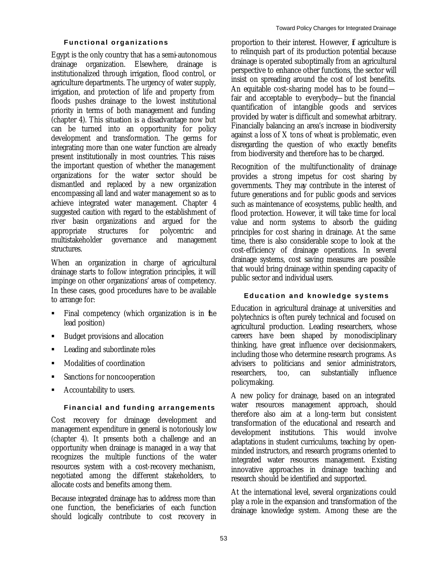## **Functional organizations**

Egypt is the only country that has a semi-autonomous drainage organization. Elsewhere, drainage is institutionalized through irrigation, flood control, or agriculture departments. The urgency of water supply, irrigation, and protection of life and property from floods pushes drainage to the lowest institutional priority in terms of both management and funding (chapter 4). This situation is a disadvantage now but can be turned into an opportunity for policy development and transformation. The germs for integrating more than one water function are already present institutionally in most countries. This raises the important question of whether the management organizations for the water sector should be dismantled and replaced by a new organization encompassing all land and water management so as to achieve integrated water management. Chapter 4 suggested caution with regard to the establishment of river basin organizations and argued for the appropriate structures for polycentric and multistakeholder governance and management structures.

When an organization in charge of agricultural drainage starts to follow integration principles, it will impinge on other organizations' areas of competency. In these cases, good procedures have to be available to arrange for:

- ß Final competency (which organization is in the lead position)
- ß Budget provisions and allocation
- ß Leading and subordinate roles
- ß Modalities of coordination
- ß Sanctions for noncooperation
- ß Accountability to users.

## **Financial and funding arrangements**

Cost recovery for drainage development and management expenditure in general is notoriously low (chapter 4). It presents both a challenge and an opportunity when drainage is managed in a way that recognizes the multiple functions of the water resources system with a cost-recovery mechanism, negotiated among the different stakeholders, to allocate costs and benefits among them.

Because integrated drainage has to address more than one function, the beneficiaries of each function should logically contribute to cost recovery in proportion to their interest. However, if agriculture is to relinquish part of its production potential because drainage is operated suboptimally from an agricultural perspective to enhance other functions, the sector will insist on spreading around the cost of lost benefits. An equitable cost-sharing model has to be found fair and acceptable to everybody—but the financial quantification of intangible goods and services provided by water is difficult and somewhat arbitrary. Financially balancing an area's increase in biodiversity against a loss of X tons of wheat is problematic, even disregarding the question of who exactly benefits from biodiversity and therefore has to be charged.

Recognition of the multifunctionality of drainage provides a strong impetus for cost sharing by governments. They may contribute in the interest of future generations and for public goods and services such as maintenance of ecosystems, public health, and flood protection. However, it will take time for local value and norm systems to absorb the guiding principles for cost sharing in drainage. At the same time, there is also considerable scope to look at the cost-efficiency of drainage operations. In several drainage systems, cost saving measures are possible that would bring drainage within spending capacity of public sector and individual users.

## **Education and knowledge systems**

Education in agricultural drainage at universities and polytechnics is often purely technical and focused on agricultural production. Leading researchers, whose careers have been shaped by monodisciplinary thinking, have great influence over decisionmakers, including those who determine research programs. As advisers to politicians and senior administrators, researchers, too, can substantially influence policymaking.

A new policy for drainage, based on an integrated water resources management approach, should therefore also aim at a long-term but consistent transformation of the educational and research and development institutions. This would involve adaptations in student curriculums, teaching by openminded instructors, and research programs oriented to integrated water resources management. Existing innovative approaches in drainage teaching and research should be identified and supported.

At the international level, several organizations could play a role in the expansion and transformation of the drainage knowledge system. Among these are the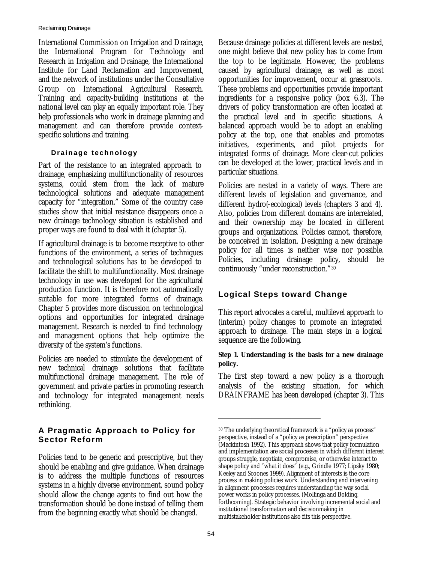International Commission on Irrigation and Drainage, the International Program for Technology and Research in Irrigation and Drainage, the International Institute for Land Reclamation and Improvement, and the network of institutions under the Consultative Group on International Agricultural Research. Training and capacity-building institutions at the national level can play an equally important role. They help professionals who work in drainage planning and management and can therefore provide contextspecific solutions and training.

## **Drainage technology**

Part of the resistance to an integrated approach to drainage, emphasizing multifunctionality of resources systems, could stem from the lack of mature technological solutions and adequate management capacity for "integration." Some of the country case studies show that initial resistance disappears once a new drainage technology situation is established and proper ways are found to deal with it (chapter 5).

If agricultural drainage is to become receptive to other functions of the environment, a series of techniques and technological solutions has to be developed to facilitate the shift to multifunctionality. Most drainage technology in use was developed for the agricultural production function. It is therefore not automatically suitable for more integrated forms of drainage. Chapter 5 provides more discussion on technological options and opportunities for integrated drainage management. Research is needed to find technology and management options that help optimize the diversity of the system's functions.

Policies are needed to stimulate the development of new technical drainage solutions that facilitate multifunctional drainage management. The role of government and private parties in promoting research and technology for integrated management needs rethinking.

# **A Pragmatic Approach to Policy for Sector Reform**

Policies tend to be generic and prescriptive, but they should be enabling and give guidance. When drainage is to address the multiple functions of resources systems in a highly diverse environment, sound policy should allow the change agents to find out how the transformation should be done instead of telling them from the beginning exactly what should be changed.

Because drainage policies at different levels are nested, one might believe that new policy has to come from the top to be legitimate. However, the problems caused by agricultural drainage, as well as most opportunities for improvement, occur at grassroots. These problems and opportunities provide important ingredients for a responsive policy (box 6.3). The drivers of policy transformation are often located at the practical level and in specific situations. A balanced approach would be to adopt an enabling policy at the top, one that enables and promotes initiatives, experiments, and pilot projects for integrated forms of drainage. More clear-cut policies can be developed at the lower, practical levels and in particular situations.

Policies are nested in a variety of ways. There are different levels of legislation and governance, and different hydro(-ecological) levels (chapters 3 and 4). Also, policies from different domains are interrelated, and their ownership may be located in different groups and organizations. Policies cannot, therefore, be conceived in isolation. Designing a new drainage policy for all times is neither wise nor possible. Policies, including drainage policy, should be continuously "under reconstruction."<sup>30</sup>

# **Logical Steps toward Change**

This report advocates a careful, multilevel approach to (interim) policy changes to promote an integrated approach to drainage. The main steps in a logical sequence are the following.

## **Step 1. Understanding is the basis for a new drainage policy.**

The first step toward a new policy is a thorough analysis of the existing situation, for which DRAINFRAME has been developed (chapter 3). This

 $\overline{a}$ 

<sup>30</sup> The underlying theoretical framework is a "policy as process" perspective, instead of a "policy as prescription" perspective (Mackintosh 1992). This approach shows that policy formulation and implementation are social processes in which different interest groups struggle, negotiate, compromise, or otherwise interact to shape policy and "what it does" (e.g., Grindle 1977; Lipsky 1980; Keeley and Scoones 1999). Alignment of interests is the core process in making policies work. Understanding and intervening in alignment processes requires understanding the way social power works in policy processes. (Mollinga and Bolding, forthcoming). Strategic behavior involving incremental social and institutional transformation and decisionmaking in multistakeholder institutions also fits this perspective.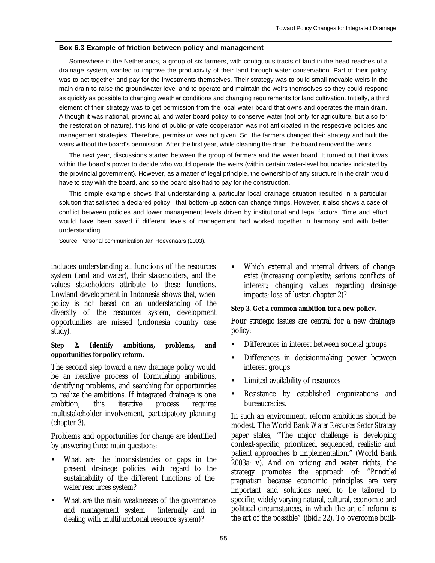## **Box 6.3 Example of friction between policy and management**

Somewhere in the Netherlands, a group of six farmers, with contiguous tracts of land in the head reaches of a drainage system, wanted to improve the productivity of their land through water conservation. Part of their policy was to act together and pay for the investments themselves. Their strategy was to build small movable weirs in the main drain to raise the groundwater level and to operate and maintain the weirs themselves so they could respond as quickly as possible to changing weather conditions and changing requirements for land cultivation. Initially, a third element of their strategy was to get permission from the local water board that owns and operates the main drain. Although it was national, provincial, and water board policy to conserve water (not only for agriculture, but also for the restoration of nature), this kind of public-private cooperation was not anticipated in the respective policies and management strategies. Therefore, permission was not given. So, the farmers changed their strategy and built the weirs without the board's permission. After the first year, while cleaning the drain, the board removed the weirs.

The next year, discussions started between the group of farmers and the water board. It turned out that it was within the board's power to decide who would operate the weirs (within certain water-level boundaries indicated by the provincial government). However, as a matter of legal principle, the ownership of any structure in the drain would have to stay with the board, and so the board also had to pay for the construction.

This simple example shows that understanding a particular local drainage situation resulted in a particular solution that satisfied a declared policy—that bottom-up action can change things. However, it also shows a case of conflict between policies and lower management levels driven by institutional and legal factors. Time and effort would have been saved if different levels of management had worked together in harmony and with better understanding.

Source: Personal communication Jan Hoevenaars (2003).

includes understanding all functions of the resources system (land and water), their stakeholders, and the values stakeholders attribute to these functions. Lowland development in Indonesia shows that, when policy is not based on an understanding of the diversity of the resources system, development opportunities are missed (Indonesia country case study).

## **Step 2. Identify ambitions, problems, and opportunities for policy reform.**

The second step toward a new drainage policy would be an iterative process of formulating ambitions, identifying problems, and searching for opportunities to realize the ambitions. If integrated drainage is one ambition, this iterative process requires multistakeholder involvement, participatory planning (chapter 3).

Problems and opportunities for change are identified by answering three main questions:

- ß What are the inconsistencies or gaps in the present drainage policies with regard to the sustainability of the different functions of the water resources system?
- What are the main weaknesses of the governance and management system (internally and in dealing with multifunctional resource system)?

• Which external and internal drivers of change exist (increasing complexity; serious conflicts of interest; changing values regarding drainage impacts; loss of luster, chapter 2)?

## **Step 3. Get a common ambition for a new policy.**

Four strategic issues are central for a new drainage policy:

- ß Differences in interest between societal groups
- ß Differences in decisionmaking power between interest groups
- ß Limited availability of resources
- ß Resistance by established organizations and bureaucracies.

In such an environment, reform ambitions should be modest. The World Bank *Water Resources Sector Strategy*  paper states, "The major challenge is developing context-specific, prioritized, sequenced, realistic and patient approaches to implementation." *(*World Bank 2003a: v). And on pricing and water rights, the strategy promotes the approach of: "*Principled pragmatism* because economic principles are very important and solutions need to be tailored to specific, widely varying natural, cultural, economic and political circumstances, in which the art of reform is the art of the possible" (ibid.: 22). To overcome built-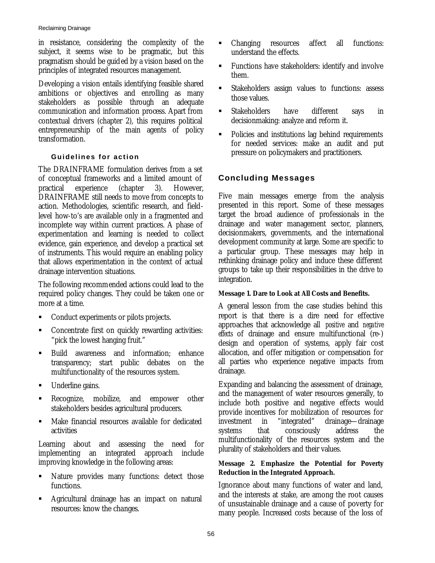in resistance, considering the complexity of the subject, it seems wise to be pragmatic, but this pragmatism should be guided by a vision based on the principles of integrated resources management.

Developing a vision entails identifying feasible shared ambitions or objectives and enrolling as many stakeholders as possible through an adequate communication and information process. Apart from contextual drivers (chapter 2), this requires political entrepreneurship of the main agents of policy transformation.

## **Guidelines for action**

The DRAINFRAME formulation derives from a set of conceptual frameworks and a limited amount of practical experience (chapter 3). However, DRAINFRAME still needs to move from concepts to action. Methodologies, scientific research, and fieldlevel how-to's are available only in a fragmented and incomplete way within current practices. A phase of experimentation and learning is needed to collect evidence, gain experience, and develop a practical set of instruments. This would require an enabling policy that allows experimentation in the context of actual drainage intervention situations.

The following recommended actions could lead to the required policy changes. They could be taken one or more at a time.

- ß Conduct experiments or pilots projects.
- ß Concentrate first on quickly rewarding activities: "pick the lowest hanging fruit."
- ß Build awareness and information; enhance transparency; start public debates on the multifunctionality of the resources system.
- Underline gains.
- ß Recognize, mobilize, and empower other stakeholders besides agricultural producers.
- ß Make financial resources available for dedicated activities

Learning about and assessing the need for implementing an integrated approach include improving knowledge in the following areas:

- Nature provides many functions: detect those functions.
- ß Agricultural drainage has an impact on natural resources: know the changes.
- Changing resources affect all functions: understand the effects.
- ß Functions have stakeholders: identify and involve them.
- ß Stakeholders assign values to functions: assess those values.
- ß Stakeholders have different says in decisionmaking: analyze and reform it.
- ß Policies and institutions lag behind requirements for needed services: make an audit and put pressure on policymakers and practitioners.

# **Concluding Messages**

Five main messages emerge from the analysis presented in this report. Some of these messages target the broad audience of professionals in the drainage and water management sector, planners, decisionmakers, governments, and the international development community at large. Some are specific to a particular group. These messages may help in rethinking drainage policy and induce these different groups to take up their responsibilities in the drive to integration.

# **Message 1. Dare to Look at All Costs and Benefits.**

A general lesson from the case studies behind this report is that there is a dire need for effective approaches that acknowledge all *positive* and *negative effects* of drainage and ensure multifunctional (re-) design and operation of systems, apply fair cost allocation, and offer mitigation or compensation for all parties who experience negative impacts from drainage.

Expanding and balancing the assessment of drainage, and the management of water resources generally, to include both positive and negative effects would provide incentives for mobilization of resources for investment in "integrated" drainage—drainage systems that consciously address the multifunctionality of the resources system and the plurality of stakeholders and their values.

## **Message 2. Emphasize the Potential for Poverty Reduction in the Integrated Approach.**

Ignorance about many functions of water and land, and the interests at stake, are among the root causes of unsustainable drainage and a cause of poverty for many people. Increased costs because of the loss of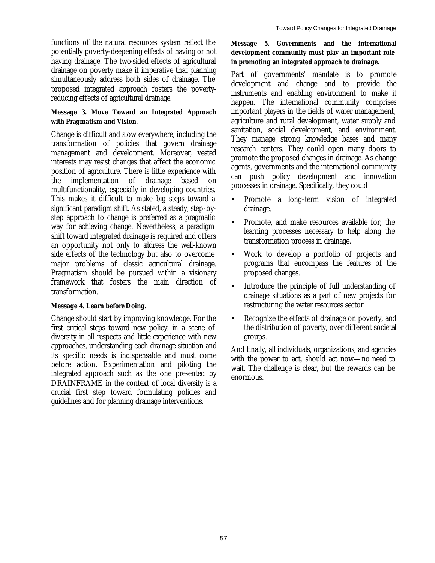functions of the natural resources system reflect the potentially poverty-deepening effects of having or not having drainage. The two-sided effects of agricultural drainage on poverty make it imperative that planning simultaneously address both sides of drainage. The proposed integrated approach fosters the povertyreducing effects of agricultural drainage.

## **Message 3. Move Toward an Integrated Approach with Pragmatism and Vision.**

Change is difficult and slow everywhere, including the transformation of policies that govern drainage management and development. Moreover, vested interests may resist changes that affect the economic position of agriculture. There is little experience with the implementation of drainage based on multifunctionality, especially in developing countries. This makes it difficult to make big steps toward a significant paradigm shift. As stated, a steady, step-bystep approach to change is preferred as a pragmatic way for achieving change. Nevertheless, a paradigm shift toward integrated drainage is required and offers an opportunity not only to address the well-known side effects of the technology but also to overcome major problems of classic agricultural drainage. Pragmatism should be pursued within a visionary framework that fosters the main direction of transformation.

## **Message 4. Learn before Doing.**

Change should start by improving knowledge. For the first critical steps toward new policy, in a scene of diversity in all respects and little experience with new approaches, understanding each drainage situation and its specific needs is indispensable and must come before action. Experimentation and piloting the integrated approach such as the one presented by DRAINFRAME in the context of local diversity is a crucial first step toward formulating policies and guidelines and for planning drainage interventions.

## **Message 5. Governments and the international development community must play an important role in promoting an integrated approach to drainage.**

Part of governments' mandate is to promote development and change and to provide the instruments and enabling environment to make it happen. The international community comprises important players in the fields of water management, agriculture and rural development, water supply and sanitation, social development, and environment. They manage strong knowledge bases and many research centers. They could open many doors to promote the proposed changes in drainage. As change agents, governments and the international community can push policy development and innovation processes in drainage. Specifically, they could

- **•** Promote a long-term vision of integrated drainage.
- ß Promote, and make resources available for, the learning processes necessary to help along the transformation process in drainage.
- ß Work to develop a portfolio of projects and programs that encompass the features of the proposed changes.
- **Introduce the principle of full understanding of** drainage situations as a part of new projects for restructuring the water resources sector.
- ß Recognize the effects of drainage on poverty, and the distribution of poverty, over different societal groups.

And finally, all individuals, organizations, and agencies with the power to act, should act now—no need to wait. The challenge is clear, but the rewards can be enormous.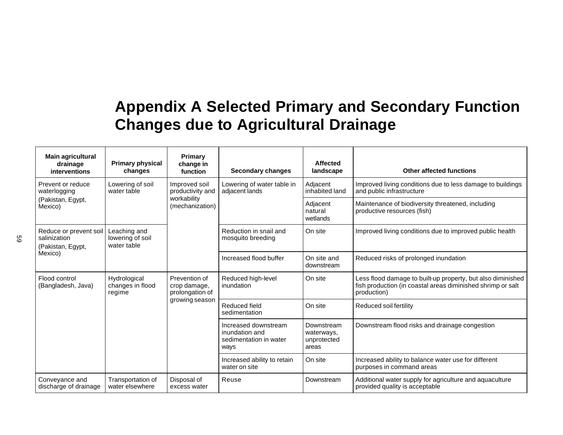# **Appendix A Selected Primary and Secondary Function Changes due to Agricultural Drainage**

| Main agricultural<br>drainage<br>interventions                                    | <b>Primary physical</b><br>changes              | Primary<br>change in<br>function                                                      | <b>Secondary changes</b>                                                 | <b>Affected</b><br>landscape                     | <b>Other affected functions</b>                                                                                                           |
|-----------------------------------------------------------------------------------|-------------------------------------------------|---------------------------------------------------------------------------------------|--------------------------------------------------------------------------|--------------------------------------------------|-------------------------------------------------------------------------------------------------------------------------------------------|
| Prevent or reduce<br>waterlogging                                                 | Lowering of soil<br>water table                 | Improved soil<br>productivity and<br>adjacent lands<br>workability<br>(mechanization) | Lowering of water table in                                               | Adjacent<br>inhabited land                       | Improved living conditions due to less damage to buildings<br>and public infrastructure                                                   |
| (Pakistan, Egypt,<br>Mexico)                                                      |                                                 |                                                                                       |                                                                          | Adjacent<br>natural<br>wetlands                  | Maintenance of biodiversity threatened, including<br>productive resources (fish)                                                          |
| Reduce or prevent soil<br>salinization<br>(Pakistan, Egypt,                       | Leaching and<br>lowering of soil<br>water table |                                                                                       | Reduction in snail and<br>mosquito breeding                              | On site                                          | Improved living conditions due to improved public health                                                                                  |
| Mexico)                                                                           |                                                 |                                                                                       | Increased flood buffer                                                   | On site and<br>downstream                        | Reduced risks of prolonged inundation                                                                                                     |
| Flood control<br>Hydrological<br>changes in flood<br>(Bangladesh, Java)<br>regime |                                                 | Prevention of<br>crop damage,<br>prolongation of                                      | Reduced high-level<br>inundation                                         | On site                                          | Less flood damage to built-up property, but also diminished<br>fish production (in coastal areas diminished shrimp or salt<br>production) |
|                                                                                   | growing season                                  | Reduced field<br>sedimentation                                                        | On site                                                                  | Reduced soil fertility                           |                                                                                                                                           |
|                                                                                   |                                                 |                                                                                       | Increased downstream<br>inundation and<br>sedimentation in water<br>ways | Downstream<br>waterways,<br>unprotected<br>areas | Downstream flood risks and drainage congestion                                                                                            |
|                                                                                   |                                                 |                                                                                       | Increased ability to retain<br>water on site                             | On site                                          | Increased ability to balance water use for different<br>purposes in command areas                                                         |
| Conveyance and<br>discharge of drainage                                           | Transportation of<br>water elsewhere            | Disposal of<br>excess water                                                           | Reuse                                                                    | Downstream                                       | Additional water supply for agriculture and aquaculture<br>provided quality is acceptable                                                 |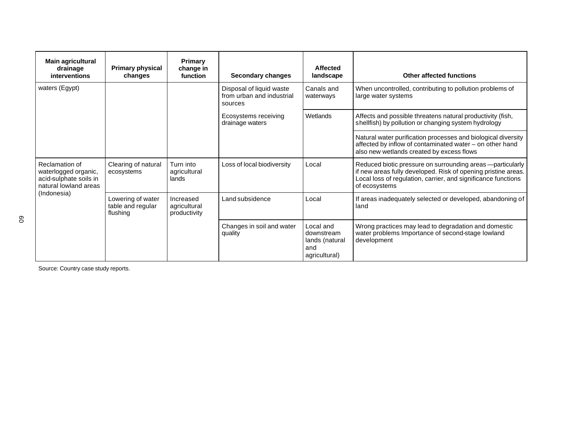| Main agricultural<br>drainage<br>interventions                                            | <b>Primary physical</b><br>changes                 | <b>Primary</b><br>change in<br>function   | <b>Secondary changes</b>                                         | Affected<br>landscape                                             | <b>Other affected functions</b>                                                                                                                                                                                 |
|-------------------------------------------------------------------------------------------|----------------------------------------------------|-------------------------------------------|------------------------------------------------------------------|-------------------------------------------------------------------|-----------------------------------------------------------------------------------------------------------------------------------------------------------------------------------------------------------------|
| waters (Egypt)                                                                            |                                                    |                                           | Disposal of liquid waste<br>from urban and industrial<br>sources | Canals and<br>waterways                                           | When uncontrolled, contributing to pollution problems of<br>large water systems                                                                                                                                 |
|                                                                                           |                                                    |                                           | Ecosystems receiving<br>drainage waters                          | Wetlands                                                          | Affects and possible threatens natural productivity (fish,<br>shellfish) by pollution or changing system hydrology                                                                                              |
|                                                                                           |                                                    |                                           |                                                                  |                                                                   | Natural water purification processes and biological diversity<br>affected by inflow of contaminated water - on other hand<br>also new wetlands created by excess flows                                          |
| Reclamation of<br>waterlogged organic,<br>acid-sulphate soils in<br>natural lowland areas | Clearing of natural<br>ecosystems                  | Turn into<br>agricultural<br>lands        | Loss of local biodiversity                                       | Local                                                             | Reduced biotic pressure on surrounding areas -- particularly<br>if new areas fully developed. Risk of opening pristine areas.<br>Local loss of regulation, carrier, and significance functions<br>of ecosystems |
| (Indonesia)                                                                               | Lowering of water<br>table and regular<br>flushing | Increased<br>agricultural<br>productivity | Land subsidence                                                  | Local                                                             | If areas inadequately selected or developed, abandoning of<br>land                                                                                                                                              |
|                                                                                           |                                                    |                                           | Changes in soil and water<br>quality                             | Local and<br>downstream<br>lands (natural<br>and<br>agricultural) | Wrong practices may lead to degradation and domestic<br>water problems Importance of second-stage lowland<br>development                                                                                        |

Source: Country case study reports.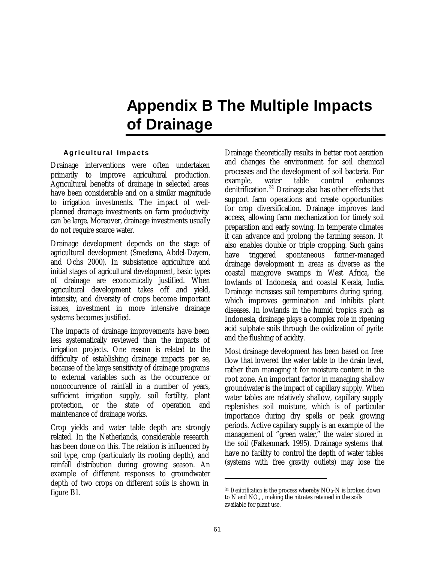## **Appendix B The Multiple Impacts of Drainage**

### **Agricultural Impacts**

Drainage interventions were often undertaken primarily to improve agricultural production. Agricultural benefits of drainage in selected areas have been considerable and on a similar magnitude to irrigation investments. The impact of wellplanned drainage investments on farm productivity can be large. Moreover, drainage investments usually do not require scarce water.

Drainage development depends on the stage of agricultural development (Smedema, Abdel-Dayem, and Ochs 2000). In subsistence agriculture and initial stages of agricultural development, basic types of drainage are economically justified. When agricultural development takes off and yield, intensity, and diversity of crops become important issues, investment in more intensive drainage systems becomes justified.

The impacts of drainage improvements have been less systematically reviewed than the impacts of irrigation projects. One reason is related to the difficulty of establishing drainage impacts per se, because of the large sensitivity of drainage programs to external variables such as the occurrence or nonoccurrence of rainfall in a number of years, sufficient irrigation supply, soil fertility, plant protection, or the state of operation and maintenance of drainage works.

Crop yields and water table depth are strongly related. In the Netherlands, considerable research has been done on this. The relation is influenced by soil type, crop (particularly its rooting depth), and rainfall distribution during growing season. An example of different responses to groundwater depth of two crops on different soils is shown in figure B1.

Drainage theoretically results in better root aeration and changes the environment for soil chemical processes and the development of soil bacteria. For example, water table control enhances denitrification.<sup>31</sup> Drainage also has other effects that support farm operations and create opportunities for crop diversification. Drainage improves land access, allowing farm mechanization for timely soil preparation and early sowing. In temperate climates it can advance and prolong the farming season. It also enables double or triple cropping. Such gains have triggered spontaneous farmer-managed drainage development in areas as diverse as the coastal mangrove swamps in West Africa, the lowlands of Indonesia, and coastal Kerala, India. Drainage increases soil temperatures during spring, which improves germination and inhibits plant diseases. In lowlands in the humid tropics such as Indonesia, drainage plays a complex role in ripening acid sulphate soils through the oxidization of pyrite and the flushing of acidity.

Most drainage development has been based on free flow that lowered the water table to the drain level, rather than managing it for moisture content in the root zone. An important factor in managing shallow groundwater is the impact of capillary supply. When water tables are relatively shallow, capillary supply replenishes soil moisture, which is of particular importance during dry spells or peak growing periods. Active capillary supply is an example of the management of "green water," the water stored in the soil (Falkenmark 1995). Drainage systems that have no facility to control the depth of water tables (systems with free gravity outlets) may lose the

 $\overline{a}$ 

<sup>&</sup>lt;sup>31</sup> *Denitrification* is the process whereby NO<sub>3</sub>-N is broken down to  $N$  and  $NO<sub>x</sub>$ , making the nitrates retained in the soils available for plant use.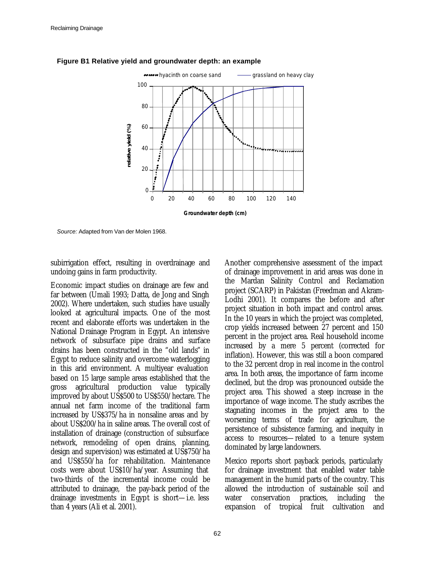

#### **Figure B1 Relative yield and groundwater depth: an example**

*Source:* Adapted from Van der Molen 1968.

subirrigation effect, resulting in overdrainage and undoing gains in farm productivity.

Economic impact studies on drainage are few and far between (Umali 1993; Datta, de Jong and Singh 2002). Where undertaken, such studies have usually looked at agricultural impacts. One of the most recent and elaborate efforts was undertaken in the National Drainage Program in Egypt. An intensive network of subsurface pipe drains and surface drains has been constructed in the "old lands" in Egypt to reduce salinity and overcome waterlogging in this arid environment. A multiyear evaluation based on 15 large sample areas established that the gross agricultural production value typically improved by about US\$500 to US\$550/hectare. The annual net farm income of the traditional farm increased by US\$375/ha in nonsaline areas and by about US\$200/ha in saline areas. The overall cost of installation of drainage (construction of subsurface network, remodeling of open drains, planning, design and supervision) was estimated at US\$750/ha and US\$550/ha for rehabilitation. Maintenance costs were about US\$10/ha/year. Assuming that two-thirds of the incremental income could be attributed to drainage, the pay-back period of the drainage investments in Egypt is short—i.e. less than 4 years (Ali et al. 2001).

Another comprehensive assessment of the impact of drainage improvement in arid areas was done in the Mardan Salinity Control and Reclamation project (SCARP) in Pakistan (Freedman and Akram-Lodhi 2001). It compares the before and after project situation in both impact and control areas. In the 10 years in which the project was completed, crop yields increased between 27 percent and 150 percent in the project area. Real household income increased by a mere 5 percent (corrected for inflation). However, this was still a boon compared to the 32 percent drop in real income in the control area. In both areas, the importance of farm income declined, but the drop was pronounced outside the project area. This showed a steep increase in the importance of wage income. The study ascribes the stagnating incomes in the project area to the worsening terms of trade for agriculture, the persistence of subsistence farming, and inequity in access to resources—related to a tenure system dominated by large landowners.

Mexico reports short payback periods, particularly for drainage investment that enabled water table management in the humid parts of the country. This allowed the introduction of sustainable soil and water conservation practices, including the expansion of tropical fruit cultivation and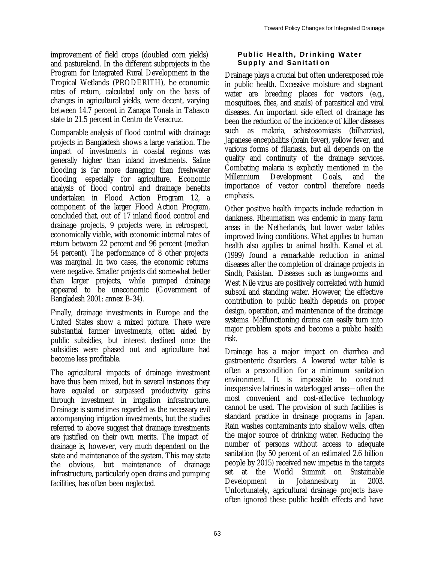improvement of field crops (doubled corn yields) and pastureland. In the different subprojects in the Program for Integrated Rural Development in the Tropical Wetlands (PRODERITH), the economic rates of return, calculated only on the basis of changes in agricultural yields, were decent, varying between 14.7 percent in Zanapa Tonala in Tabasco state to 21.5 percent in Centro de Veracruz.

Comparable analysis of flood control with drainage projects in Bangladesh shows a large variation. The impact of investments in coastal regions was generally higher than inland investments. Saline flooding is far more damaging than freshwater flooding, especially for agriculture. Economic analysis of flood control and drainage benefits undertaken in Flood Action Program 12, a component of the larger Flood Action Program, concluded that, out of 17 inland flood control and drainage projects, 9 projects were, in retrospect, economically viable, with economic internal rates of return between 22 percent and 96 percent (median 54 percent). The performance of 8 other projects was marginal. In two cases, the economic returns were negative. Smaller projects did somewhat better than larger projects, while pumped drainage appeared to be uneconomic (Government of Bangladesh 2001: annex B-34).

Finally, drainage investments in Europe and the United States show a mixed picture. There were substantial farmer investments, often aided by public subsidies, but interest declined once the subsidies were phased out and agriculture had become less profitable.

The agricultural impacts of drainage investment have thus been mixed, but in several instances they have equaled or surpassed productivity gains through investment in irrigation infrastructure. Drainage is sometimes regarded as the necessary evil accompanying irrigation investments, but the studies referred to above suggest that drainage investments are justified on their own merits. The impact of drainage is, however, very much dependent on the state and maintenance of the system. This may state the obvious, but maintenance of drainage infrastructure, particularly open drains and pumping facilities, has often been neglected.

### **Public Health, Drinking Water Supply and Sanitati on**

Drainage plays a crucial but often underexposed role in public health. Excessive moisture and stagnant water are breeding places for vectors (e.g., mosquitoes, flies, and snails) of parasitical and viral diseases. An important side effect of drainage has been the reduction of the incidence of killer diseases such as malaria, schistosomiasis (bilharzias), Japanese encephalitis (brain fever), yellow fever, and various forms of filariasis, but all depends on the quality and continuity of the drainage services. Combating malaria is explicitly mentioned in the Millennium Development Goals, and the importance of vector control therefore needs emphasis.

Other positive health impacts include reduction in dankness. Rheumatism was endemic in many farm areas in the Netherlands, but lower water tables improved living conditions. What applies to human health also applies to animal health. Kamal et al. (1999) found a remarkable reduction in animal diseases after the completion of drainage projects in Sindh, Pakistan. Diseases such as lungworms and West Nile virus are positively correlated with humid subsoil and standing water. However, the effective contribution to public health depends on proper design, operation, and maintenance of the drainage systems. Malfunctioning drains can easily turn into major problem spots and become a public health risk.

Drainage has a major impact on diarrhea and gastroenteric disorders. A lowered water table is often a precondition for a minimum sanitation environment. It is impossible to construct inexpensive latrines in waterlogged areas—often the most convenient and cost-effective technology cannot be used. The provision of such facilities is standard practice in drainage programs in Japan. Rain washes contaminants into shallow wells, often the major source of drinking water. Reducing the number of persons without access to adequate sanitation (by 50 percent of an estimated 2.6 billion people by 2015) received new impetus in the targets set at the World Summit on Sustainable Development in Johannesburg in 2003. Unfortunately, agricultural drainage projects have often ignored these public health effects and have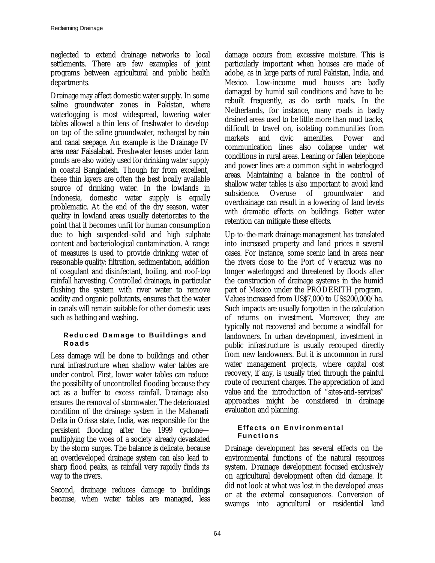neglected to extend drainage networks to local settlements. There are few examples of joint programs between agricultural and public health departments.

Drainage may affect domestic water supply. In some saline groundwater zones in Pakistan, where waterlogging is most widespread, lowering water tables allowed a thin lens of freshwater to develop on top of the saline groundwater, recharged by rain and canal seepage. An example is the Drainage IV area near Faisalabad. Freshwater lenses under farm ponds are also widely used for drinking water supply in coastal Bangladesh. Though far from excellent, these thin layers are often the best locally available source of drinking water. In the lowlands in Indonesia, domestic water supply is equally problematic. At the end of the dry season, water quality in lowland areas usually deteriorates to the point that it becomes unfit for human consumption due to high suspended-solid and high sulphate content and bacteriological contamination. A range of measures is used to provide drinking water of reasonable quality: filtration, sedimentation, addition of coagulant and disinfectant, boiling, and roof-top rainfall harvesting. Controlled drainage, in particular flushing the system with river water to remove acidity and organic pollutants, ensures that the water in canals will remain suitable for other domestic uses such as bathing and washing**.**

### **Reduced Damage to Buildings and Roads**

Less damage will be done to buildings and other rural infrastructure when shallow water tables are under control. First, lower water tables can reduce the possibility of uncontrolled flooding because they act as a buffer to excess rainfall. Drainage also ensures the removal of stormwater. The deteriorated condition of the drainage system in the Mahanadi Delta in Orissa state, India, was responsible for the persistent flooding after the 1999 cyclone multiplying the woes of a society already devastated by the storm surges. The balance is delicate, because an overdeveloped drainage system can also lead to sharp flood peaks, as rainfall very rapidly finds its way to the rivers.

Second, drainage reduces damage to buildings because, when water tables are managed, less damage occurs from excessive moisture. This is particularly important when houses are made of adobe, as in large parts of rural Pakistan, India, and Mexico. Low-income mud houses are badly damaged by humid soil conditions and have to be rebuilt frequently, as do earth roads. In the Netherlands, for instance, many roads in badly drained areas used to be little more than mud tracks, difficult to travel on, isolating communities from markets and civic amenities. Power and communication lines also collapse under wet conditions in rural areas. Leaning or fallen telephone and power lines are a common sight in waterlogged areas. Maintaining a balance in the control of shallow water tables is also important to avoid land subsidence. Overuse of groundwater and overdrainage can result in a lowering of land levels with dramatic effects on buildings. Better water retention can mitigate these effects.

Up-to-the-mark drainage management has translated into increased property and land prices in several cases. For instance, some scenic land in areas near the rivers close to the Port of Veracruz was no longer waterlogged and threatened by floods after the construction of drainage systems in the humid part of Mexico under the PRODERITH program. Values increased from US\$7,000 to US\$200,000/ha. Such impacts are usually forgotten in the calculation of returns on investment. Moreover, they are typically not recovered and become a windfall for landowners. In urban development, investment in public infrastructure is usually recouped directly from new landowners. But it is uncommon in rural water management projects, where capital cost recovery, if any, is usually tried through the painful route of recurrent charges. The appreciation of land value and the introduction of "sites-and-services" approaches might be considered in drainage evaluation and planning.

### **Effects on Environmental Functions**

Drainage development has several effects on the environmental functions of the natural resources system. Drainage development focused exclusively on agricultural development often did damage. It did not look at what was lost in the developed areas or at the external consequences. Conversion of swamps into agricultural or residential land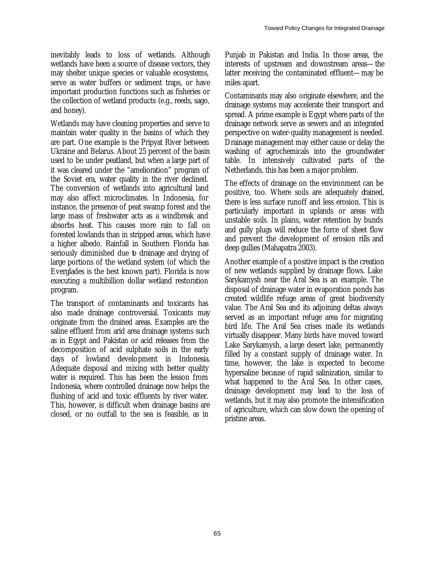inevitably leads to loss of wetlands. Although wetlands have been a source of disease vectors, they may shelter unique species or valuable ecosystems, serve as water buffers or sediment traps, or have important production functions such as fisheries or the collection of wetland products (e.g., reeds, sago, and honey).

Wetlands may have cleaning properties and serve to maintain water quality in the basins of which they are part. One example is the Pripyat River between Ukraine and Belarus. About 25 percent of the basin used to be under peatland, but when a large part of it was cleared under the "amelioration" program of the Soviet era, water quality in the river declined. The conversion of wetlands into agricultural land may also affect microclimates. In Indonesia, for instance, the presence of peat swamp forest and the large mass of freshwater acts as a windbreak and absorbs heat. This causes more rain to fall on forested lowlands than in stripped areas, which have a higher albedo. Rainfall in Southern Florida has seriously diminished due to drainage and drying of large portions of the wetland system (of which the Everglades is the best known part). Florida is now executing a multibillion dollar wetland restoration program.

The transport of contaminants and toxicants has also made drainage controversial. Toxicants may originate from the drained areas. Examples are the saline effluent from arid area drainage systems such as in Egypt and Pakistan or acid releases from the decomposition of acid sulphate soils in the early days of lowland development in Indonesia. Adequate disposal and mixing with better quality water is required. This has been the lesson from Indonesia, where controlled drainage now helps the flushing of acid and toxic effluents by river water. This, however, is difficult when drainage basins are closed, or no outfall to the sea is feasible, as in

Punjab in Pakistan and India. In those areas, the interests of upstream and downstream areas—the latter receiving the contaminated effluent—may be miles apart.

Contaminants may also originate elsewhere, and the drainage systems may accelerate their transport and spread. A prime example is Egypt where parts of the drainage network serve as sewers and an integrated perspective on water-quality management is needed. Drainage management may either cause or delay the washing of agrochemicals into the groundwater table. In intensively cultivated parts of the Netherlands, this has been a major problem.

The effects of drainage on the environment can be positive, too. Where soils are adequately drained, there is less surface runoff and less erosion. This is particularly important in uplands or areas with unstable soils. In plains, water retention by bunds and gully plugs will reduce the force of sheet flow and prevent the development of erosion rills and deep gullies (Mahapatra 2003).

Another example of a positive impact is the creation of new wetlands supplied by drainage flows. Lake Sarykamysh near the Aral Sea is an example. The disposal of drainage water in evaporation ponds has created wildlife refuge areas of great biodiversity value. The Aral Sea and its adjoining deltas always served as an important refuge area for migrating bird life. The Aral Sea crises made its wetlands virtually disappear. Many birds have moved toward Lake Sarykamysh, a large desert lake, permanently filled by a constant supply of drainage water. In time, however, the lake is expected to become hypersaline because of rapid salinization, similar to what happened to the Aral Sea. In other cases, drainage development may lead to the loss of wetlands, but it may also promote the intensification of agriculture, which can slow down the opening of pristine areas.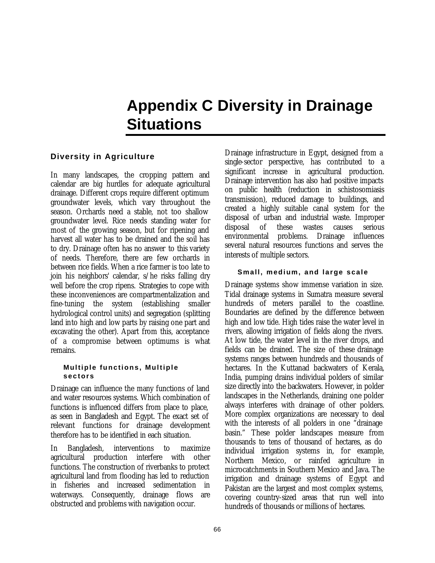# **Appendix C Diversity in Drainage Situations**

### **Diversity in Agriculture**

In many landscapes, the cropping pattern and calendar are big hurdles for adequate agricultural drainage. Different crops require different optimum groundwater levels, which vary throughout the season. Orchards need a stable, not too shallow groundwater level. Rice needs standing water for most of the growing season, but for ripening and harvest all water has to be drained and the soil has to dry. Drainage often has no answer to this variety of needs. Therefore, there are few orchards in between rice fields. When a rice farmer is too late to join his neighbors' calendar, s/he risks falling dry well before the crop ripens. Strategies to cope with these inconveniences are compartmentalization and fine-tuning the system (establishing smaller hydrological control units) and segregation (splitting land into high and low parts by raising one part and excavating the other). Apart from this, acceptance of a compromise between optimums is what remains.

### **Multiple functions, Multiple sectors**

Drainage can influence the many functions of land and water resources systems. Which combination of functions is influenced differs from place to place, as seen in Bangladesh and Egypt. The exact set of relevant functions for drainage development therefore has to be identified in each situation.

In Bangladesh, interventions to maximize agricultural production interfere with other functions. The construction of riverbanks to protect agricultural land from flooding has led to reduction in fisheries and increased sedimentation in waterways. Consequently, drainage flows are obstructed and problems with navigation occur.

Drainage infrastructure in Egypt, designed from a single-sector perspective, has contributed to a significant increase in agricultural production. Drainage intervention has also had positive impacts on public health (reduction in schistosomiasis transmission), reduced damage to buildings, and created a highly suitable canal system for the disposal of urban and industrial waste. Improper disposal of these wastes causes serious environmental problems. Drainage influences several natural resources functions and serves the interests of multiple sectors.

### **Small, medium, and large scale**

Drainage systems show immense variation in size. Tidal drainage systems in Sumatra measure several hundreds of meters parallel to the coastline. Boundaries are defined by the difference between high and low tide. High tides raise the water level in rivers, allowing irrigation of fields along the rivers. At low tide, the water level in the river drops, and fields can be drained. The size of these drainage systems ranges between hundreds and thousands of hectares. In the Kuttanad backwaters of Kerala, India, pumping drains individual polders of similar size directly into the backwaters. However, in polder landscapes in the Netherlands, draining one polder always interferes with drainage of other polders. More complex organizations are necessary to deal with the interests of all polders in one "drainage basin." These polder landscapes measure from thousands to tens of thousand of hectares, as do individual irrigation systems in, for example, Northern Mexico, or rainfed agriculture in microcatchments in Southern Mexico and Java. The irrigation and drainage systems of Egypt and Pakistan are the largest and most complex systems, covering country-sized areas that run well into hundreds of thousands or millions of hectares.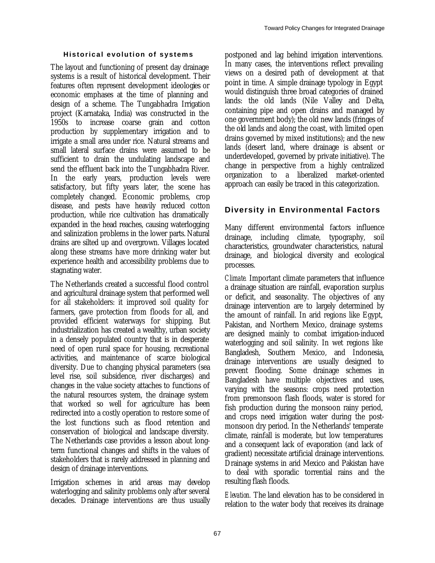### **Historical evolution of systems**

The layout and functioning of present day drainage systems is a result of historical development. Their features often represent development ideologies or economic emphases at the time of planning and design of a scheme. The Tungabhadra Irrigation project (Karnataka, India) was constructed in the 1950s to increase coarse grain and cotton production by supplementary irrigation and to irrigate a small area under rice. Natural streams and small lateral surface drains were assumed to be sufficient to drain the undulating landscape and send the effluent back into the Tungabhadra River. In the early years, production levels were satisfactory, but fifty years later, the scene has completely changed. Economic problems, crop disease, and pests have heavily reduced cotton production, while rice cultivation has dramatically expanded in the head reaches, causing waterlogging and salinization problems in the lower parts. Natural drains are silted up and overgrown. Villages located along these streams have more drinking water but experience health and accessibility problems due to stagnating water.

The Netherlands created a successful flood control and agricultural drainage system that performed well for all stakeholders: it improved soil quality for farmers, gave protection from floods for all, and provided efficient waterways for shipping. But industrialization has created a wealthy, urban society in a densely populated country that is in desperate need of open rural space for housing, recreational activities, and maintenance of scarce biological diversity. Due to changing physical parameters (sea level rise, soil subsidence, river discharges) and changes in the value society attaches to functions of the natural resources system, the drainage system that worked so well for agriculture has been redirected into a costly operation to restore some of the lost functions such as flood retention and conservation of biological and landscape diversity. The Netherlands case provides a lesson about longterm functional changes and shifts in the values of stakeholders that is rarely addressed in planning and design of drainage interventions.

Irrigation schemes in arid areas may develop waterlogging and salinity problems only after several decades. Drainage interventions are thus usually postponed and lag behind irrigation interventions. In many cases, the interventions reflect prevailing views on a desired path of development at that point in time. A simple drainage typology in Egypt would distinguish three broad categories of drained lands: the old lands (Nile Valley and Delta, containing pipe and open drains and managed by one government body); the old new lands (fringes of the old lands and along the coast, with limited open drains governed by mixed institutions); and the new lands (desert land, where drainage is absent or underdeveloped, governed by private initiative). The change in perspective from a highly centralized organization to a liberalized market-oriented approach can easily be traced in this categorization.

### **Diversity in Environmental Factors**

Many different environmental factors influence drainage, including climate, typography, soil characteristics, groundwater characteristics, natural drainage, and biological diversity and ecological processes.

*Climate.* Important climate parameters that influence a drainage situation are rainfall, evaporation surplus or deficit, and seasonality. The objectives of any drainage intervention are to largely determined by the amount of rainfall. In arid regions like Egypt, Pakistan, and Northern Mexico, drainage systems are designed mainly to combat irrigation-induced waterlogging and soil salinity. In wet regions like Bangladesh, Southern Mexico, and Indonesia, drainage interventions are usually designed to prevent flooding. Some drainage schemes in Bangladesh have multiple objectives and uses, varying with the seasons: crops need protection from premonsoon flash floods, water is stored for fish production during the monsoon rainy period, and crops need irrigation water during the postmonsoon dry period. In the Netherlands' temperate climate, rainfall is moderate, but low temperatures and a consequent lack of evaporation (and lack of gradient) necessitate artificial drainage interventions. Drainage systems in arid Mexico and Pakistan have to deal with sporadic torrential rains and the resulting flash floods.

*Elevation.* The land elevation has to be considered in relation to the water body that receives its drainage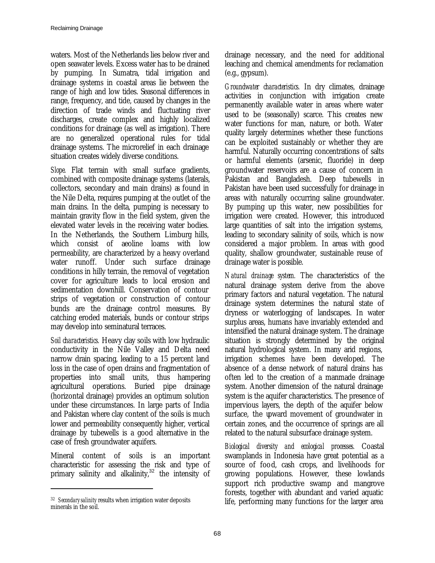waters. Most of the Netherlands lies below river and open seawater levels. Excess water has to be drained by pumping. In Sumatra, tidal irrigation and drainage systems in coastal areas lie between the range of high and low tides. Seasonal differences in range, frequency, and tide, caused by changes in the direction of trade winds and fluctuating river discharges, create complex and highly localized conditions for drainage (as well as irrigation). There are no generalized operational rules for tidal drainage systems. The microrelief in each drainage situation creates widely diverse conditions.

*Slope.* Flat terrain with small surface gradients, combined with composite drainage systems (laterals, collectors, secondary and main drains) as found in the Nile Delta, requires pumping at the outlet of the main drains. In the delta, pumping is necessary to maintain gravity flow in the field system, given the elevated water levels in the receiving water bodies. In the Netherlands, the Southern Limburg hills, which consist of aeoline loams with low permeability, are characterized by a heavy overland water runoff. Under such surface drainage conditions in hilly terrain, the removal of vegetation cover for agriculture leads to local erosion and sedimentation downhill. Conservation of contour strips of vegetation or construction of contour bunds are the drainage control measures. By catching eroded materials, bunds or contour strips may develop into seminatural terraces.

*Soil characteristics.* Heavy clay soils with low hydraulic conductivity in the Nile Valley and Delta need narrow drain spacing, leading to a 15 percent land loss in the case of open drains and fragmentation of properties into small units, thus hampering agricultural operations. Buried pipe drainage (horizontal drainage) provides an optimum solution under these circumstances. In large parts of India and Pakistan where clay content of the soils is much lower and permeability consequently higher, vertical drainage by tubewells is a good alternative in the case of fresh groundwater aquifers.

Mineral content of soils is an important characteristic for assessing the risk and type of primary salinity and alkalinity, $32$  the intensity of

 $\overline{a}$ 

drainage necessary, and the need for additional leaching and chemical amendments for reclamation (e.g., gypsum).

*Groundwater characteristics.* In dry climates, drainage activities in conjunction with irrigation create permanently available water in areas where water used to be (seasonally) scarce. This creates new water functions for man, nature, or both. Water quality largely determines whether these functions can be exploited sustainably or whether they are harmful. Naturally occurring concentrations of salts or harmful elements (arsenic, fluoride) in deep groundwater reservoirs are a cause of concern in Pakistan and Bangladesh. Deep tubewells in Pakistan have been used successfully for drainage in areas with naturally occurring saline groundwater. By pumping up this water, new possibilities for irrigation were created. However, this introduced large quantities of salt into the irrigation systems, leading to secondary salinity of soils, which is now considered a major problem. In areas with good quality, shallow groundwater, sustainable reuse of drainage water is possible.

*Natural drainage system.* The characteristics of the natural drainage system derive from the above primary factors and natural vegetation. The natural drainage system determines the natural state of dryness or waterlogging of landscapes. In water surplus areas, humans have invariably extended and intensified the natural drainage system. The drainage situation is strongly determined by the original natural hydrological system. In many arid regions, irrigation schemes have been developed. The absence of a dense network of natural drains has often led to the creation of a manmade drainage system. Another dimension of the natural drainage system is the aquifer characteristics. The presence of impervious layers, the depth of the aquifer below surface, the upward movement of groundwater in certain zones, and the occurrence of springs are all related to the natural subsurface drainage system.

*Biological diversity and ecological processes.* Coastal swamplands in Indonesia have great potential as a source of food, cash crops, and livelihoods for growing populations. However, these lowlands support rich productive swamp and mangrove forests, together with abundant and varied aquatic life, performing many functions for the larger area

<sup>32</sup> *Secondary salinity* results when irrigation water deposits minerals in the soil.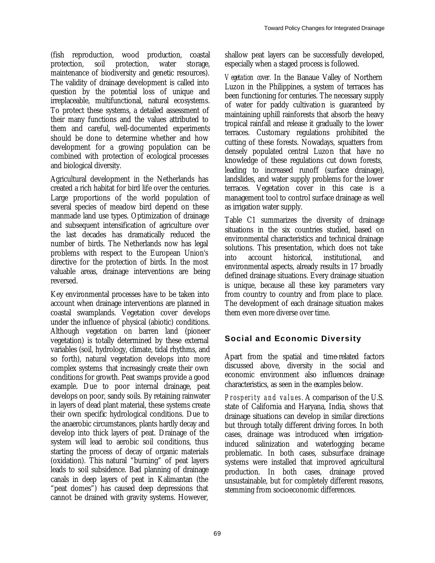(fish reproduction, wood production, coastal protection, soil protection, water storage, maintenance of biodiversity and genetic resources). The validity of drainage development is called into question by the potential loss of unique and irreplaceable, multifunctional, natural ecosystems. To protect these systems, a detailed assessment of their many functions and the values attributed to them and careful, well-documented experiments should be done to determine whether and how development for a growing population can be combined with protection of ecological processes and biological diversity.

Agricultural development in the Netherlands has created a rich habitat for bird life over the centuries. Large proportions of the world population of several species of meadow bird depend on these manmade land use types. Optimization of drainage and subsequent intensification of agriculture over the last decades has dramatically reduced the number of birds. The Netherlands now has legal problems with respect to the European Union's directive for the protection of birds. In the most valuable areas, drainage interventions are being reversed.

Key environmental processes have to be taken into account when drainage interventions are planned in coastal swamplands. Vegetation cover develops under the influence of physical (abiotic) conditions. Although vegetation on barren land (pioneer vegetation) is totally determined by these external variables (soil, hydrology, climate, tidal rhythms, and so forth), natural vegetation develops into more complex systems that increasingly create their own conditions for growth. Peat swamps provide a good example. Due to poor internal drainage, peat develops on poor, sandy soils. By retaining rainwater in layers of dead plant material, these systems create their own specific hydrological conditions. Due to the anaerobic circumstances, plants hardly decay and develop into thick layers of peat. Drainage of the system will lead to aerobic soil conditions, thus starting the process of decay of organic materials (oxidation). This natural "burning" of peat layers leads to soil subsidence. Bad planning of drainage canals in deep layers of peat in Kalimantan (the "peat domes") has caused deep depressions that cannot be drained with gravity systems. However,

shallow peat layers can be successfully developed, especially when a staged process is followed.

*Vegetation cover.* In the Banaue Valley of Northern Luzon in the Philippines, a system of terraces has been functioning for centuries. The necessary supply of water for paddy cultivation is guaranteed by maintaining uphill rainforests that absorb the heavy tropical rainfall and release it gradually to the lower terraces. Customary regulations prohibited the cutting of these forests. Nowadays, squatters from densely populated central Luzon that have no knowledge of these regulations cut down forests, leading to increased runoff (surface drainage), landslides, and water supply problems for the lower terraces. Vegetation cover in this case is a management tool to control surface drainage as well as irrigation water supply.

Table C1 summarizes the diversity of drainage situations in the six countries studied, based on environmental characteristics and technical drainage solutions. This presentation, which does not take into account historical, institutional, and environmental aspects, already results in 17 broadly defined drainage situations. Every drainage situation is unique, because all these key parameters vary from country to country and from place to place. The development of each drainage situation makes them even more diverse over time.

## **Social and Economic Diversity**

Apart from the spatial and time-related factors discussed above, diversity in the social and economic environment also influences drainage characteristics, as seen in the examples below.

*Prosperity and values.* A comparison of the U.S. state of California and Haryana, India, shows that drainage situations can develop in similar directions but through totally different driving forces. In both cases, drainage was introduced when irrigationinduced salinization and waterlogging became problematic. In both cases, subsurface drainage systems were installed that improved agricultural production. In both cases, drainage proved unsustainable, but for completely different reasons, stemming from socioeconomic differences.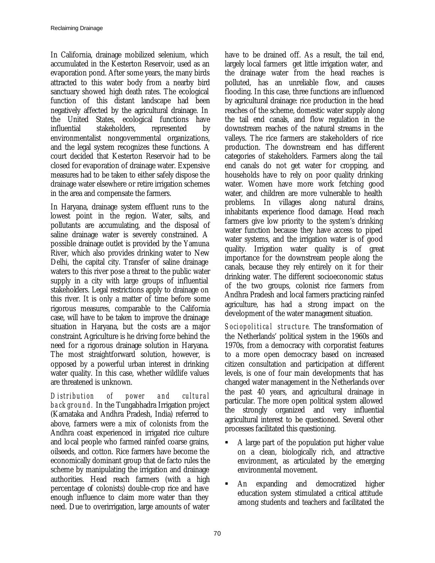In California, drainage mobilized selenium, which accumulated in the Kesterton Reservoir, used as an evaporation pond. After some years, the many birds attracted to this water body from a nearby bird sanctuary showed high death rates. The ecological function of this distant landscape had been negatively affected by the agricultural drainage. In the United States, ecological functions have influential stakeholders, represented by environmentalist nongovernmental organizations, and the legal system recognizes these functions. A court decided that Kesterton Reservoir had to be closed for evaporation of drainage water. Expensive measures had to be taken to either safely dispose the drainage water elsewhere or retire irrigation schemes in the area and compensate the farmers.

In Haryana, drainage system effluent runs to the lowest point in the region. Water, salts, and pollutants are accumulating, and the disposal of saline drainage water is severely constrained. A possible drainage outlet is provided by the Yamuna River, which also provides drinking water to New Delhi, the capital city. Transfer of saline drainage waters to this river pose a threat to the public water supply in a city with large groups of influential stakeholders. Legal restrictions apply to drainage on this river. It is only a matter of time before some rigorous measures, comparable to the California case, will have to be taken to improve the drainage situation in Haryana, but the costs are a major constraint. Agriculture is he driving force behind the need for a rigorous drainage solution in Haryana. The most straightforward solution, however, is opposed by a powerful urban interest in drinking water quality. In this case, whether wildlife values are threatened is unknown.

*Distribution of power and cultural background.* In the Tungabhadra Irrigation project (Karnataka and Andhra Pradesh, India) referred to above, farmers were a mix of colonists from the Andhra coast experienced in irrigated rice culture and local people who farmed rainfed coarse grains, oilseeds, and cotton. Rice farmers have become the economically dominant group that de facto rules the scheme by manipulating the irrigation and drainage authorities. Head reach farmers (with a high percentage of colonists) double-crop rice and have enough influence to claim more water than they need. Due to overirrigation, large amounts of water

have to be drained off. As a result, the tail end, largely local farmers get little irrigation water, and the drainage water from the head reaches is polluted, has an unreliable flow, and causes flooding. In this case, three functions are influenced by agricultural drainage: rice production in the head reaches of the scheme, domestic water supply along the tail end canals, and flow regulation in the downstream reaches of the natural streams in the valleys. The rice farmers are stakeholders of rice production. The downstream end has different categories of stakeholders. Farmers along the tail end canals do not get water for cropping, and households have to rely on poor quality drinking water. Women have more work fetching good water, and children are more vulnerable to health problems. In villages along natural drains, inhabitants experience flood damage. Head reach farmers give low priority to the system's drinking water function because they have access to piped water systems, and the irrigation water is of good quality. Irrigation water quality is of great importance for the downstream people along the canals, because they rely entirely on it for their drinking water. The different socioeconomic status of the two groups, colonist rice farmers from Andhra Pradesh and local farmers practicing rainfed agriculture, has had a strong impact on the development of the water management situation.

*Sociopolitical structure.* The transformation of the Netherlands' political system in the 1960s and 1970s, from a democracy with corporatist features to a more open democracy based on increased citizen consultation and participation at different levels, is one of four main developments that has changed water management in the Netherlands over the past 40 years, and agricultural drainage in particular. The more open political system allowed the strongly organized and very influential agricultural interest to be questioned. Several other processes facilitated this questioning.

- ß A large part of the population put higher value on a clean, biologically rich, and attractive environment, as articulated by the emerging environmental movement.
- An expanding and democratized higher education system stimulated a critical attitude among students and teachers and facilitated the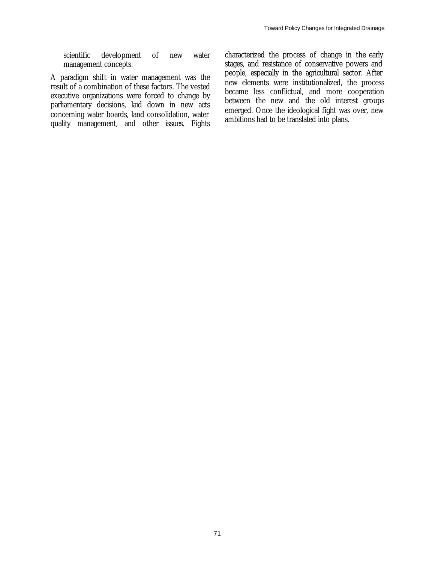scientific development of new water management concepts.

A paradigm shift in water management was the result of a combination of these factors. The vested executive organizations were forced to change by parliamentary decisions, laid down in new acts concerning water boards, land consolidation, water quality management, and other issues. Fights characterized the process of change in the early stages, and resistance of conservative powers and people, especially in the agricultural sector. After new elements were institutionalized, the process became less conflictual, and more cooperation between the new and the old interest groups emerged. Once the ideological fight was over, new ambitions had to be translated into plans.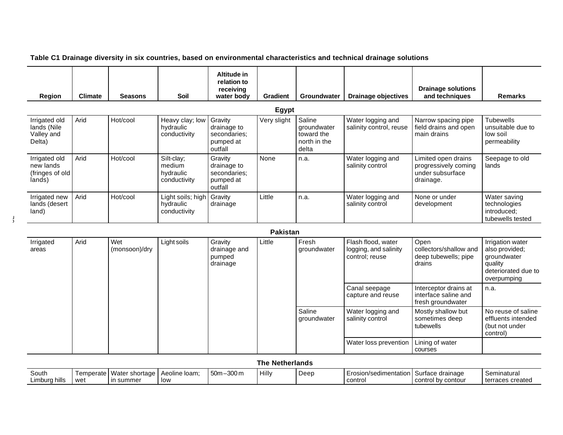**Table C1 Drainage diversity in six countries, based on environmental characteristics and technical drainage solutions**

 $\frac{1}{2}$ 

| Region                                                  | <b>Climate</b> | <b>Seasons</b> | Soil                                              | Altitude in<br>relation to<br>receiving<br>water body          | <b>Gradient</b> | <b>Groundwater</b>                                           | Drainage objectives                          | <b>Drainage solutions</b><br>and techniques                                  | <b>Remarks</b>                                                  |
|---------------------------------------------------------|----------------|----------------|---------------------------------------------------|----------------------------------------------------------------|-----------------|--------------------------------------------------------------|----------------------------------------------|------------------------------------------------------------------------------|-----------------------------------------------------------------|
| Egypt                                                   |                |                |                                                   |                                                                |                 |                                                              |                                              |                                                                              |                                                                 |
| Irrigated old<br>lands (Nile<br>Valley and<br>Delta)    | Arid           | Hot/cool       | Heavy clay; low<br>hydraulic<br>conductivity      | Gravity<br>drainage to<br>secondaries:<br>pumped at<br>outfall | Very slight     | Saline<br>groundwater<br>toward the<br>north in the<br>delta | Water logging and<br>salinity control, reuse | Narrow spacing pipe<br>field drains and open<br>main drains                  | Tubewells<br>unsuitable due to<br>low soil<br>permeability      |
| Irrigated old<br>new lands<br>(fringes of old<br>lands) | Arid           | Hot/cool       | Silt-clay;<br>medium<br>hydraulic<br>conductivity | Gravity<br>drainage to<br>secondaries:<br>pumped at<br>outfall | None            | n.a.                                                         | Water logging and<br>salinity control        | Limited open drains<br>progressively coming<br>under subsurface<br>drainage. | Seepage to old<br>lands                                         |
| Irrigated new<br>lands (desert<br>land)                 | Arid           | Hot/cool       | Light soils; high<br>hydraulic<br>conductivity    | Gravity<br>drainage                                            | Little          | n.a.                                                         | Water logging and<br>salinity control        | None or under<br>development                                                 | Water saving<br>technologies<br>introduced:<br>tubewells tested |

### **Pakistan**

| Irrigated<br>areas | Arid | Wet<br>(monsoon)/dry | Light soils                        | Gravity<br>drainage and<br>pumped<br>drainage                      | Little | Fresh<br>groundwater  | Flash flood, water<br>logging, and salinity<br>control; reuse | Open<br>collectors/shallow and<br>deep tubewells; pipe<br>drains | Irrigation water<br>also provided:<br>groundwater<br>quality<br>deteriorated due to<br>overpumping |
|--------------------|------|----------------------|------------------------------------|--------------------------------------------------------------------|--------|-----------------------|---------------------------------------------------------------|------------------------------------------------------------------|----------------------------------------------------------------------------------------------------|
|                    |      |                      | Canal seepage<br>capture and reuse | Interceptor drains at<br>interface saline and<br>fresh groundwater | n.a.   |                       |                                                               |                                                                  |                                                                                                    |
|                    |      |                      |                                    |                                                                    |        | Saline<br>groundwater | Water logging and<br>salinity control                         | Mostly shallow but<br>sometimes deep<br>tubewells                | No reuse of saline<br>effluents intended<br>(but not under<br>control)                             |
|                    |      |                      |                                    |                                                                    |        |                       | Water loss prevention                                         | Lining of water<br>courses                                       |                                                                                                    |

| The Netherlands |           |                  |               |              |       |      |                         |                    |                  |
|-----------------|-----------|------------------|---------------|--------------|-------|------|-------------------------|--------------------|------------------|
| South           | Temperate | Water shortage   | Aeoline Ioam: | $50m - 300m$ | Hilly | Deep | Erosion/sedimentation I | Surface drainage   | Seminatural      |
| Limburg hills   | wet       | <b>In summer</b> | low           |              |       |      | contro                  | control by contour | terraces created |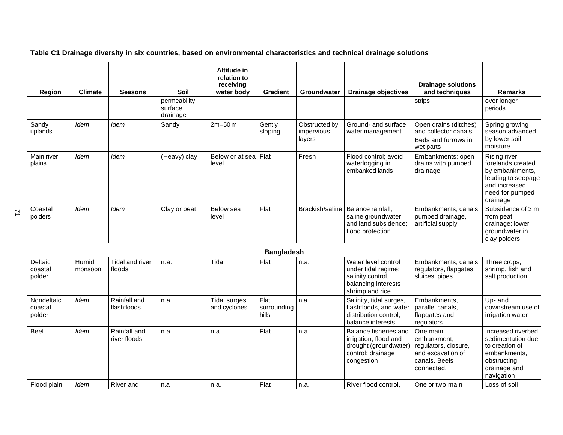**Table C1 Drainage diversity in six countries, based on environmental characteristics and technical drainage solutions**

| Region               | <b>Climate</b> | <b>Seasons</b> | Soil<br>permeability, | Altitude in<br>relation to<br>receiving<br>water body | <b>Gradient</b>   | <b>Groundwater</b>                    | Drainage objectives                                                                 | <b>Drainage solutions</b><br>and techniques<br>strips                              | <b>Remarks</b><br>over longer                                                                                              |
|----------------------|----------------|----------------|-----------------------|-------------------------------------------------------|-------------------|---------------------------------------|-------------------------------------------------------------------------------------|------------------------------------------------------------------------------------|----------------------------------------------------------------------------------------------------------------------------|
|                      |                |                | surface<br>drainage   |                                                       |                   |                                       |                                                                                     |                                                                                    | periods                                                                                                                    |
| Sandy<br>uplands     | Idem           | Idem           | Sandy                 | $2m - 50m$                                            | Gently<br>sloping | Obstructed by<br>impervious<br>layers | Ground- and surface<br>water management                                             | Open drains (ditches)<br>and collector canals;<br>Beds and furrows in<br>wet parts | Spring growing<br>season advanced<br>by lower soil<br>moisture                                                             |
| Main river<br>plains | Idem           | Idem           | (Heavy) clay          | Below or at sea Flat<br>level                         |                   | Fresh                                 | Flood control; avoid<br>waterlogging in<br>embanked lands                           | Embankments; open<br>drains with pumped<br>drainage                                | Rising river<br>forelands created<br>by embankments,<br>leading to seepage<br>and increased<br>need for pumped<br>drainage |
| Coastal<br>polders   | <b>Idem</b>    | Idem           | Clay or peat          | Below sea<br>level                                    | Flat              | Brackish/saline                       | Balance rainfall,<br>saline groundwater<br>and land subsidence;<br>flood protection | Embankments, canals,<br>pumped drainage,<br>artificial supply                      | Subsidence of 3 m<br>from peat<br>drainage; lower<br>groundwater in<br>clay polders                                        |

|                                 |                  |                              |      |                                     | <b>Bangladesh</b>             |      |                                                                                                            |                                                                                                     |                                                                                                                        |
|---------------------------------|------------------|------------------------------|------|-------------------------------------|-------------------------------|------|------------------------------------------------------------------------------------------------------------|-----------------------------------------------------------------------------------------------------|------------------------------------------------------------------------------------------------------------------------|
| Deltaic<br>coastal<br>polder    | Humid<br>monsoon | Tidal and river<br>floods    | n.a. | Tidal                               | Flat                          | n.a. | Water level control<br>under tidal regime;<br>salinity control,<br>balancing interests<br>shrimp and rice  | Embankments, canals,<br>regulators, flapgates,<br>sluices, pipes                                    | Three crops,<br>shrimp, fish and<br>salt production                                                                    |
| Nondeltaic<br>coastal<br>polder | <b>Idem</b>      | Rainfall and<br>flashfloods  | n.a. | <b>Tidal surges</b><br>and cyclones | Flat:<br>surrounding<br>hills | n.a  | Salinity, tidal surges,<br>flashfloods, and water<br>distribution control:<br>balance interests            | Embankments,<br>parallel canals.<br>flapgates and<br>regulators                                     | Up- and<br>downstream use of<br>irrigation water                                                                       |
| Beel                            | <b>Idem</b>      | Rainfall and<br>river floods | n.a. | n.a.                                | Flat                          | n.a. | Balance fisheries and<br>irrigation; flood and<br>drought (groundwater)<br>control; drainage<br>congestion | One main<br>embankment,<br>regulators, closure,<br>and excavation of<br>canals. Beels<br>connected. | Increased riverbed<br>sedimentation due<br>to creation of<br>embankments.<br>obstructing<br>drainage and<br>navigation |
| Flood plain                     | <b>Idem</b>      | River and                    | n.a  | n.a.                                | Flat                          | n.a. | River flood control,                                                                                       | One or two main                                                                                     | Loss of soil                                                                                                           |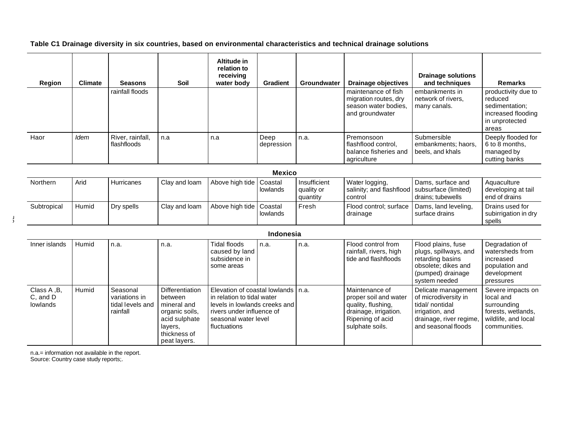### **Table C1 Drainage diversity in six countries, based on environmental characteristics and technical drainage solutions**

| Region | <b>Climate</b> | <b>Seasons</b>                  | Soil | <b>Altitude in</b><br>relation to<br>receiving<br>water body | Gradient           | <b>Groundwater</b> | Drainage objectives                                                                     | <b>Drainage solutions</b><br>and techniques            | <b>Remarks</b>                                                                                    |
|--------|----------------|---------------------------------|------|--------------------------------------------------------------|--------------------|--------------------|-----------------------------------------------------------------------------------------|--------------------------------------------------------|---------------------------------------------------------------------------------------------------|
|        |                | rainfall floods                 |      |                                                              |                    |                    | maintenance of fish<br>migration routes, dry<br>season water bodies.<br>and groundwater | embankments in<br>network of rivers.<br>many canals.   | productivity due to<br>reduced<br>sedimentation;<br>increased flooding<br>in unprotected<br>areas |
| Haor   | Idem           | River, rainfall,<br>flashfloods | n.a  | n.a                                                          | Deep<br>depression | n.a.               | Premonsoon<br>flashflood control,<br>balance fisheries and<br>agriculture               | Submersible<br>embankments; haors,<br>beels, and khals | Deeply flooded for<br>6 to 8 months.<br>managed by<br>cutting banks                               |

| <b>Mexico</b> |       |            |               |                           |          |                                        |                                                                            |                                        |                                                    |
|---------------|-------|------------|---------------|---------------------------|----------|----------------------------------------|----------------------------------------------------------------------------|----------------------------------------|----------------------------------------------------|
| Northern      | Arid  | Hurricanes | Clay and loam | Above high tide   Coastal | lowlands | Insufficient<br>quality or<br>quantity | Water logging,<br>salinity; and flashflood subsurface (limited)<br>control | Dams, surface and<br>drains: tubewells | Aquaculture<br>developing at tail<br>end of drains |
| Subtropical   | Humid | Dry spells | Clay and loam | Above high tide   Coastal | lowlands | Fresh                                  | Flood control; surface<br>drainage                                         | Dams, land leveling,<br>surface drains | Drains used for<br>subirrigation in dry<br>spells  |

 $\frac{1}{2}$ 

|                                     | Indonesia |                                                           |                                                                                                                         |                                                                                                                                                                          |      |      |                                                                                                                               |                                                                                                                                         |                                                                                                            |
|-------------------------------------|-----------|-----------------------------------------------------------|-------------------------------------------------------------------------------------------------------------------------|--------------------------------------------------------------------------------------------------------------------------------------------------------------------------|------|------|-------------------------------------------------------------------------------------------------------------------------------|-----------------------------------------------------------------------------------------------------------------------------------------|------------------------------------------------------------------------------------------------------------|
| Inner islands                       | Humid     | n.a.                                                      | n.a.                                                                                                                    | Tidal floods<br>caused by land<br>subsidence in<br>some areas                                                                                                            | n.a. | n.a. | Flood control from<br>rainfall, rivers, high<br>tide and flashfloods                                                          | Flood plains, fuse<br>plugs, spillways, and<br>retarding basins<br>obsolete; dikes and<br>(pumped) drainage<br>system needed            | Degradation of<br>watersheds from<br>increased<br>population and<br>development<br>pressures               |
| Class A, B,<br>C, and D<br>lowlands | Humid     | Seasonal<br>variations in<br>tidal levels and<br>rainfall | Differentiation<br>between<br>mineral and<br>organic soils,<br>acid sulphate<br>lavers,<br>thickness of<br>peat layers. | Elevation of coastal lowlands I n.a.<br>in relation to tidal water<br>levels in lowlands creeks and<br>rivers under influence of<br>seasonal water level<br>fluctuations |      |      | Maintenance of<br>proper soil and water<br>quality, flushing,<br>drainage, irrigation.<br>Ripening of acid<br>sulphate soils. | Delicate management<br>of microdiversity in<br>I tidal/ nontidal<br>l irrigation, and<br>drainage, river regime,<br>and seasonal floods | Severe impacts on<br>local and<br>surrounding<br>forests, wetlands,<br>wildlife, and local<br>communities. |

n.a.= information not available in the report.

Source: Country case study reports;.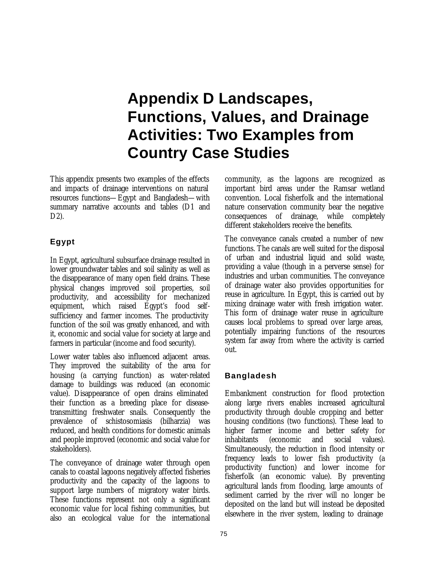# **Appendix D Landscapes, Functions, Values, and Drainage Activities: Two Examples from Country Case Studies**

This appendix presents two examples of the effects and impacts of drainage interventions on natural resources functions—Egypt and Bangladesh—with summary narrative accounts and tables (D1 and D2).

## **Egypt**

In Egypt, agricultural subsurface drainage resulted in lower groundwater tables and soil salinity as well as the disappearance of many open field drains. These physical changes improved soil properties, soil productivity, and accessibility for mechanized equipment, which raised Egypt's food selfsufficiency and farmer incomes. The productivity function of the soil was greatly enhanced, and with it, economic and social value for society at large and farmers in particular (income and food security).

Lower water tables also influenced adjacent areas. They improved the suitability of the area for housing (a carrying function) as water-related damage to buildings was reduced (an economic value). Disappearance of open drains eliminated their function as a breeding place for diseasetransmitting freshwater snails. Consequently the prevalence of schistosomiasis (bilharzia) was reduced, and health conditions for domestic animals and people improved (economic and social value for stakeholders).

The conveyance of drainage water through open canals to coastal lagoons negatively affected fisheries productivity and the capacity of the lagoons to support large numbers of migratory water birds. These functions represent not only a significant economic value for local fishing communities, but also an ecological value for the international community, as the lagoons are recognized as important bird areas under the Ramsar wetland convention. Local fisherfolk and the international nature conservation community bear the negative consequences of drainage, while completely different stakeholders receive the benefits.

The conveyance canals created a number of new functions. The canals are well suited for the disposal of urban and industrial liquid and solid waste, providing a value (though in a perverse sense) for industries and urban communities. The conveyance of drainage water also provides opportunities for reuse in agriculture. In Egypt, this is carried out by mixing drainage water with fresh irrigation water. This form of drainage water reuse in agriculture causes local problems to spread over large areas, potentially impairing functions of the resources system far away from where the activity is carried out.

### **Bangladesh**

Embankment construction for flood protection along large rivers enables increased agricultural productivity through double cropping and better housing conditions (two functions). These lead to higher farmer income and better safety for inhabitants (economic and social values). Simultaneously, the reduction in flood intensity or frequency leads to lower fish productivity (a productivity function) and lower income for fisherfolk (an economic value). By preventing agricultural lands from flooding, large amounts of sediment carried by the river will no longer be deposited on the land but will instead be deposited elsewhere in the river system, leading to drainage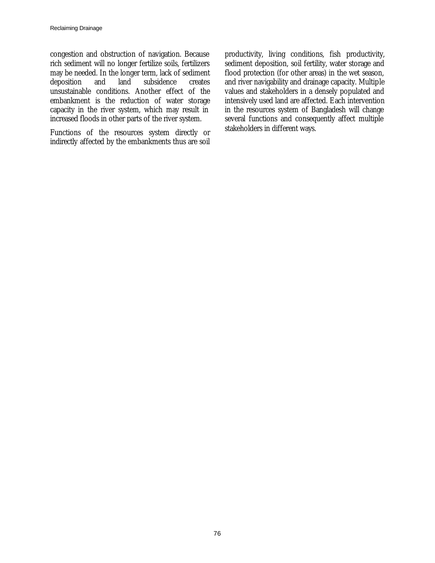congestion and obstruction of navigation. Because rich sediment will no longer fertilize soils, fertilizers may be needed. In the longer term, lack of sediment<br>deposition and land subsidence creates and land subsidence creates unsustainable conditions. Another effect of the embankment is the reduction of water storage capacity in the river system, which may result in increased floods in other parts of the river system.

Functions of the resources system directly or indirectly affected by the embankments thus are soil productivity, living conditions, fish productivity, sediment deposition, soil fertility, water storage and flood protection (for other areas) in the wet season, and river navigability and drainage capacity. Multiple values and stakeholders in a densely populated and intensively used land are affected. Each intervention in the resources system of Bangladesh will change several functions and consequently affect multiple stakeholders in different ways.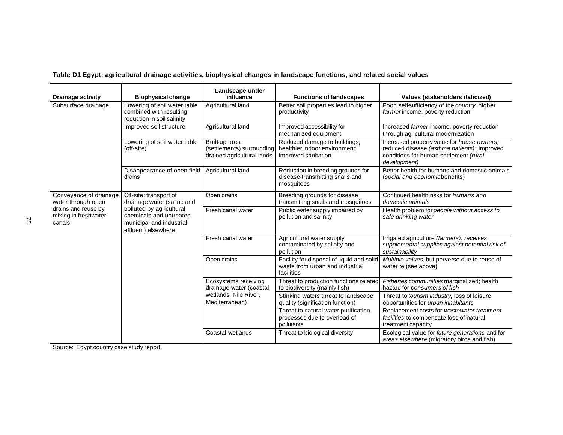**Table D1 Egypt: agricultural drainage activities, biophysical changes in landscape functions, and related social values**

| <b>Drainage activity</b>                              | <b>Biophysical change</b>                                                                              | Landscape under<br>influence                                             | <b>Functions of landscapes</b>                                                             | Values (stakeholders italicized)                                                                                                                    |
|-------------------------------------------------------|--------------------------------------------------------------------------------------------------------|--------------------------------------------------------------------------|--------------------------------------------------------------------------------------------|-----------------------------------------------------------------------------------------------------------------------------------------------------|
| Subsurface drainage                                   | Lowering of soil water table<br>combined with resulting<br>reduction in soil salinity                  | Agricultural land                                                        | Better soil properties lead to higher<br>productivity                                      | Food self-sufficiency of the country, higher<br>farmer income, poverty reduction                                                                    |
|                                                       | Improved soil structure                                                                                | Agricultural land                                                        | Improved accessibility for<br>mechanized equipment                                         | Increased farmer income, poverty reduction<br>through agricultural modernization                                                                    |
|                                                       | Lowering of soil water table<br>(off-site)                                                             | Built-up area<br>(settlements) surrounding<br>drained agricultural lands | Reduced damage to buildings;<br>healthier indoor environment:<br>improved sanitation       | Increased property value for house owners;<br>reduced disease (asthma patients); improved<br>conditions for human settlement (rural<br>development) |
|                                                       | Disappearance of open field<br>drains                                                                  | Agricultural land                                                        | Reduction in breeding grounds for<br>disease-transmitting snails and<br>mosquitoes         | Better health for humans and domestic animals<br>(social and economicbenefits)                                                                      |
| Conveyance of drainage<br>water through open          | Off-site: transport of<br>drainage water (saline and                                                   | Open drains                                                              | Breeding grounds for disease<br>transmitting snails and mosquitoes                         | Continued health risks for humans and<br>domestic animals                                                                                           |
| drains and reuse by<br>mixing in freshwater<br>canals | polluted by agricultural<br>chemicals and untreated<br>municipal and industrial<br>effluent) elsewhere | Fresh canal water                                                        | Public water supply impaired by<br>pollution and salinity                                  | Health problem for people without access to<br>safe drinking water                                                                                  |
|                                                       |                                                                                                        | Fresh canal water                                                        | Agricultural water supply<br>contaminated by salinity and<br>pollution                     | Irrigated agriculture (farmers), receives<br>supplemental supplies against potential risk of<br>sustainability                                      |
|                                                       |                                                                                                        | Open drains                                                              | Facility for disposal of liquid and solid<br>waste from urban and industrial<br>facilities | Multiple values, but perverse due to reuse of<br>water re (see above)                                                                               |
|                                                       |                                                                                                        | Ecosystems receiving<br>drainage water (coastal                          | Threat to production functions related<br>to biodiversity (mainly fish)                    | Fisheries communities marginalized; health<br>hazard for consumers of fish                                                                          |
|                                                       |                                                                                                        | wetlands, Nile River,<br>Mediterranean)                                  | Stinking waters threat to landscape<br>quality (signification function)                    | Threat to tourism industry, loss of leisure<br>opportunities for <i>urban inhabitants</i>                                                           |
|                                                       |                                                                                                        |                                                                          | Threat to natural water purification<br>processes due to overload of<br>pollutants         | Replacement costs for wastewater treatment<br>facilities to compensate loss of natural<br>treatment capacity                                        |
|                                                       |                                                                                                        | Coastal wetlands                                                         | Threat to biological diversity                                                             | Ecological value for future generations and for<br>areas elsewhere (migratory birds and fish)                                                       |

Source: Egypt country case study report.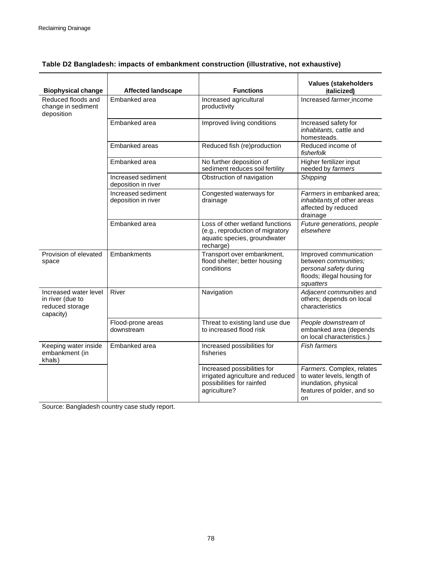| <b>Biophysical change</b>                                                 | <b>Affected landscape</b>                 | <b>Functions</b>                                                                                                 | <b>Values (stakeholders</b><br>italicized)                                                                           |
|---------------------------------------------------------------------------|-------------------------------------------|------------------------------------------------------------------------------------------------------------------|----------------------------------------------------------------------------------------------------------------------|
| Reduced floods and<br>change in sediment<br>deposition                    | Embanked area                             | Increased agricultural<br>productivity                                                                           | Increased farmer income                                                                                              |
|                                                                           | Embanked area                             | Improved living conditions                                                                                       | Increased safety for<br>inhabitants, cattle and<br>homesteads.                                                       |
|                                                                           | Embanked areas                            | Reduced fish (re)production                                                                                      | Reduced income of<br>fisherfolk                                                                                      |
|                                                                           | Embanked area                             | No further deposition of<br>sediment reduces soil fertility                                                      | Higher fertilizer input<br>needed by farmers                                                                         |
|                                                                           | Increased sediment<br>deposition in river | Obstruction of navigation                                                                                        | Shipping                                                                                                             |
|                                                                           | Increased sediment<br>deposition in river | Congested waterways for<br>drainage                                                                              | Farmers in embanked area;<br>inhabitants of other areas<br>affected by reduced<br>drainage                           |
|                                                                           | Embanked area                             | Loss of other wetland functions<br>(e.g., reproduction of migratory<br>aquatic species, groundwater<br>recharge) | Future generations, people<br>elsewhere                                                                              |
| Provision of elevated<br>space                                            | Embankments                               | Transport over embankment,<br>flood shelter; better housing<br>conditions                                        | Improved communication<br>between communities;<br>personal safety during<br>floods; illegal housing for<br>squatters |
| Increased water level<br>in river (due to<br>reduced storage<br>capacity) | River                                     | Navigation                                                                                                       | Adjacent communities and<br>others; depends on local<br>characteristics                                              |
|                                                                           | Flood-prone areas<br>downstream           | Threat to existing land use due<br>to increased flood risk                                                       | People downstream of<br>embanked area (depends<br>on local characteristics.)                                         |
| Keeping water inside<br>embankment (in<br>khals)                          | Embanked area                             | Increased possibilities for<br>fisheries                                                                         | <b>Fish farmers</b>                                                                                                  |
|                                                                           |                                           | Increased possibilities for<br>irrigated agriculture and reduced<br>possibilities for rainfed<br>agriculture?    | Farmers. Complex, relates<br>to water levels, length of<br>inundation, physical<br>features of polder, and so<br>on  |

### **Table D2 Bangladesh: impacts of embankment construction (illustrative, not exhaustive)**

Source: Bangladesh country case study report.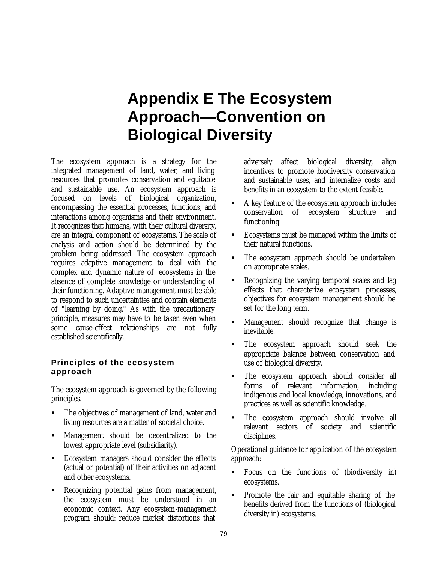## **Appendix E The Ecosystem Approach—Convention on Biological Diversity**

The ecosystem approach is a strategy for the integrated management of land, water, and living resources that promotes conservation and equitable and sustainable use. An ecosystem approach is focused on levels of biological organization, encompassing the essential processes, functions, and interactions among organisms and their environment. It recognizes that humans, with their cultural diversity, are an integral component of ecosystems. The scale of analysis and action should be determined by the problem being addressed. The ecosystem approach requires adaptive management to deal with the complex and dynamic nature of ecosystems in the absence of complete knowledge or understanding of their functioning. Adaptive management must be able to respond to such uncertainties and contain elements of "learning by doing." As with the precautionary principle, measures may have to be taken even when some cause-effect relationships are not fully established scientifically.

### **Principles of the ecosystem approach**

The ecosystem approach is governed by the following principles.

- The objectives of management of land, water and living resources are a matter of societal choice.
- ß Management should be decentralized to the lowest appropriate level (subsidiarity).
- ß Ecosystem managers should consider the effects (actual or potential) of their activities on adjacent and other ecosystems.
- ß Recognizing potential gains from management, the ecosystem must be understood in an economic context. Any ecosystem-management program should: reduce market distortions that

adversely affect biological diversity, align incentives to promote biodiversity conservation and sustainable uses, and internalize costs and benefits in an ecosystem to the extent feasible.

- ß A key feature of the ecosystem approach includes conservation of ecosystem structure and functioning.
- ß Ecosystems must be managed within the limits of their natural functions.
- The ecosystem approach should be undertaken on appropriate scales.
- ß Recognizing the varying temporal scales and lag effects that characterize ecosystem processes, objectives for ecosystem management should be set for the long term.
- ß Management should recognize that change is inevitable.
- ß The ecosystem approach should seek the appropriate balance between conservation and use of biological diversity.
- The ecosystem approach should consider all forms of relevant information, including indigenous and local knowledge, innovations, and practices as well as scientific knowledge.
- ß The ecosystem approach should involve all relevant sectors of society and scientific disciplines.

Operational guidance for application of the ecosystem approach:

- ß Focus on the functions of (biodiversity in) ecosystems.
- ß Promote the fair and equitable sharing of the benefits derived from the functions of (biological diversity in) ecosystems.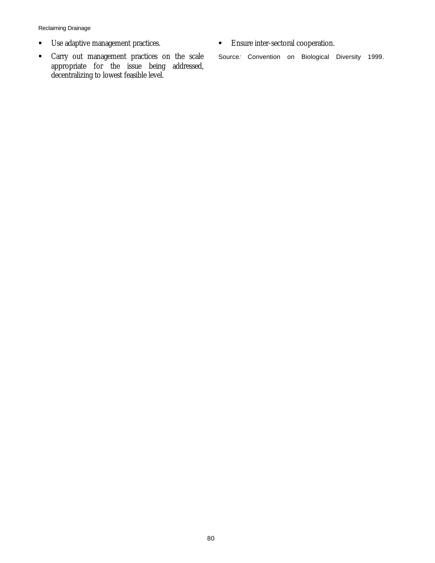Reclaiming Drainage

- **■** Use adaptive management practices.
- ß Carry out management practices on the scale appropriate for the issue being addressed, decentralizing to lowest feasible level.
- **Ensure inter-sectoral cooperation.**

Source*:* Convention on Biological Diversity 1999.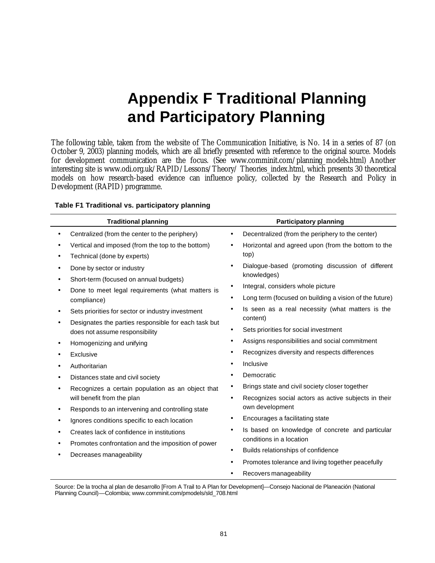## **Appendix F Traditional Planning and Participatory Planning**

The following table, taken from the website of The Communication Initiative, is No. 14 in a series of 87 (on October 9, 2003) planning models, which are all briefly presented with reference to the original source. Models for development communication are the focus. (See www.comminit.com/planning\_models.html) Another interesting site is www.odi.org.uk/RAPID/Lessons/Theory/ Theories\_index.html, which presents 30 theoretical models on how research-based evidence can influence policy, collected by the Research and Policy in Development (RAPID) programme.

| <b>Traditional planning</b>                                                                                                                                                                                                                                                                                                                                                                                                                                                                                                   | <b>Participatory planning</b>                                                                                                                                                                                                                                                                                                                                                                                                                                                                                                                                   |
|-------------------------------------------------------------------------------------------------------------------------------------------------------------------------------------------------------------------------------------------------------------------------------------------------------------------------------------------------------------------------------------------------------------------------------------------------------------------------------------------------------------------------------|-----------------------------------------------------------------------------------------------------------------------------------------------------------------------------------------------------------------------------------------------------------------------------------------------------------------------------------------------------------------------------------------------------------------------------------------------------------------------------------------------------------------------------------------------------------------|
| Centralized (from the center to the periphery)                                                                                                                                                                                                                                                                                                                                                                                                                                                                                | Decentralized (from the periphery to the center)<br>$\bullet$                                                                                                                                                                                                                                                                                                                                                                                                                                                                                                   |
| Vertical and imposed (from the top to the bottom)<br>Technical (done by experts)                                                                                                                                                                                                                                                                                                                                                                                                                                              | Horizontal and agreed upon (from the bottom to the<br>$\bullet$<br>top)                                                                                                                                                                                                                                                                                                                                                                                                                                                                                         |
| Done by sector or industry<br>Short-term (focused on annual budgets)<br>Done to meet legal requirements (what matters is<br>compliance)<br>Sets priorities for sector or industry investment<br>Designates the parties responsible for each task but<br>does not assume responsibility<br>Homogenizing and unifying<br>Exclusive<br>Authoritarian<br>Distances state and civil society<br>Recognizes a certain population as an object that<br>will benefit from the plan<br>Responds to an intervening and controlling state | Dialogue-based (promoting discussion of different<br>knowledges)<br>Integral, considers whole picture<br>٠<br>Long term (focused on building a vision of the future)<br>Is seen as a real necessity (what matters is the<br>content)<br>Sets priorities for social investment<br>Assigns responsibilities and social commitment<br>٠<br>Recognizes diversity and respects differences<br>Inclusive<br>Democratic<br>Brings state and civil society closer together<br>٠<br>Recognizes social actors as active subjects in their<br>$\bullet$<br>own development |
| Ignores conditions specific to each location<br>Creates lack of confidence in institutions<br>Promotes confrontation and the imposition of power<br>Decreases manageability                                                                                                                                                                                                                                                                                                                                                   | Encourages a facilitating state<br>Is based on knowledge of concrete and particular<br>$\bullet$<br>conditions in a location<br>Builds relationships of confidence<br>٠<br>Promotes tolerance and living together peacefully<br>٠<br>Recovers manageability                                                                                                                                                                                                                                                                                                     |

### **Table F1 Traditional vs. participatory planning**

Source: De la trocha al plan de desarrollo [From A Trail to A Plan for Development]—Consejo Nacional de Planeación (National Planning Council)—Colombia; www.comminit.com/pmodels/sld\_708.html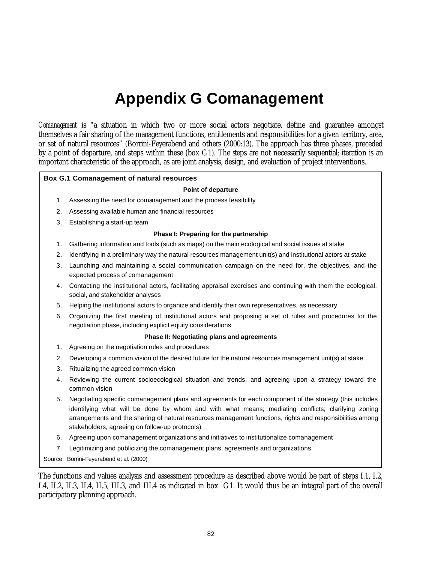## **Appendix G Comanagement**

*Comanagement* is "a situation in which two or more social actors negotiate, define and guarantee amongst themselves a fair sharing of the management functions, entitlements and responsibilities for a given territory, area, or set of natural resources" (Borrini-Feyerabend and others (2000:13). The approach has three phases, preceded by a point of departure, and steps within these (box G1). The steps are not necessarily sequential; iteration is an important characteristic of the approach, as are joint analysis, design, and evaluation of project interventions.

### **Box G.1 Comanagement of natural resources**

#### **Point of departure**

- 1. Assessing the need for comanagement and the process feasibility
- 2. Assessing available human and financial resources
- 3. Establishing a start-up team

#### **Phase I: Preparing for the partnership**

- 1. Gathering information and tools (such as maps) on the main ecological and social issues at stake
- 2. Identifying in a preliminary way the natural resources management unit(s) and institutional actors at stake
- 3. Launching and maintaining a social communication campaign on the need for, the objectives, and the expected process of comanagement
- 4. Contacting the institutional actors, facilitating appraisal exercises and continuing with them the ecological, social, and stakeholder analyses
- 5. Helping the institutional actors to organize and identify their own representatives, as necessary
- 6. Organizing the first meeting of institutional actors and proposing a set of rules and procedures for the negotiation phase, including explicit equity considerations

#### **Phase II: Negotiating plans and agreements**

- 1. Agreeing on the negotiation rules and procedures
- 2. Developing a common vision of the desired future for the natural resources management unit(s) at stake
- 3. Ritualizing the agreed common vision
- 4. Reviewing the current socioecological situation and trends, and agreeing upon a strategy toward the common vision
- 5. Negotiating specific comanagement plans and agreements for each component of the strategy (this includes identifying what will be done by whom and with what means; mediating conflicts; clarifying zoning arrangements and the sharing of natural resources management functions, rights and responsibilities among stakeholders, agreeing on follow-up protocols)
- 6. Agreeing upon comanagement organizations and initiatives to institutionalize comanagement
- 7. Legitimizing and publicizing the comanagement plans, agreements and organizations

Source: Borrini-Feyerabend et al. (2000)

The functions and values analysis and assessment procedure as described above would be part of steps I.1, I.2, I.4, II.2, II.3, II.4, II.5, III.3, and III.4 as indicated in box G1. It would thus be an integral part of the overall participatory planning approach.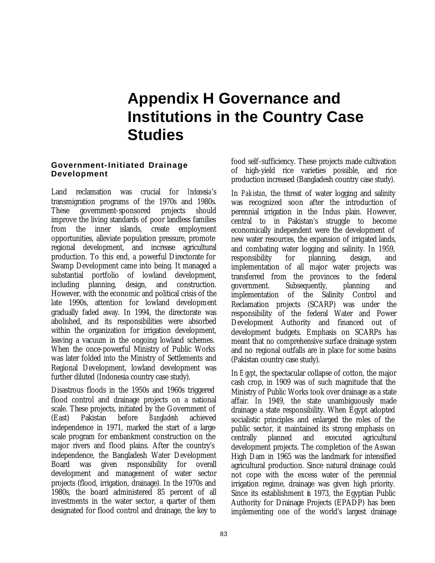## **Appendix H Governance and Institutions in the Country Case Studies**

### **Government-Initiated Drainage Development**

Land reclamation was crucial for *Indonesia*'s transmigration programs of the 1970s and 1980s. These government-sponsored projects should improve the living standards of poor landless families from the inner islands, create employment opportunities, alleviate population pressure, promote regional development, and increase agricultural production. To this end, a powerful Directorate for Swamp Development came into being. It managed a substantial portfolio of lowland development, including planning, design, and construction. However, with the economic and political crisis of the late 1990s, attention for lowland development gradually faded away. In 1994, the directorate was abolished, and its responsibilities were absorbed within the organization for irrigation development, leaving a vacuum in the ongoing lowland schemes. When the once-powerful Ministry of Public Works was later folded into the Ministry of Settlements and Regional Development, lowland development was further diluted (Indonesia country case study).

Disastrous floods in the 1950s and 1960s triggered flood control and drainage projects on a national scale. These projects, initiated by the Government of (East) Pakistan before *Bangladesh* achieved independence in 1971, marked the start of a largescale program for embankment construction on the major rivers and flood plains. After the country's independence, the Bangladesh Water Development Board was given responsibility for overall development and management of water sector projects (flood, irrigation, drainage). In the 1970s and 1980s, the board administered 85 percent of all investments in the water sector, a quarter of them designated for flood control and drainage, the key to food self-sufficiency. These projects made cultivation of high-yield rice varieties possible, and rice production increased (Bangladesh country case study).

In *Pakistan*, the threat of water logging and salinity was recognized soon after the introduction of perennial irrigation in the Indus plain. However, central to in Pakistan's struggle to become economically independent were the development of new water resources, the expansion of irrigated lands, and combating water logging and salinity. In 1959, responsibility for planning, design, and implementation of all major water projects was transferred from the provinces to the federal government. Subsequently, planning and implementation of the Salinity Control and Reclamation projects (SCARP) was under the responsibility of the federal Water and Power Development Authority and financed out of development budgets. Emphasis on SCARPs has meant that no comprehensive surface drainage system and no regional outfalls are in place for some basins (Pakistan country case study).

In *Egypt*, the spectacular collapse of cotton, the major cash crop, in 1909 was of such magnitude that the Ministry of Public Works took over drainage as a state affair. In 1949, the state unambiguously made drainage a state responsibility. When Egypt adopted socialistic principles and enlarged the roles of the public sector, it maintained its strong emphasis on centrally planned and executed agricultural development projects. The completion of the Aswan High Dam in 1965 was the landmark for intensified agricultural production. Since natural drainage could not cope with the excess water of the perennial irrigation regime, drainage was given high priority. Since its establishment in 1973, the Egyptian Public Authority for Drainage Projects (EPADP) has been implementing one of the world's largest drainage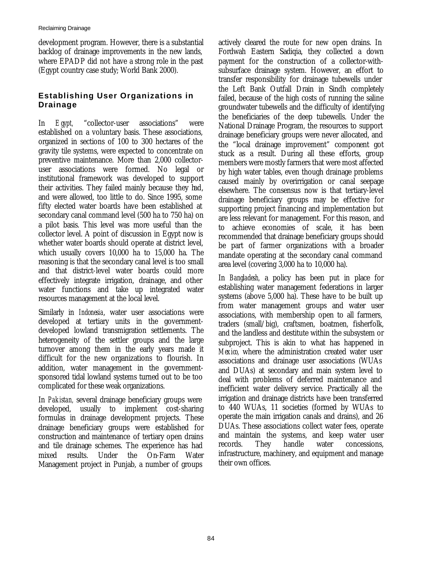development program. However, there is a substantial backlog of drainage improvements in the new lands, where EPADP did not have a strong role in the past (Egypt country case study; World Bank 2000).

## **Establishing User Organizations in Drainage**

In *Egypt,* "collector-user associations" were established on a voluntary basis. These associations, organized in sections of 100 to 300 hectares of the gravity tile systems, were expected to concentrate on preventive maintenance. More than 2,000 collectoruser associations were formed. No legal or institutional framework was developed to support their activities. They failed mainly because they had, and were allowed, too little to do. Since 1995, some fifty elected water boards have been established at secondary canal command level (500 ha to 750 ha) on a pilot basis. This level was more useful than the collector level. A point of discussion in Egypt now is whether water boards should operate at district level, which usually covers 10,000 ha to 15,000 ha. The reasoning is that the secondary canal level is too small and that district-level water boards could more effectively integrate irrigation, drainage, and other water functions and take up integrated water resources management at the local level.

Similarly in *Indonesia*, water user associations were developed at tertiary units in the governmentdeveloped lowland transmigration settlements. The heterogeneity of the settler groups and the large turnover among them in the early years made it difficult for the new organizations to flourish. In addition, water management in the governmentsponsored tidal lowland systems turned out to be too complicated for these weak organizations.

In *Pakistan,* several drainage beneficiary groups were developed, usually to implement cost-sharing formulas in drainage development projects. These drainage beneficiary groups were established for construction and maintenance of tertiary open drains and tile drainage schemes. The experience has had mixed results. Under the On-Farm Water Management project in Punjab, a number of groups

actively cleared the route for new open drains. In Fordwah Eastern Sadiqia, they collected a down payment for the construction of a collector-withsubsurface drainage system. However, an effort to transfer responsibility for drainage tubewells under the Left Bank Outfall Drain in Sindh completely failed, because of the high costs of running the saline groundwater tubewells and the difficulty of identifying the beneficiaries of the deep tubewells. Under the National Drainage Program, the resources to support drainage beneficiary groups were never allocated, and the "local drainage improvement" component got stuck as a result. During all these efforts, group members were mostly farmers that were most affected by high water tables, even though drainage problems caused mainly by overirrigation or canal seepage elsewhere. The consensus now is that tertiary-level drainage beneficiary groups may be effective for supporting project financing and implementation but are less relevant for management. For this reason, and to achieve economies of scale, it has been recommended that drainage beneficiary groups should be part of farmer organizations with a broader mandate operating at the secondary canal command area level (covering 3,000 ha to 10,000 ha).

In *Bangladesh,* a policy has been put in place for establishing water management federations in larger systems (above 5,000 ha). These have to be built up from water management groups and water user associations, with membership open to all farmers, traders (small/big), craftsmen, boatmen, fisherfolk, and the landless and destitute within the subsystem or subproject. This is akin to what has happened in *Mexico,* where the administration created water user associations and drainage user associations (WUAs and DUAs) at secondary and main system level to deal with problems of deferred maintenance and inefficient water delivery service. Practically all the irrigation and drainage districts have been transferred to 440 WUAs, 11 societies (formed by WUAs to operate the main irrigation canals and drains), and 26 DUAs. These associations collect water fees, operate and maintain the systems, and keep water user records. They handle water concessions, infrastructure, machinery, and equipment and manage their own offices.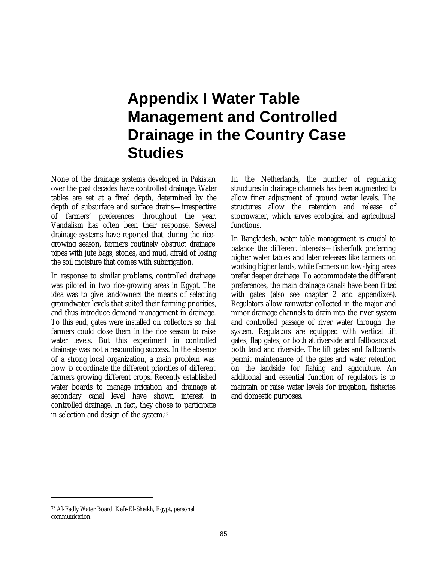## **Appendix I Water Table Management and Controlled Drainage in the Country Case Studies**

None of the drainage systems developed in Pakistan over the past decades have controlled drainage. Water tables are set at a fixed depth, determined by the depth of subsurface and surface drains—irrespective of farmers' preferences throughout the year. Vandalism has often been their response. Several drainage systems have reported that, during the ricegrowing season, farmers routinely obstruct drainage pipes with jute bags, stones, and mud, afraid of losing the soil moisture that comes with subirrigation.

In response to similar problems, controlled drainage was piloted in two rice-growing areas in Egypt. The idea was to give landowners the means of selecting groundwater levels that suited their farming priorities, and thus introduce demand management in drainage. To this end, gates were installed on collectors so that farmers could close them in the rice season to raise water levels. But this experiment in controlled drainage was not a resounding success. In the absence of a strong local organization, a main problem was how to coordinate the different priorities of different farmers growing different crops. Recently established water boards to manage irrigation and drainage at secondary canal level have shown interest in controlled drainage. In fact, they chose to participate in selection and design of the system.*<sup>33</sup>*

In the Netherlands, the number of regulating structures in drainage channels has been augmented to allow finer adjustment of ground water levels. The structures allow the retention and release of stormwater, which serves ecological and agricultural functions.

In Bangladesh, water table management is crucial to balance the different interests—fisherfolk preferring higher water tables and later releases like farmers on working higher lands, while farmers on low-lying areas prefer deeper drainage. To accommodate the different preferences, the main drainage canals have been fitted with gates (also see chapter 2 and appendixes). Regulators allow rainwater collected in the major and minor drainage channels to drain into the river system and controlled passage of river water through the system. Regulators are equipped with vertical lift gates, flap gates, or both at riverside and fallboards at both land and riverside. The lift gates and fallboards permit maintenance of the gates and water retention on the landside for fishing and agriculture. An additional and essential function of regulators is to maintain or raise water levels for irrigation, fisheries and domestic purposes.

 $\overline{a}$ 

<sup>33</sup> Al-Fadly Water Board, Kafr-El-Sheikh, Egypt, personal communication.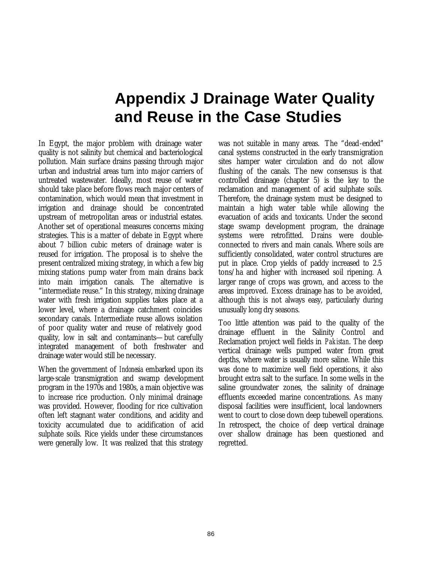## **Appendix J Drainage Water Quality and Reuse in the Case Studies**

In Egypt, the major problem with drainage water quality is not salinity but chemical and bacteriological pollution. Main surface drains passing through major urban and industrial areas turn into major carriers of untreated wastewater. Ideally, most reuse of water should take place before flows reach major centers of contamination, which would mean that investment in irrigation and drainage should be concentrated upstream of metropolitan areas or industrial estates. Another set of operational measures concerns mixing strategies. This is a matter of debate in Egypt where about 7 billion cubic meters of drainage water is reused for irrigation. The proposal is to shelve the present centralized mixing strategy, in which a few big mixing stations pump water from main drains back into main irrigation canals. The alternative is "intermediate reuse." In this strategy, mixing drainage water with fresh irrigation supplies takes place at a lower level, where a drainage catchment coincides secondary canals. Intermediate reuse allows isolation of poor quality water and reuse of relatively good quality, low in salt and contaminants—but carefully integrated management of both freshwater and drainage water would still be necessary.

When the government of *Indonesia* embarked upon its large-scale transmigration and swamp development program in the 1970s and 1980s, a main objective was to increase rice production. Only minimal drainage was provided. However, flooding for rice cultivation often left stagnant water conditions, and acidity and toxicity accumulated due to acidification of acid sulphate soils. Rice yields under these circumstances were generally low. It was realized that this strategy

was not suitable in many areas. The "dead-ended" canal systems constructed in the early transmigration sites hamper water circulation and do not allow flushing of the canals. The new consensus is that controlled drainage (chapter 5) is the key to the reclamation and management of acid sulphate soils. Therefore, the drainage system must be designed to maintain a high water table while allowing the evacuation of acids and toxicants. Under the second stage swamp development program, the drainage systems were retrofitted. Drains were doubleconnected to rivers and main canals. Where soils are sufficiently consolidated, water control structures are put in place. Crop yields of paddy increased to 2.5 tons/ha and higher with increased soil ripening. A larger range of crops was grown, and access to the areas improved. Excess drainage has to be avoided, although this is not always easy, particularly during unusually long dry seasons.

Too little attention was paid to the quality of the drainage effluent in the Salinity Control and Reclamation project well fields in *Pakistan*. The deep vertical drainage wells pumped water from great depths, where water is usually more saline. While this was done to maximize well field operations, it also brought extra salt to the surface. In some wells in the saline groundwater zones, the salinity of drainage effluents exceeded marine concentrations. As many disposal facilities were insufficient, local landowners went to court to close down deep tubewell operations. In retrospect, the choice of deep vertical drainage over shallow drainage has been questioned and regretted.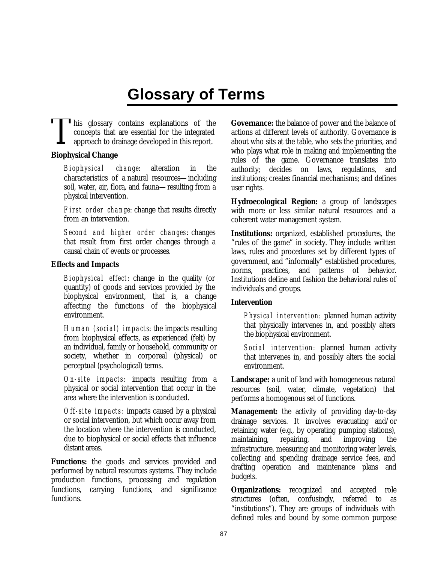## **Glossary of Terms**

**This glossary contains explanations of the** concepts that are essential for the integrated approach to drainage developed in this report. T

### **Biophysical Change**

*Biophysical change*: alteration in the characteristics of a natural resources—including soil, water, air, flora, and fauna—resulting from a physical intervention.

*First order change*: change that results directly from an intervention.

*Second and higher order changes*: changes that result from first order changes through a causal chain of events or processes.

### **Effects and Impacts**

*Biophysical effect*: change in the quality (or quantity) of goods and services provided by the biophysical environment, that is, a change affecting the functions of the biophysical environment.

*Human (social) impacts*: the impacts resulting from biophysical effects, as experienced (felt) by an individual, family or household, community or society, whether in corporeal (physical) or perceptual (psychological) terms.

*On -site impacts:* impacts resulting from a physical or social intervention that occur in the area where the intervention is conducted.

*Off-site impacts:* impacts caused by a physical or social intervention, but which occur away from the location where the intervention is conducted, due to biophysical or social effects that influence distant areas.

**Functions:** the goods and services provided and performed by natural resources systems. They include production functions, processing and regulation functions, carrying functions, and significance functions.

**Governance:** the balance of power and the balance of actions at different levels of authority. Governance is about who sits at the table, who sets the priorities, and who plays what role in making and implementing the rules of the game. Governance translates into authority; decides on laws, regulations, and institutions; creates financial mechanisms; and defines user rights.

**Hydroecological Region:** a group of landscapes with more or less similar natural resources and a coherent water management system.

**Institutions:** organized, established procedures, the "rules of the game" in society. They include: written laws, rules and procedures set by different types of government, and "informally" established procedures, norms, practices, and patterns of behavior. Institutions define and fashion the behavioral rules of individuals and groups.

### **Intervention**

*Physical intervention:* planned human activity that physically intervenes in, and possibly alters the biophysical environment.

*Social intervention:* planned human activity that intervenes in, and possibly alters the social environment.

**Landscape:** a unit of land with homogeneous natural resources (soil, water, climate, vegetation) that performs a homogenous set of functions.

**Management:** the activity of providing day-to-day drainage services. It involves evacuating and/or retaining water (e.g., by operating pumping stations), maintaining, repairing, and improving the infrastructure, measuring and monitoring water levels, collecting and spending drainage service fees, and drafting operation and maintenance plans and budgets.

**Organizations:** recognized and accepted role structures (often, confusingly, referred to as "institutions"). They are groups of individuals with defined roles and bound by some common purpose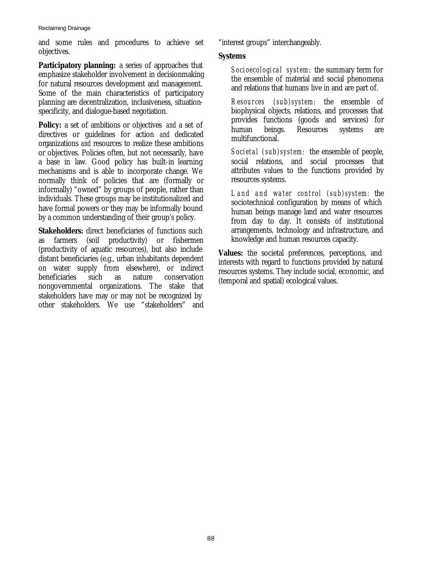#### Reclaiming Drainage

and some rules and procedures to achieve set objectives.

**Participatory planning:** a series of approaches that emphasize stakeholder involvement in decisionmaking for natural resources development and management. Some of the main characteristics of participatory planning are decentralization, inclusiveness, situationspecificity, and dialogue-based negotiation.

**Policy:** a set of ambitions or objectives *and* a set of directives or guidelines for action *and* dedicated organizations *and* resources to realize these ambitions or objectives. Policies often, but not necessarily, have a base in law. Good policy has built-in learning mechanisms and is able to incorporate change. We normally think of policies that are (formally or informally) "owned" by groups of people, rather than individuals. These groups may be institutionalized and have formal powers or they may be informally bound by a common understanding of their group's policy.

**Stakeholders:** direct beneficiaries of functions such as farmers (soil productivity) or fishermen (productivity of aquatic resources), but also include distant beneficiaries (e.g., urban inhabitants dependent on water supply from elsewhere), or indirect beneficiaries such as nature conservation nongovernmental organizations. The stake that stakeholders have may or may not be recognized by other stakeholders. We use "stakeholders" and "interest groups" interchangeably.

### **Systems**

*Socioecological system:* the summary term for the ensemble of material and social phenomena and relations that humans live in and are part of.

*Resources (sub)system:* the ensemble of biophysical objects, relations, and processes that provides functions (goods and services) for human beings. Resources systems are multifunctional.

*Societal (sub)system:* the ensemble of people, social relations, and social processes that attributes values to the functions provided by resources systems.

*Land and water control (sub)system:* the sociotechnical configuration by means of which human beings manage land and water resources from day to day. It consists of institutional arrangements, technology and infrastructure, and knowledge and human resources capacity.

**Values:** the societal preferences, perceptions, and interests with regard to functions provided by natural resources systems. They include social, economic, and (temporal and spatial) ecological values.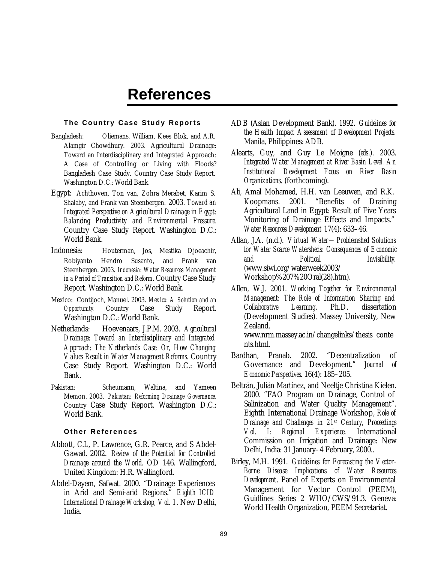## **References**

#### **The Country Case Study Reports**

- Bangladesh: Oliemans, William, Kees Blok, and A.R. Alamgir Chowdhury. 2003. Agricultural Drainage: Toward an Interdisciplinary and Integrated Approach: A Case of Controlling or Living with Floods? Bangladesh Case Study. Country Case Study Report. Washington D.C.: World Bank.
- Egypt: Achthoven, Ton van, Zohra Merabet, Karim S. Shalaby, and Frank van Steenbergen. 2003. *Toward an Integrated Perspective on Agricultural Drainage in Egypt: Balancing Productivity and Environmental Pressure*. Country Case Study Report. Washington D.C.: World Bank.
- Indonesia: Houterman, Jos, Mestika Djoeachir, Robiyanto Hendro Susanto, and Frank van Steenbergen. 2003. *Indonesia: Water Resources Management in a Period of Transition and Reform*. Country Case Study Report. Washington D.C.: World Bank.
- Mexico: Contijoch, Manuel. 2003. *Mexico: A Solution and an Opportunity.* Country Case Study Report. Washington D.C.: World Bank.
- Netherlands: Hoevenaars, J.P.M. 2003. *Agricultural Drainage: Toward an Interdisciplinary and Integrated Approach: The Netherlands Case: Or, How Changing Values Result in Water Management Reforms.* Country Case Study Report. Washington D.C.: World Bank.
- Pakistan: Scheumann, Waltina, and Yameen Memon. 2003. *Pakistan: Reforming Drainage Governance.* Country Case Study Report. Washington D.C.: World Bank.

#### **Other References**

- Abbott, C.L, P. Lawrence, G.R. Pearce, and S Abdel-Gawad. 2002. *Review of the Potential for Controlled Drainage around the World*. OD 146. Wallingford, United Kingdom: H.R. Wallingford.
- Abdel-Dayem, Safwat. 2000. "Drainage Experiences in Arid and Semi-arid Regions." *Eighth ICID International Drainage Workshop, Vol. 1*. New Delhi, India.
- ADB (Asian Development Bank). 1992. *Guidelines for the Health Impact Assessment of Development Projects.* Manila, Philippines: ADB.
- Alearts, Guy, and Guy Le Moigne (*eds*.). 2003. *Integrated Water Management at River Basin Level. An Institutional Development Focus on River Basin Organizations.* (forthcoming).
- Ali, Amal Mohamed, H.H. van Leeuwen, and R.K. Koopmans. 2001. "Benefits of Draining Agricultural Land in Egypt: Result of Five Years Monitoring of Drainage Effects and Impacts." *Water Resources Development* 17(4): 633–46.
- Allan, J.A. (n.d.). *Virtual Water—Problemshed Solutions for Water Scarce Watersheds: Consequences of Economic and Political Invisibility.* (www.siwi.org/waterweek2003/ Workshop%207%20Oral(28).htm).
- Allen, W.J. 2001. *Working Together for Environmental Management: The Role of Information Sharing and Collaborative Learning*. Ph.D. dissertation (Development Studies). Massey University, New Zealand. www.nrm.massey.ac.in/changelinks/thesis\_conte

nts.html.

- Bardhan, Pranab. 2002. "Decentralization of Governance and Development." *Journal of Economic Perspectives*. 16(4): 185–205.
- Beltrán, Julián Martínez, and Neeltje Christina Kielen. 2000. "FAO Program on Drainage, Control of Salinization and Water Quality Management". Eighth International Drainage Workshop, *Role of Drainage and Challenges in 21st Century*, *Proceedings Vol. I: Regional Experience*. International Commission on Irrigation and Drainage: New Delhi, India: 31 January–4 February, 2000..
- Birley, M.H. 1991. *Guidelines for Forecasting the Vector-Borne Disease Implications of Water Resources Development*. Panel of Experts on Environmental Management for Vector Control (PEEM), Guidlines Series 2 WHO/CWS/91.3. Geneva: World Health Organization, PEEM Secretariat.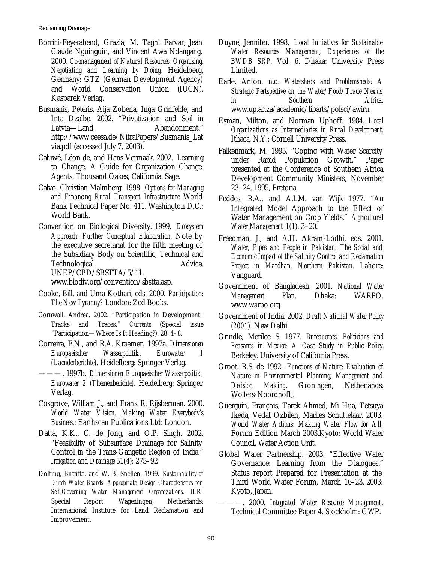Reclaiming Drainage

- Borrini-Feyerabend, Grazia, M. Taghi Farvar, Jean Claude Nguinguiri, and Vincent Awa Ndangang. 2000. *Co-management of Natural Resources: Organising, Negotiating and Learning by Doing.* Heidelberg, Germany: GTZ (German Development Agency) and World Conservation Union (IUCN), Kasparek Verlag.
- Busmanis, Peteris, Aija Zobena, Inga Grinfelde, and Inta Dzalbe. 2002. "Privatization and Soil in Latvia—Land Abandonment." http://www.ceesa.de/NitraPapers/Busmanis\_Lat via.pdf (accessed July 7, 2003).
- Caluwé, Léon de, and Hans Vermaak. 2002. Learning to Change. A Guide for Organization Change Agents. Thousand Oakes, California: Sage.
- Calvo, Christian Malmberg. 1998. *Options for Managing and Financing Rural Transport Infrastructure*. World Bank Technical Paper No. 411. Washington D.C.: World Bank.
- Convention on Biological Diversity. 1999. *Ecosystem Approach: Further Conceptual Elaboration.* Note by the executive secretariat for the fifth meeting of the Subsidiary Body on Scientific, Technical and Technological Advice. UNEP/CBD/SBSTTA/5/11.

www.biodiv.org/convention/sbstta.asp.

- Cooke, Bill, and Uma Kothari, eds. 2000. *Participation: The New Tyranny?* London: Zed Books.
- Cornwall, Andrea. 2002. "Participation in Development: Tracks and Traces." *Currents* (Special issue "Participation—Where Is It Heading?): 28: 4–8.
- Correira, F.N., and R.A. Kraemer. 1997a. *Dimensionen Europaeischer Wasserpolitik, Eurowater 1 (Laenderberichte)*. Heidelberg: Springer Verlag.
	- ———. 1997b. *Dimensionen Europaeischer Wasserpolitik, Eurowater 2 (Themenberichte)*. Heidelberg: Springer Verlag.
- Cosgrove, William J., and Frank R. Rijsberman. 2000. *World Water Vision. Making Water Everybody's Business*.: Earthscan Publications Ltd: London.
- Datta, K.K., C. de Jong, and O.P. Singh. 2002. "Feasibility of Subsurface Drainage for Salinity Control in the Trans-Gangetic Region of India." *Irrigation and Drainage* 51(4): 275–92
- Dolfing, Birgitta, and W. B. Snellen. 1999. *Sustainability of Dutch Water Boards: Appropriate Design Characteristics for Self -Governing Water Management Organizations.* ILRI Special Report. Wageningen, Netherlands: International Institute for Land Reclamation and Improvement.
- Duyne, Jennifer. 1998. *Local Initiatives for Sustainable Water Resources Management, Experiences of the BWDB SRP.* Vol. 6. Dhaka: University Press Limited.
- Earle, Anton. n.d. *Watersheds and Problemsheds: A Strategic Pertspective on the Water/Food/Trade Nexus in Southern Africa.* www.up.ac.za/academic/libarts/polsci/awiru.
- Esman, Milton, and Norman Uphoff. 1984. *Local Organizations as Intermediaries in Rural Development.* Ithaca, N.Y.: Cornell University Press.
- Falkenmark, M. 1995. "Coping with Water Scarcity under Rapid Population Growth." Paper presented at the Conference of Southern Africa Development Community Ministers, November 23–24, 1995, Pretoria.
- Feddes, R.A., and A.L.M. van Wijk 1977. "An Integrated Model Approach to the Effect of Water Management on Crop Yields." *Agricultural Water Management* 1(1): 3–20.
- Freedman, J., and A.H. Akram-Lodhi, eds. 2001. *Water, Pipes and People in Pakistan: The Social and Economic Impact of the Salinity Control and Reclamation Project in Mardhan, Northern Pakistan.* Lahore: Vanguard.
- Government of Bangladesh. 2001. *National Water Management Plan*. Dhaka: WARPO. www.warpo.org.
- Government of India. 2002. *Draft National Water Policy (2001).* New Delhi.
- Grindle, Merilee S. 1977. *Bureaucrats, Politicians and Peasants in Mexico: A Case Study in Public Policy.* Berkeley: University of California Press.
- Groot, R.S. de 1992. *Functions of Nature: Evaluation of Nature in Environmental Planning, Management and Decision Making*. Groningen, Netherlands: Wolters-Noordhoff,.
- Guerguin, François, Tarek Ahmed, Mi Hua, Tetsuya Ikeda, Vedat Ozbilen, Marlies Schuttelaar. 2003. *World Water Actions: Making Water Flow for All.* Forum Edition March 2003.Kyoto: World Water Council, Water Action Unit.
- Global Water Partnership. 2003. "Effective Water Governance: Learning from the Dialogues." Status report Prepared for Presentation at the Third World Water Forum, March 16–23, 2003: Kyoto, Japan.
- ———. 2000*. Integrated Water Resource Management*. Technical Committee Paper 4. Stockholm: GWP.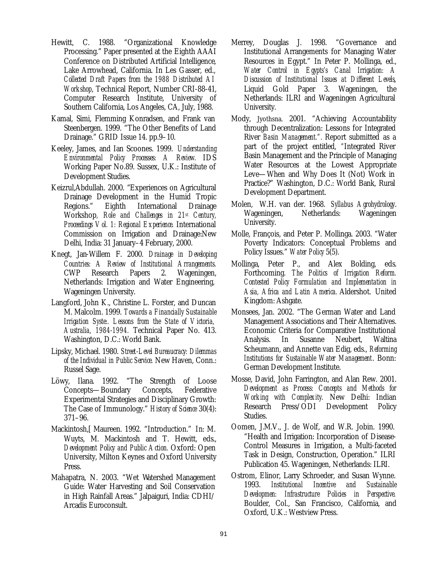- Hewitt, C. 1988. "Organizational Knowledge Processing." Paper presented at the Eighth AAAI Conference on Distributed Artificial Intelligence, Lake Arrowhead, California. In Les Gasser, ed., *Collected Draft Papers from the 1988 Distributed AI Workshop*, Technical Report, Number CRI-88-41, Computer Research Institute, University of Southern California, Los Angeles, CA, July, 1988.
- Kamal, Simi, Flemming Konradsen, and Frank van Steenbergen. 1999. "The Other Benefits of Land Drainage." GRID Issue 14. pp.9–10.
- Keeley, James, and Ian Scoones. 1999. *Understanding Environmental Policy Processes: A Review.* IDS Working Paper No.89. Sussex, U.K.: Institute of Development Studies.
- Keizrul,Abdullah. 2000. "Experiences on Agricultural Drainage Development in the Humid Tropic Regions." Eighth International Drainage Workshop*, Role and Challenges in 21st Century, Proceedings Vol. 1: Regional Experience.* International Commission on Irrigation and Drainage:New Delhi, India: 31 January–4 February, 2000.
- Knegt, Jan-Willem F. 2000. *Drainage in Developing Countries: A Review of Institutional Arrangements.* CWP Research Papers 2. Wageningen, Netherlands: Irrigation and Water Engineering, Wageningen University.
- Langford, John K., Christine L. Forster, and Duncan M. Malcolm. 1999. *Towards a Financially Sustainable Irrigation Syste:. Lessons from the State of Victoria, Australia, 1984-1994.* Technical Paper No. 413. Washington, D.C.: World Bank.
- Lipsky, Michael. 1980. *Street-Level Bureaucracy: Dilemmas of the Individual in Public Service.* New Haven, Conn.: Russel Sage.
- Löwy, Ilana. 1992. "The Strength of Loose Concepts—Boundary Concepts, Federative Experimental Strategies and Disciplinary Growth: The Case of Immunology." *History of Science* 30(4): 371–96.
- Mackintosh,[ Maureen. 1992. "Introduction." In: M. Wuyts, M. Mackintosh and T. Hewitt, eds., *Development Policy and Public Action.* Oxford: Open University, Milton Keynes and Oxford University Press.
- Mahapatra, N. 2003. "Wet Watershed Management Guide: Water Harvesting and Soil Conservation in High Rainfall Areas." Jalpaiguri, India: CDHI/ Arcadis Euroconsult.
- Merrey, Douglas J. 1998. "Governance and Institutional Arrangements for Managing Water Resources in Egypt." In Peter P. Mollinga, ed., *Water Control in Egypts's Canal Irrigation: A Discussion of Institutional Issues at Different Levels*, Liquid Gold Paper 3. Wageningen, the Netherlands: ILRI and Wageningen Agricultural University.
- Mody, Jyothsna. 2001. "Achieving Accountability through Decentralization: Lessons for Integrated River *Basin Management.".* Report submitted as a part of the project entitled, *"*Integrated River Basin Management and the Principle of Managing Water Resources at the Lowest Appropriate Leve—When and Why Does It (Not) Work in Practice?" Washington, D.C.: World Bank, Rural Development Department.
- Molen, W.H. van der. 1968. *Syllabus Agrohydrology*. Wageningen, Netherlands: Wageningen University.
- Molle, François, and Peter P. Mollinga. 2003. "Water Poverty Indicators: Conceptual Problems and Policy Issues." *Water Policy* 5(5).
- Mollinga, Peter P., and Alex Bolding, eds. Forthcoming. *The Politics of Irrigation Reform. Contested Policy Formulation and Implementation in Asia, Africa and Latin America.* Aldershot. United Kingdom: Ashgate.
- Monsees, Jan. 2002. "The German Water and Land Management Associations and Their Alternatives. Economic Criteria for Comparative Institutional Analysis. In Susanne Neubert, Waltina Scheumann, and Annette van Edig, eds., *Reforming Institutions for Sustainable Water Management*. Bonn: German Development Institute.
- Mosse, David, John Farrington, and Alan Rew. 2001. *Development as Process: Concepts and Methods for Working with Complexity.* New Delhi: Indian Research Press/ODI Development Policy Studies.
- Oomen, J.M.V., J. de Wolf, and W.R. Jobin. 1990. "Health and Irrigation: Incorporation of Disease-Control Measures in Irrigation, a Multi-faceted Task in Design, Construction, Operation." ILRI Publication 45. Wageningen, Netherlands: ILRI.
- Ostrom, Elinor, Larry Schroeder, and Susan Wynne. 1993. *Institutional Incentive and Sustainable Developmen: Infrastructure Policies in Perspective.* Boulder, Col., San Francisco, California, and Oxford, U.K.: Westview Press.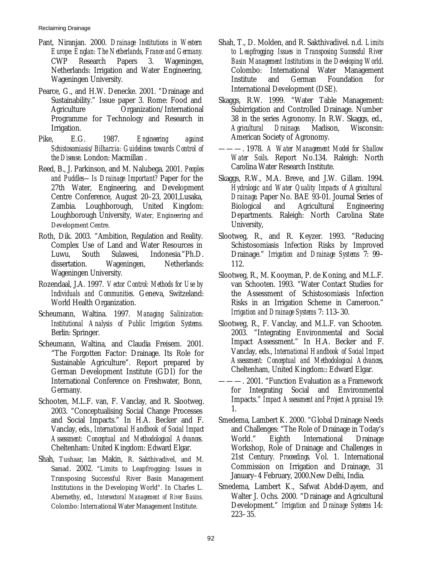Reclaiming Drainage

- Pant, Niranjan. 2000. *Drainage Institutions in Western Europe: Englan: The Netherlands, France and Germany.* CWP Research Papers 3. Wageningen, Netherlands: Irrigation and Water Engineering, Wageningen University.
- Pearce, G., and H.W. Denecke. 2001. "Drainage and Sustainability." Issue paper 3. Rome: Food and Agriculture Organization/International Programme for Technology and Research in Irrigation.
- Pike, E.G. 1987. *Engineering against Schistosomiasis/Bilharzia: Guidelines towards Control of the Disease*. London: Macmillan .
- Reed, B., J. Parkinson, and M. Nalubega. 2001. *Peoples and Puddles—Is Drainage Important?* Paper for the 27th Water, Engineering, and Development Centre Conference, August 20–23, 2001,Lusaka, Zambia. Loughborough, United Kingdom: Loughborough University, Water, Engineering and Development Centre.
- Roth, Dik. 2003. "Ambition, Regulation and Reality. Complex Use of Land and Water Resources in Luwu, South Sulawesi, Indonesia*.*"Ph.D. dissertation. Wageningen, Netherlands: Wageningen University.
- Rozendaal, J.A. 1997. *Vector Control: Methods for Use by Individuals and Communities*. Geneva, Switzeland: World Health Organization.
- Scheumann, Waltina. 1997. *Managing Salinization: Institutional Analysis of Public Irrigation Systems.* Berlin: Springer.
- Scheumann, Waltina, and Claudia Freisem. 2001. "The Forgotten Factor: Drainage. Its Role for Sustainable Agriculture". Report prepared by German Development Institute (GDI) for the International Conference on Freshwater, Bonn, Germany.
- Schooten, M.L.F. van, F. Vanclay, and R. Slootweg. 2003. "Conceptualising Social Change Processes and Social Impacts." In H.A. Becker and F. Vanclay, eds., *International Handbook of Social Impact Assessment: Conceptual and Methodological Advances.* Cheltenham: United Kingdom: Edward Elgar.
- Shah, Tushaar, Ian Makin, R. Sakthivadivel, and M. Samad. 2002. "Limits to Leapfrogging: Issues in Transposing Successful River Basin Management Institutions in the Developing World". In Charles L. Abernethy, ed., *Intersectoral Management of River Basins*. Colombo: International Water Management Institute.
- Shah, T., D. Molden, and R. Sakthivadivel. n.d. *Limits to Leapfrogging: Issues in Transposing Successful River Basin Management Institutions in the Developing World*. Colombo: International Water Management Institute and German Foundation for International Development (DSE).
- Skaggs, R.W. 1999. "Water Table Management: Subirrigation and Controlled Drainage. Number 38 in the series Agronomy. In R.W. Skaggs, ed., *Agricultural Drainage.* Madison, Wisconsin: American Society of Agronomy.
- ———. 1978. *A Water Management Model for Shallow Water Soils*. Report No.134. Raleigh: North Carolina Water Research Institute.
- Skaggs, R.W., M.A. Breve, and J.W. Gillam. 1994. *Hydrologic and Water Quality Impacts of Agricultural Drainage*. Paper No. BAE 93-01. Journal Series of Biological and Agricultural Engineering Departments. Raleigh: North Carolina State University,
- Slootweg, R., and R. Keyzer. 1993. "Reducing Schistosomiasis Infection Risks by Improved Drainage." *Irrigation and Drainage Systems* 7: 99– 112.
- Slootweg, R., M. Kooyman, P. de Koning, and M.L.F. van Schooten. 1993. "Water Contact Studies for the Assessment of Schistosomiasis Infection Risks in an Irrigation Scheme in Cameroon." *Irrigation and Drainage Systems* 7: 113–30.
- Slootweg, R., F. Vanclay, and M.L.F. van Schooten. 2003. "Integrating Environmental and Social Impact Assessment." In H.A. Becker and F. Vanclay, eds., *International Handbook of Social Impact Assessment: Conceptual and Methodological Advances*, Cheltenham, United Kingdom:: Edward Elgar.
- -. 2001. "Function Evaluation as a Framework for Integrating Social and Environmental Impacts." *Impact Assessment and Project Appraisal* 19: 1.
- Smedema, Lambert K. 2000. "Global Drainage Needs and Challenges: "The Role of Drainage in Today's World." Eighth International Drainage Workshop, Role of Drainage and Challenges in 21st Century. *Proceedings*. Vol. 1. International Commission on Irrigation and Drainage, 31 January–4 February, 2000.New Delhi, India.
- Smedema, Lambert K., Safwat Abdel-Dayem, and Walter J. Ochs. 2000. "Drainage and Agricultural Development." *Irrigation and Drainage Systems* 14: 223–35.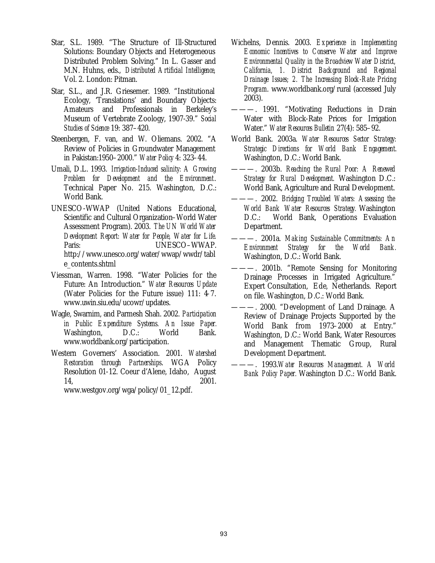- Star, S.L. 1989. "The Structure of Ill-Structured Solutions: Boundary Objects and Heterogeneous Distributed Problem Solving." In L. Gasser and M.N. Huhns, eds., *Distributed Artificial Intelligence,*  Vol. 2. London: Pitman.
- Star, S.L., and J.R. Griesemer. 1989. "Institutional Ecology, 'Translations' and Boundary Objects: Amateurs and Professionals in Berkeley's Museum of Vertebrate Zoology, 1907-39." *Social Studies of Science* 19: 387–420.
- Steenbergen, F. van, and W. Oliemans. 2002. "A Review of Policies in Groundwater Management in Pakistan:1950–2000." *Water Policy* 4: 323–44.
- Umali, D.L. 1993. *Irrigation-Induced salinity: A Growing Problem for Development and the Environment*. Technical Paper No. 215. Washington, D.C.: World Bank.
- UNESCO-WWAP (United Nations Educational, Scientific and Cultural Organization–World Water Assessment Program). 2003. *The UN World Water Development Report: Water for People, Water for Life.* Paris: UNESCO–WWAP. http://www.unesco.org/water/wwap/wwdr/tabl e\_contents.shtml
- Viessman, Warren. 1998. "Water Policies for the Future: An Introduction." *Water Resources Update* (Water Policies for the Future issue) 111: 4–7. www.uwin.siu.edu/ucowr/updates.
- Wagle, Swarnim, and Parmesh Shah. 2002. *Participation in Public Expenditure Systems. An Issue Paper.* Washington, D.C.: World Bank. www.worldbank.org/participation.
- Western Governers' Association. 2001. *Watershed Restoration through Partnerships*. WGA Policy Resolution 01-12. Coeur d'Alene, Idaho, August 14, 2001.

www.westgov.org/wga/policy/01\_12.pdf.

- Wichelns, Dennis. 2003. *Experience in Implementing Economic Incentives to Conserve Water and Improve Environmental Quality in the Broadview Water District, California, 1. District Background and Regional Drainage Issues; 2. The Increasing Block-Rate Pricing Program*. www.worldbank.org/rural (accessed July 2003).
- ———. 1991. "Motivating Reductions in Drain Water with Block-Rate Prices for Irrigation Water." *Water Resources Bulletin* 27(4): 585–92.
- World Bank. 2003a. *Water Resources Sector Strategy: Strategic Directions for World Bank Engagement.* Washington, D.C.: World Bank.
- ———. 2003b. *Reaching the Rural Poor: A Renewed Strategy for Rural Development.* Washington D.C.: World Bank, Agriculture and Rural Development.
- ———. 2002. *Bridging Troubled Waters: Assessing the World Bank Water Resources Strategy.* Washington D.C.: World Bank, Operations Evaluation Department.
- ———. 2001a. *Making Sustainable Commitments: An Environment Strategy for the World Bank.* Washington, D.C.: World Bank.
- ———. 2001b. "Remote Sensing for Monitoring Drainage Processes in Irrigated Agriculture." Expert Consultation, Ede, Netherlands. Report on file. Washington, D.C.: World Bank.
- ———. 2000. "Development of Land Drainage. A Review of Drainage Projects Supported by the World Bank from 1973–2000 at Entry." Washington, D.C.: World Bank, Water Resources and Management Thematic Group, Rural Development Department.
- ———. 1993.*Water Resources Management. A World Bank Policy Paper.* Washington D.C.: World Bank.